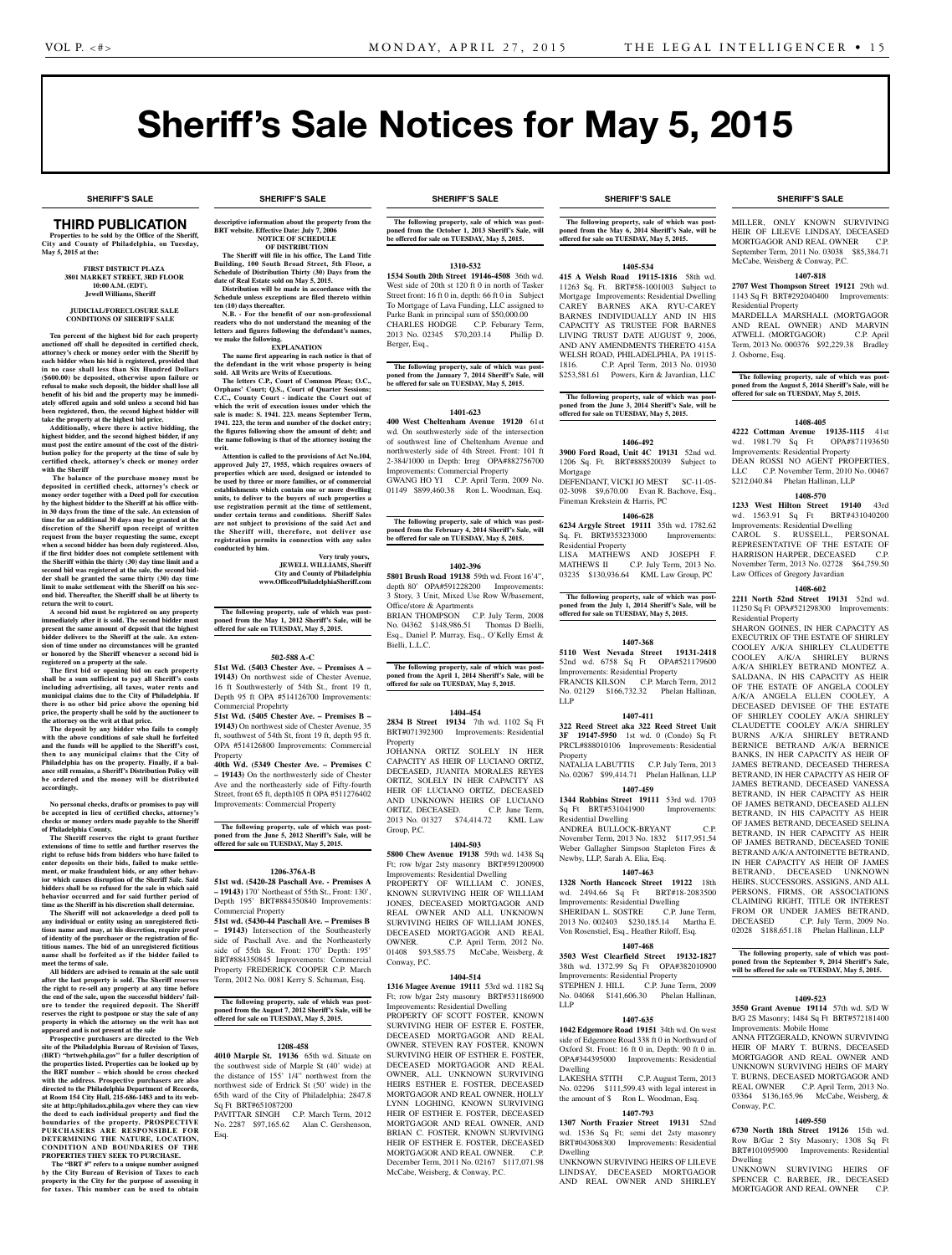**SHERIFF'S SALE SHERIFF'S SALE SHERIFF'S SALE SHERIFF'S SALE SHERIFF'S SALE**

# Sheriff's Sale Notices for May 5, 2015

#### **SHERIFF'S SALE SHERIFF'S SALE SHERIFF'S SALE SHERIFF'S SALE SHERIFF'S SALE**

# Third PUBLICATION

**Properties to be sold by the Office of the Sheriff, City and County of Philadelphia, on Tuesday, May 5, 2015 at the:** 

### **First District Plaza 3801 Market Street, 3rd Floor 10:00 A.M. (EDT). Jewell Williams, Sheriff**

#### **JUDICIAL/FORECLOSURE SALE CONDITIONS OF SHERIFF SALE**

**Ten percent of the highest bid for each property auctioned off shall be deposited in certified check, attorney's check or money order with the Sheriff by each bidder when his bid is registered, provided that in no case shall less than Six Hundred Dollars (\$600.00) be deposited, otherwise upon failure or refusal to make such deposit, the bidder shall lose all benefit of his bid and the property may be immediately offered again and sold unless a second bid has been registered, then, the second highest bidder will take the property at the highest bid price.**

**Additionally, where there is active bidding, the highest bidder, and the second highest bidder, if any must post the entire amount of the cost of the distribution policy for the property at the time of sale by certified check, attorney's check or money order with the Sheriff**

 **The balance of the purchase money must be deposited in certified check, attorney's check or money order together with a Deed poll for execution by the highest bidder to the Sheriff at his office within 30 days from the time of the sale. An extension of time for an additional 30 days may be granted at the discretion of the Sheriff upon receipt of written request from the buyer requesting the same, except when a second bidder has been duly registered. Also, if the first bidder does not complete settlement with the Sheriff within the thirty (30) day time limit and a second bid was registered at the sale, the second bidder shall be granted the same thirty (30) day time limit to make settlement with the Sheriff on his second bid. Thereafter, the Sheriff shall be at liberty to return the writ to court.**

**A second bid must be registered on any property immediately after it is sold. The second bidder must present the same amount of deposit that the highest bidder delivers to the Sheriff at the sale. An exten-sion of time under no circumstances will be granted or honored by the Sheriff whenever a second bid is registered on a property at the sale.** 

**The first bid or opening bid on each property shall be a sum sufficient to pay all Sheriff's costs including advertising, all taxes, water rents and municipal claims due to the City of Philadelphia. If there is no other bid price above the opening bid price, the property shall be sold by the auctioneer to the attorney on the writ at that price. The deposit by any bidder who fails to comply** 

**with the above conditions of sale shall be forfeited and the funds will be applied to the Sheriff's cost, then to any municipal claims that the City of Philadelphia has on the property. Finally, if a bal-ance still remains, a Sheriff's Distribution Policy will be ordered and the money will be distributed accordingly.**

**No personal checks, drafts or promises to pay will be accepted in lieu of certified checks, attorney's checks or money orders made payable to the Sheriff of Philadelphia County.**

**The Sheriff reserves the right to grant further extensions of time to settle and further reserves the right to refuse bids from bidders who have failed to enter deposits on their bids, failed to make settlement, or make fraudulent bids, or any other behavior which causes disruption of the Sheriff Sale. Said bidders shall be so refused for the sale in which said behavior occurred and for said further period of time as the Sheriff in his discretion shall determine.**

**The Sheriff will not acknowledge a deed poll to any individual or entity using an unregistered fictitious name and may, at his discretion, require proof of identity of the purchaser or the registration of fictitious names. The bid of an unregistered fictitious name shall be forfeited as if the bidder failed to meet the terms of sale.**

**All bidders are advised to remain at the sale until after the last property is sold. The Sheriff reserves the right to re-sell any property at any time before the end of the sale, upon the successful bidders' failure to tender the required deposit. The Sheriff reserves the right to postpone or stay the sale of any property in which the attorney on the writ has not appeared and is not present at the sale**

**Prospective purchasers are directed to the Web site of the Philadelphia Bureau of Revision of Taxes, (BRT) "brtweb.phila.gov" for a fuller description of the properties listed. Properties can be looked up by the BRT number – which should be cross checked with the address. Prospective purchasers are also directed to the Philadelphia Department of Records, at Room 154 City Hall, 215-686-1483 and to its web-site at http://philadox.phila.gov where they can view the deed to each individual property and find the boundaries of the property. PROSPECTIVE PURCHASERS ARE RESPONSIBLE FOR DETERMINING THE NATURE, LOCATION, CONDITION AND BOUNDARIES OF THE PROPERTIES THEY SEEK TO PURCHASE.**

 **The "BRT #" refers to a unique number assigned by the City Bureau of Revision of Taxes to each property in the City for the purpose of assessing it for taxes. This number can be used to obtain** 

**descriptive information about the property from the BRT** website. Effective Date: July 7, 20 **NOTICE OF SCHEDULE OF DISTRIBUTION**

**The Sheriff will file in his office, The Land Title Building, 100 South Broad Street, 5th Floor, a Schedule of Distribution Thirty (30) Days from the date of Real Estate sold on May 5, 2015. Distribution will be made in accordance with the** 

**Schedule unless exceptions are filed thereto within ten (10) days thereafter. N.B.** - For the benefit of our non-profession **readers who do not understand the meaning of the** 

**letters and figures following the defendant's names, we make the following. EXPLANATION**

**The name first appearing in each notice is that of the defendant in the writ whose property is being sold. All Writs are Writs of Executions. The letters C.P., Court of Common Pleas; O.C.,** 

**Orphans' Court; Q.S., Court of Quarter Sessions; C.C., County Court - indicate the Court out of which the writ of execution issues under which the sale is made: S. 1941. 223. means September Term, 1941. 223, the term and number of the docket entry; the figures following show the amount of debt; and the name following is that of the attorney issuing the writ.**

**Attention is called to the provisions of Act No.104, approved July 27, 1955, which requires owners of properties which are used, designed or intended to be used by three or more families, or of commercial establishments which contain one or more dwelling**  units, to deliver to the buyers of such properties a use registration permit at the time of settlement **under certain terms and conditions. Sheriff Sales are not subject to provisions of the said Act and the Sheriff will, therefore, not deliver use registration permits in connection with any sales conducted by him.**

**Very truly yours, JEWELL WILLIAMS, Sheriff City and County of Philadelphia www.OfficeofPhiladelphiaSheriff.com**

The following property, sale of which was post-<br>poned from the May 1, 2012 Sheriff's Sale, will be **poned from the May 1, 2012 Sheriff's Sale, will be offered for sale on TUESDAY, May 5, 2015.**

#### **502-588 A-C**

**51st Wd. (5403 Chester Ave. – Premises A – 19143)** On northwest side of Chester Avenue, 16 ft Southwesterly of 54th St., front 19 ft, Depth 95 ft OPA #514126700 Improvements: Commercial Propehrty

**51st Wd. (5405 Chester Ave. – Premises B – 19143)** On northwest side of Chester Avenue, 35 ft, southwest of 54th St, front 19 ft, depth 95 ft. OPA #514126800 Improvements: Commercial Property

**40th Wd. (5349 Chester Ave. – Premises C – 19143)** On the northwesterly side of Chester Ave and the northeasterly side of Fifty-fourth Street, front 65 ft, depth105 ft OPA #511276402 Improvements: Commercial Property

**The following property, sale of which was postponed from the June 5, 2012 Sheriff's Sale, will be offered for sale on TUESDAY, May 5, 2015.**

#### **1206-376A-B**

**51st wd. (5420-28 Paschall Ave. - Premises A – 19143)** 170' Northeast of 55th St., Front: 130', Depth 195' BRT#884350840 Improvements: Commercial Property

**51st wd. (5430-44 Paschall Ave. – Premises B – 19143)** Intersection of the Southeasterly side of Paschall Ave. and the Northeasterly side of 55th St. Front: 170' Depth: 195' BRT#884350845 Improvements: Commercial Property FREDERICK COOPER C.P. March Term, 2012 No. 0081 Kerry S. Schuman, Esq.

# **The following property, sale of which was post-poned from the August 7, 2012 Sheriff's Sale, will be offered for sale on TUESDAY, May 5, 2015.**

#### **1208-458**

**4010 Marple St. 19136** 65th wd. Situate on the southwest side of Marple St (40' wide) at the distance of 155' 1/4" northwest from the northwest side of Erdrick St (50' wide) in the 65th ward of the City of Philadelphia; 2847.8 Sq Ft BRT#651087200

PAVITTAR SINGH C.P. March Term, 2012 No. 2287 \$97,165.62 Alan C. Gershenson, Esq.

**The following property, sale of which was postponed from the October 1, 2013 Sheriff's Sale, will be offered for sale on TUESDAY, May 5, 2015.**

#### **1310-532**

**1534 South 20th Street 19146-4508** 36th wd. West side of 20th st 120 ft 0 in north of Tasker Street front: 16 ft 0 in, depth: 66 ft 0 in Subject To Mortgage of Lava Funding, LLC assigned to Parke Bank in principal sum of \$50,000.00 CHARLES HODGE C.P. Feburary Term, 2013 No. 02345 \$70,203.14 Phillip D. Berger, Esq.,

**The following property, sale of which was post-poned from the January 7, 2014 Sheriff's Sale, will be offered for sale on TUESDAY, May 5, 2015.**

#### **1401-623**

**400 West Cheltenham Avenue 19120** 61st wd. On southwesterly side of the intersection of southwest line of Cheltenham Avenue and northwesterly side of 4th Street. Front: 101 ft 2-384/1000 in Depth: Irreg OPA#882756700 Improvements: Commercial Property GWANG HO YI C.P. April Term, 2009 No. 01149 \$899,460.38 Ron L. Woodman, Esq.

**The following property, sale of which was post-poned from the February 4, 2014 Sheriff's Sale, will be offered for sale on TUESDAY, May 5, 2015.**

#### **1402-396**

**5801 Brush Road 19138** 59th wd. Front 16'4", depth 80' OPA#591228200 Improvements: 3 Story, 3 Unit, Mixed Use Row W/basement, Office/store & Apartments BRIAN THOMPSON C.P. July Term, 2008 No. 04362 \$148,986.51 Thomas D Bielli, Esq., Daniel P. Murray, Esq., O'Kelly Ernst & Bielli, L.L.C.

**The following property, sale of which was post-poned from the April 1, 2014 Sheriff's Sale, will be offered for sale on TUESDAY, May 5, 2015.**

#### **1404-454**

**2834 B Street 19134** 7th wd. 1102 Sq Ft BRT#071392300 Improvements: Residential Property

JOHANNA ORTIZ SOLELY IN HER CAPACITY AS HEIR OF LUCIANO ORTIZ, DECEASED, JUANITA MORALES REYES ORTIZ, SOLELY IN HER CAPACITY AS HEIR OF LUCIANO ORTIZ, DECEASED AND UNKNOWN HEIRS OF LUCIANO ORTIZ, DECEASED. C.P. June Term, 2013 No. 01327 \$74,414.72 KML Law Group, P.C.

### **1404-503**

**5800 Chew Avenue 19138** 59th wd. 1438 Sq Ft; row b/gar 2sty masonry BRT#591200900 Improvements: Residential Dwelling PROPERTY OF WILLIAM C. JONES, KNOWN SURVIVING HEIR OF WILLIAM JONES, DECEASED MORTGAGOR AND REAL OWNER AND ALL UNKNOWN SURVIVING HEIRS OF WILLIAM JONES, DECEASED MORTGAGOR AND REAL OWNER. C.P. April Term, 2012 No. 01408 \$93,585.75 McCabe, Weisberg, & Conway, P.C.

#### **1404-514**

**1316 Magee Avenue 19111** 53rd wd. 1182 Sq Ft; row b/gar 2sty masonry BRT#531186900 Improvements: Residential Dwelling PROPERTY OF SCOTT FOSTER, KNOWN SURVIVING HEIR OF ESTER E. FOSTER, DECEASED MORTGAGOR AND REAL STEVEN RAY FOSTER, KNOW SURVIVING HEIR OF ESTHER E. FOSTER, DECEASED MORTGAGOR AND REAL OWNER, ALL UNKNOWN SURVIVING HEIRS ESTHER E. FOSTER, DECEASED MORTGAGOR AND REAL OWNER, HOLLY LYNN LOGHING, KNOWN SURVIVING HEIR OF ESTHER E. FOSTER, DECEASED MORTGAGOR AND REAL OWNER, AND BRIAN C. FOSTER, KNOWN SURVIVING HEIR OF ESTHER E. FOSTER, DECEASED MORTGAGOR AND REAL OWNER C.P. December Term, 2011 No. 02167 \$117,071.98 McCabe, Weisberg, & Conway, P.C.

**The following property, sale of which was postponed from the May 6, 2014 Sheriff's Sale, will be offered for sale on TUESDAY, May 5, 2015.**

#### **1405-534**

**415 A Welsh Road 19115-1816** 58th wd. 11263 Sq. Ft. BRT#58-1001003 Subject to Mortgage Improvements: Residential Dwelling CAREY BARNES AKA RYU-CAREY BARNES INDIVIDUALLY AND IN HIS CAPACITY AS TRUSTEE FOR BARNES LIVING TRUST DATE AUGUST 9, 2006, AND ANY AMENDMENTS THERETO 415A WELSH ROAD, PHILADELPHIA, PA 19115- 1816. C.P. April Term, 2013 No. 01930 \$253,581.61 Powers, Kirn & Javardian, LLC

**The following property, sale of which was post-poned from the June 3, 2014 Sheriff's Sale, will be offered for sale on TUESDAY, May 5, 2015.**

# **1406-492**

**3900 Ford Road, Unit 4C 19131** 52nd wd. 1206 Sq. Ft. BRT#888520039 Subject to Mortgage DEFENDANT, VICKI JO MEST SC-11-05-

02-3098 \$9,670.00 Evan R. Bachove, Esq., Fineman Krekstein & Harris, PC **1406-628**

**6234 Argyle Street 19111** 35th wd. 1782.62 Sq. Ft. BRT#353233000 Improvements:

Residential Property LISA MATHEWS AND JOSEPH F.<br>MATHEWS II C.P. July Term, 2013 No. C.P. July Term, 2013 No. 03235 \$130,936.64 KML Law Group, PC

**The following property, sale of which was postponed from the July 1, 2014 Sheriff's Sale, will be offered for sale on TUESDAY, May 5, 2015.**

#### **1407-368**

**5110 West Nevada Street 19131-2418**  52nd wd. 6758 Sq Ft OPA#521179600 Improvements: Residential Property FRANCIS KILSON C.P. March Term, 2012 No. 02129 \$166,732.32 Phelan Hallinan, LLP

#### **1407-411**

**322 Reed Street aka 322 Reed Street Unit 3F 19147-5950** 1st wd. 0 (Condo) Sq Ft PRCL#888010106 Improvements: Residential Property NATALIA LABUTTIS C.P. July Term, 2013

No. 02067 \$99,414.71 Phelan Hallinan, LLP **1407-459**

**1344 Robbins Street 19111** 53rd wd. 1703 Sq Ft BRT#531041900 Improvements: Residential Dwelling

ANDREA BULLOCK-BRYANT C.P. November Term, 2013 No. 1832 \$117,951.54 Weber Gallagher Simpson Stapleton Fires & Newby, LLP, Sarah A. Elia, Esq.

#### **1407-463**

**1328 North Hancock Street 19122** 18th wd. 2494.66 Sq Ft BRT#18-2083500 Improvements: Residential Dwelling SHERIDAN L. SOSTRE C.P. June Term, 2013 No. 002403 \$230,185.14 Martha E. Von Rosenstiel, Esq., Heather Riloff, Esq.

### **1407-468**

**3503 West Clearfield Street 19132-1827**  38th wd. 1372.99 Sq Ft OPA#382010900 Improvements: Residential Property<br>STEPHEN I HILL CP June C.P. June Term, 2009 No. 04068 \$141,606.30 Phelan Hallinan, LLP

#### **1407-635**

**1042 Edgemore Road 19151** 34th wd. On west side of Edgemore Road 338 ft 0 in Northward of Oxford St. Front: 16 ft 0 in, Depth: 90 ft 0 in. OPA#344395000 Improvements: Residential Dwelling

LAKESHA STITH C.P. August Term, 2013 No. 02296 \$111,599.43 with legal interest in the amount of \$ Ron L. Woodman, Esq.

# **1407-793**

**1307 North Frazier Street 19131** 52nd wd. 1536 Sq Ft; semi det 2sty masonry BRT#043068300 Improvements: Residential Dwelling UNKNOWN SURVIVING HEIRS OF LILEVE LINDSAY, DECEASED MORTGAGOR AND REAL OWNER AND SHIRLEY

MILLER, ONLY KNOWN SURVIVING HEIR OF LILEVE LINDSAY, DECEASED MORTGAGOR AND REAL OWNER C.P. September Term, 2011 No. 03038 \$85,384.71 McCabe, Weisberg & Conway, P.C.

#### **1407-818**

**2707 West Thompson Street 19121** 29th wd. 1143 Sq Ft BRT#292040400 Improvements: Residential Property MARDELLA MARSHALL (MORTGAGOR

AND REAL OWNER) AND MARVIN<br>ATWELL (MORTGAGOR) C.P. April ATWELL (MORTGAGOR) Term, 2013 No. 000376 \$92,229.38 Bradley J. Osborne, Esq.

**The following property, sale of which was postponed from the August 5, 2014 Sheriff's Sale, will be offered for sale on TUESDAY, May 5, 2015.**

#### **1408-405**

**4222 Cottman Avenue 19135-1115** 41st wd. 1981.79 Sq Ft Improvements: Residential Property

DEAN ROSSI NO AGENT PROPERTIES, LLC C.P. November Term, 2010 No. 00467 \$212,040.84 Phelan Hallinan, LLP

#### **1408-570**

**1233 West Hilton Street 19140** 43rd wd. 1563.91 Sq Ft Improvements: Residential Dwelling CAROL S. RUSSELL, PERSONAL REPRESENTATIVE OF THE ESTATE OF HARRISON HARPER, DECEASED C.P. November Term, 2013 No. 02728 \$64,759.50 Law Offices of Gregory Javardian

#### **1408-602 2211 North 52nd Street 19131** 52nd wd.

Residential Property

11250 Sq Ft OPA#521298300 Improvements:

SHARON GOINES, IN HER CAPACITY AS EXECUTRIX OF THE ESTATE OF SHIRLEY COOLEY A/K/A SHIRLEY CLAUDETTE COOLEY A/K/A SHIRLEY BURNS A/K/A SHIRLEY BETRAND MONTEZ A. SALDANA, IN HIS CAPACITY AS HEIR OF THE ESTATE OF ANGELA COOLEY A/K/A ANGELA ELLEN COOLEY, A DECEASED DEVISEE OF THE ESTATE OF SHIRLEY COOLEY A/K/A SHIRLEY CLAUDETTE COOLEY A/K/A SHIRLEY BURNS A/K/A SHIRLEY BETRAND BERNICE BETRAND A/K/A BERNICE BANKS, IN HER CAPACITY AS HEIR OF JAMES BETRAND, DECEASED THERESA BETRAND, IN HER CAPACITY AS HEIR OF JAMES BETRAND, DECEASED VANESSA BETRAND, IN HER CAPACITY AS HEIR OF JAMES BETRAND, DECEASED ALLEN BETRAND, IN HIS CAPACITY AS HEIR OF JAMES BETRAND, DECEASED SELINA BETRAND, IN HER CAPACITY AS HEIR OF JAMES BETRAND, DECEASED TONIE BETRAND A/K/A ANTOINETTE BETRAND, IN HER CAPACITY AS HEIR OF JAMES BETRAND, DECEASED UNKNOWN HEIRS, SUCCESSORS, ASSIGNS, AND ALL PERSONS, FIRMS, OR ASSOCIATIONS CLAIMING RIGHT, TITLE OR INTEREST FROM OR UNDER JAMES BETRAND,<br>DECEASED C.P. July Term, 2009 No.

C.P. July Term, 2009 No.

02028 \$188,651.18 Phelan Hallinan, LLP

**The following property, sale of which was post-poned from the September 9, 2014 Sheriff's Sale, will be offered for sale on TUESDAY, May 5, 2015.**

**1409-523 3550 Grant Avenue 19114** 57th wd. S/D W B/G 2S Masonry; 1484 Sq Ft BRT#572181400

ANNA FITZGERALD, KNOWN SURVIVING HEIR OF MARY T. BURNS, DECEASED MORTGAGOR AND REAL OWNER AND UNKNOWN SURVIVING HEIRS OF MARY T. BURNS, DECEASED MORTGAGOR AND REAL OWNER C.P. April Term, 2013 No. 03364 \$136,165.96 McCabe, Weisberg, &

**1409-550 6730 North 18th Street 19126** 15th wd. Row B/Gar 2 Sty Masonry; 1308 Sq Ft BRT#101095900 Improvements: Residential

UNKNOWN SURVIVING HEIRS OF SPENCER C. BARBEE, JR., DECEASED MORTGAGOR AND REAL OWNER C.P.

Improvements: Mobile Home

Conway, P.C.

Dwelling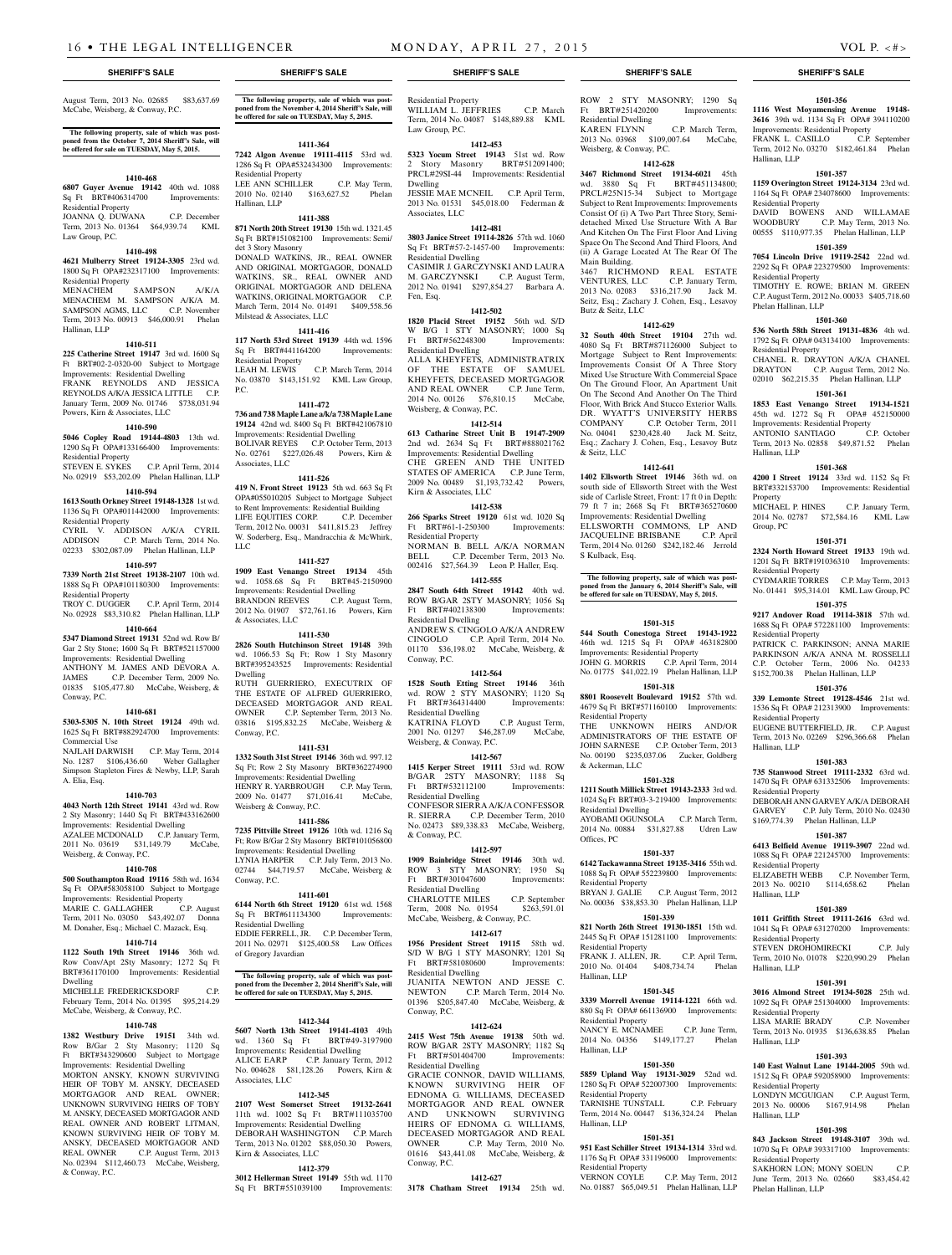August Term, 2013 No. 02685 \$83,637.69 McCabe, Weisberg, & Conway, P.C.

#### **The following property, sale of which was postponed from the October 7, 2014 Sheriff's Sale, will be offered for sale on TUESDAY, May 5, 2015.**

#### **1410-468**

**6807 Guyer Avenue 19142** 40th wd. 1088 Sq Ft BRT#406314700 Improvements: Residential Property JOANNA Q. DUWANA C.P. December Term, 2013 No. 01364 \$64,939.74 KML Law Group, P.C.

#### **1410-498**

**4621 Mulberry Street 19124-3305** 23rd wd. 1800 Sq Ft OPA#232317100 Improvements: Residential Property

MENACHEM SAMPSON A/K/A MENACHEM M. SAMPSON A/K/A M. SAMPSON AGMS, LLC C.P. November Term, 2013 No. 00913 \$46,000.91 Phelan Hallinan, LLP

#### **1410-511**

**225 Catherine Street 19147** 3rd wd. 1600 Sq Ft BRT#02-2-0320-00 Subject to Mortgage Improvements: Residential Dwelling FRANK REYNOLDS AND JESSICA REYNOLDS A/K/A JESSICA LITTLE C.P. January Term, 2009 No. 01746 \$738,031.94 Powers, Kirn & Associates, LLC

### **1410-590**

**5046 Copley Road 19144-4803** 13th wd. 1290 Sq Ft OPA#133166400 Improvements: Residential Property STEVEN E. SYKES C.P. April Term, 2014

# No. 02919 \$53,202.09 Phelan Hallinan, LLP

#### **1410-594**

**1613 South Orkney Street 19148-1328** 1st wd. 1136 Sq Ft OPA#011442000 Improvements:

Residential Property CYRIL V. ADDISON A/K/A CYRIL<br>ADDISON C.P. March Term, 2014 No. C.P. March Term, 2014 No. 02233 \$302,087.09 Phelan Hallinan, LLP

**1410-597**

#### **7339 North 21st Street 19138-2107** 10th wd. 1888 Sq Ft OPA#101180300 Improvements: Residential Property

TROY C. DUGGER C.P. April Term, 2014 No. 02928 \$83,310.82 Phelan Hallinan, LLP

#### **1410-664**

**5347 Diamond Street 19131** 52nd wd. Row B/ Gar 2 Sty Stone; 1600 Sq Ft BRT#521157000 Improvements: Residential Dwelling ANTHONY M. JAMES AND DEVORA A. JAMES C.P. December Term, 2009 No. 01835 \$105,477.80 McCabe, Weisberg, & Conway, P.C.

#### **1410-681**

**5303-5305 N. 10th Street 19124** 49th wd. 1625 Sq Ft BRT#882924700 Improvements: Commercial Use

NAJLAH DARWISH C.P. May Term, 2014 No. 1287 \$106,436.60 Weber Gallagher Simpson Stapleton Fires & Newby, LLP, Sarah A. Elia, Esq.

#### **1410-703**

**4043 North 12th Street 19141** 43rd wd. Row 2 Sty Masonry; 1440 Sq Ft BRT#433162600 Improvements: Residential Dwelling AZALEE MCDONALD C.P. January Term, 2011 No. 03619 \$31,149.79 McCabe, Weisberg, & Conway, P.C.

#### **1410-708**

**500 Southampton Road 19116** 58th wd. 1634 Sq Ft OPA#583058100 Subject to Mortgage Improvements: Residential Property MARIE C. GALLAGHER C.P. August Term, 2011 No. 03050 \$43,492.07 Donna M. Donaher, Esq.; Michael C. Mazack, Esq.

# **1410-714**

**1122 South 19th Street 19146** 36th wd. Row Conv/Apt 2Sty Masonry; 1272 Sq Ft BRT#361170100 Improvements: Residential Dwelling

MICHELLE FREDERICKSDORF C.P. February Term, 2014 No. 01395 \$95,214.29 McCabe, Weisberg, & Conway, P.C.

#### **1410-748**

**1382 Westbury Drive 19151** 34th wd. Sty Masonry; Ft BRT#343290600 Subject to Mortgage Improvements: Residential Dwelling

MORTON ANSKY, KNOWN SURVIVING HEIR OF TOBY M. ANSKY, DECEASED MORTGAGOR AND REAL OWNER; UNKNOWN SURVIVING HEIRS OF TOBY M. ANSKY, DECEASED MORTGAGOR AND REAL OWNER AND ROBERT LITMAN, KNOWN SURVIVING HEIR OF TOBY M. ANSKY, DECEASED MORTGAGOR AND REAL OWNER C.P. August Term, 2013 No. 02394 \$112,460.73 McCabe, Weisberg, & Conway, P.C.

**The following property, sale of which was postponed from the November 4, 2014 Sheriff's Sale, will be offered for sale on TUESDAY, May 5, 2015.**

### **1411-364**

1286 Sq Ft OPA#532434300 Improvements: Residential Property LEE ANN SCHILLER C.P. May Term, 2010 No. 02140 \$163,627.52 Phelan

**871 North 20th Street 19130** 15th wd. 1321.45 Sq Ft BRT#151082100 Improvements: Semi/ det 3 Story Masonry DONALD WATKINS, JR., REAL OWNER AND ORIGINAL MORTGAGOR, DONALD WATKINS, SR., REAL OWNER AND ORIGINAL MORTGAGOR AND DELENA WATKINS, ORIGINAL MORTGAGOR C.P. March Term, 2014 No. 01491 \$409,558.56 Milstead & Associates, LLC

### **1411-416**

**117 North 53rd Street 19139** 44th wd. 1596 Sq Ft BRT#441164200 Improvements: Residential Property<br>LEAH M. LEWIS C.P. March Term, 2014 No. 03870 \$143,151.92 KML Law Group, P.C.

#### **1411-472**

**736 and 738 Maple Lane a/k/a 738 Maple Lane 19124** 42nd wd. 8400 Sq Ft BRT#421067810 Improvements: Residential Dwelling BOLIVAR REYES C.P. October Term, 2013 No. 02761 \$227,026.48 Powers, Kirn & Associates, LLC

#### **1411-526**

**419 N. Front Street 19123** 5th wd. 663 Sq Ft OPA#055010205 Subject to Mortgage Subject to Rent Improvements: Residential Building LIFE EQUITIES CORP. C.P. December Term, 2012 No. 00031 \$411,815.23 Jeffrey W. Soderberg, Esq., Mandracchia & McWhirk, LLC

#### **1411-527**

**1909 East Venango Street 19134** 45th

wd. 1058.68 Sq Ft BRT#45-2150900 Improvements: Residential Dwelling BRANDON REEVES C.P. August Term, 2012 No. 01907 \$72,761.16 Powers, Kirn & Associates, LLC

#### **1411-530**

**2826 South Hutchinson Street 19148** 39th wd. 1066.53 Sq Ft; Row 1 Sty Masonry BRT#395243525 Improvements: Residential Dwelling RUTH GUERRIERO, EXECUTRIX OF THE ESTATE OF ALFRED GUERRIERO,

DECEASED MORTGAGOR AND REAL OWNER C.P. September Term, 2013 No. 03816 \$195,832.25 McCabe, Weisberg & Conway, P.C.

#### **1411-531**

**1332 South 31st Street 19146** 36th wd. 997.12 Sq Ft; Row 2 Sty Masonry BRT#362274900 Improvements: Residential Dwelling HENRY R. YARBROUGH C.P. May Term, 2009 No. 01477 \$71,016.41 McCabe, Weisberg & Conway, P.C.

**1411-586**

#### **7235 Pittville Street 19126** 10th wd. 1216 Sq Ft; Row B/Gar 2 Sty Masonry BRT#101056800 Improvements: Residential Dwelling LYNIA HARPER C.P. July Term, 2013 No. 02744 \$44,719.57 McCabe, Weisberg & Conway, P.C.

#### **1411-601**

**6144 North 6th Street 19120** 61st wd. 1568 Sq Ft BRT#611134300 Improvements: Residential Dwelling EDDIE FERRELL, JR. C.P. December Term, 2011 No. 02971 \$125,400.58 Law Offices of Gregory Javardian

# **The following property, sale of which was postponed from the December 2, 2014 Sheriff's Sale, will**

**be offered for sale on TUESDAY, May 5, 2015.**

#### **1412-344**

**5607 North 13th Street 19141-4103** 49th wd. 1360 Sq Ft BRT#49-3197900 Improvements: Residential Dwelling ALICE EARP C.P. January Term, 2012 No. 004628 \$81,128.26 Powers, Kirn & Associates, LLC

### **1412-345**

**2107 West Somerset Street 19132-2641**  11th wd. 1002 Sq Ft BRT#111035700 Improvements: Residential Dwelling DEBORAH WASHINGTON C.P. March Term, 2013 No. 01202 \$88,050.30 Powers, Kirn & Associates, LLC

# **1412-379**

**3012 Hellerman Street 19149** 55th wd. 1170 Sq Ft BRT#551039100 Improvements:

Residential Property WILLIAM L. JEFFRIES C.P. March

**7242 Algon Avenue 19111-4115** 53rd wd. **5323 Yocum Street 19143** 51st wd. Row 2 Story Masonry BRT#512091400; PRCL#29SI-44 Improvements: Residential Dwelling<br>
JESSIE MAE MCNEIL C.P. April Term,

Hallinan, LLP **1411-388**

**3803 Janice Street 19114-2826** 57th wd. 1060 Sq Ft BRT#57-2-1457-00 Improvements: Residential Dwelling CASIMIR J. GARCZYNSKI AND LAURA M. GARCZYNSKI C.P. August Term, 2012 No. 01941 \$297,854.27 Barbara A. Fen, Esq.

Law Group, P.C.

Associates, LLC

**1820 Placid Street 19152** 56th wd. S/D W B/G 1 STY MASONRY; 1000 Sq Ft BRT#562248300 Residential Dwelling

**1412-502**

Term, 2014 No. 04087 \$148,889.88 KML

**1412-453**

JESSIE MAE MCNEIL C.P. April Term, 2013 No. 01531 \$45,018.00 Federman &

**1412-481**

ALLA KHEYFETS, ADMINISTRATRIX OF THE ESTATE OF SAMUEL KHEYFETS, DECEASED MORTGAGOR AND REAL OWNER C.P. June Term, 2014 No. 00126 \$76,810.15 McCabe, Weisberg, & Conway, P.C.

#### **1412-514**

**613 Catharine Street Unit B 19147-2909**  2nd wd. 2634 Sq Ft BRT#888021762 Improvements: Residential Dwelling CHE GREEN AND THE UNITED STATES OF AMERICA C.P. June Term, 2009 No. 00489 \$1,193,732.42 Powers, Kirn & Associates, LLC

#### **1412-538**

**266 Sparks Street 19120** 61st wd. 1020 Sq Ft BRT#61-1-250300 Improvements: Residential Property NORMAN B. BELL A/K/A NORMAN BELL C.P. December Term, 2013 No. 002416 \$27,564.39 Leon P. Haller, Esq.

#### **1412-555**

**2847 South 64th Street 19142** 40th wd. ROW B/GAR 2STY MASONRY; 1056 Sq<br>Ft BRT#402138300 Improvements: Ft BRT#402138300 Residential Dwelling ANDREW S. CINGOLO A/K/A ANDREW CINGOLO C.P. April Term, 2014 No. 01170 \$36,198.02 McCabe, Weisberg, & Conway, P.C.

#### **1412-564**

**1528 South Etting Street 19146** 36th wd. ROW 2 STY MASONRY; 1120 Sq Ft BRT#364314400 Improvements: Residential Dwelling<br>KATRINA FLOYD

C.P. August Term, 2001 No. 01297 \$46,287.09 McCabe, Weisberg, & Conway, P.C.

# **1412-567**

**1415 Kerper Street 19111** 53rd wd. ROW B/GAR 2STY MASONRY; 1188 Sq Ft BRT#532112100 Improvements: Residential Dwelling CONFESOR SIERRA A/K/A CONFESSOR R. SIERRA C.P. December Term, 2010 No. 02473 \$89,338.83 McCabe, Weisberg, & Conway, P.C.

#### **1412-597**

**1909 Bainbridge Street 19146** 30th wd. ROW 3 STY MASONRY; 1950 Sq Ft BRT#301047600 Improvements: Residential Dwelling CHARLOTTE MILES C.P. September Term, 2008 No. 01954 \$263,591.01 McCabe, Weisberg, & Conway, P.C.

#### **1412-617**

**1956 President Street 19115** 58th wd. S/D W B/G 1 STY MASONRY; 1201 Sq Ft BRT#581080600 Improvements: Residential Dwelling JUANITA NEWTON AND JESSE C. NEWTON C.P. March Term, 2014 No. 01396 \$205,847.40 McCabe, Weisberg, & Conway, P.C.

#### **1412-624**

**2415 West 75th Avenue 19138** 50th wd. ROW B/GAR 2STY MASONRY; 1182 Sq<br>Ft BRT#501404700 Improvements: Ft BRT#501404700 Residential Dwelling GRACIE CONNOR, DAVID WILLIAMS,

KNOWN SURVIVING HEIR OF EDNOMA G. WILLIAMS, DECEASED MORTGAGOR AND REAL OWNER AND UNKNOWN SURVIVING HEIRS OF EDNOMA G. WILLIAMS, DECEASED MORTGAGOR AND REAL OWNER C.P. May Term, 2010 No. 01616 \$43,441.08 McCabe, Weisberg, & Conway, P.C.

## **1412-627**

**3178 Chatham Street 19134** 25th wd.

#### **SHERIFF'S SALE SHERIFF'S SALE SHERIFF'S SALE SHERIFF'S SALE SHERIFF'S SALE**

ROW 2 STY MASONRY; 1290 Sq Ft BRT#251420200 Improvements: Residential Dwelling KAREN FLYNN C.P. March Term, 2013 No. 03968 \$109,007.64 McCabe, Weisberg, & Conway, P.C.

**1501-356 1116 West Moyamensing Avenue 19148- 3616** 39th wd. 1134 Sq Ft OPA# 394110200 Improvements: Residential Property FRANK L. CASILLO C.P. September Term, 2012 No. 03270 \$182,461.84 Phelan

**1501-357 1159 Overington Street 19124-3134** 23rd wd. 1164 Sq Ft OPA# 234078600 Improvements:

DAVID BOWENS AND WILLAMAE WOODBURY C.P. May Term, 2013 No. 00555 \$110,977.35 Phelan Hallinan, LLP **1501-359 7054 Lincoln Drive 19119-2542** 22nd wd. 2292 Sq Ft OPA# 223279500 Improvements:

TIMOTHY E. ROWE; BRIAN M. GREEN C.P. August Term, 2012 No. 00033 \$405,718.60

**1501-360 536 North 58th Street 19131-4836** 4th wd. 1792 Sq Ft OPA# 043134100 Improvements:

CHANEL R. DRAYTON A/K/A CHANEL DRAYTON C.P. August Term, 2012 No. 02010 \$62,215.35 Phelan Hallinan, LLP **1501-361 1853 East Venango Street 19134-1521**  45th wd. 1272 Sq Ft OPA# 452150000 Improvements: Residential Property ANTONIO SANTIAGO C.P. October Term, 2013 No. 02858 \$49,871.52 Phelan

**1501-368 4200 I Street 19124** 33rd wd. 1152 Sq Ft BRT#332153700 Improvements: Residential

MICHAEL P. HINES C.P. January Term, 2014 No. 02787 \$72,584.16 KML Law

**1501-371 2324 North Howard Street 19133** 19th wd. 1201 Sq Ft BRT#191036310 Improvements:

CYDMARIE TORRES C.P. May Term, 2013 No. 01441 \$95,314.01 KML Law Group, PC **1501-375 9217 Andover Road 19114-3818** 57th wd. 1688 Sq Ft OPA# 572281100 Improvements:

PATRICK C. PARKINSON; ANNA MARIE PARKINSON A/K/A ANNA M. ROSSELLI C.P. October Term, 2006 No. 04233 \$152,700.38 Phelan Hallinan, LLP **1501-376 339 Lemonte Street 19128-4546** 21st wd. 1536 Sq Ft OPA# 212313900 Improvements:

EUGENE BUTTERFIELD, JR. C.P. August Term, 2013 No. 02269 \$296,366.68 Phelan

**1501-383 735 Stanwood Street 19111-2332** 63rd wd. 1470 Sq Ft OPA# 631332506 Improvements:

DEBORAH ANN GARVEY A/K/A DEBORAH GARVEY C.P. July Term, 2010 No. 02430 \$169,774.39 Phelan Hallinan, LLP **1501-387 6413 Belfield Avenue 19119-3907** 22nd wd. 1088 Sq Ft OPA# 221245700 Improvements:

ELIZABETH WEBB C.P. November Term, 2013 No. 00210 \$114,658.62 Phelan

**1501-389 1011 Griffith Street 19111-2616** 63rd wd. 1041 Sq Ft OPA# 631270200 Improvements:

STEVEN DROHOMIRECKI C.P. July Term, 2010 No. 01078 \$220,990.29 Phelan

**1501-391 3016 Almond Street 19134-5028** 25th wd. 1092 Sq Ft OPA# 251304000 Improvements:

LISA MARIE BRADY C.P. November Term, 2013 No. 01935 \$136,638.85 Phelan

**1501-393 140 East Walnut Lane 19144-2005** 59th wd. 1512 Sq Ft OPA# 592058900 Improvements:

LONDYN MCGUIGAN C.P. August Term,<br>2013 No. 00006 \$167.914.98 Phelan  $2013$  No.  $00006$  \$167,914.98

**1501-398 843 Jackson Street 19148-3107** 39th wd. 1070 Sq Ft OPA# 393317100 Improvements:

SAKHORN LON; MONY SOEUN C.P. June Term, 2013 No. 02660 \$83,454.42

Hallinan, LLP

Residential Property

Residential Property

Phelan Hallinan, LLP

Residential Property

Hallinan, LLP

Property

Group, PC

Residential Property

Residential Property

Residential Property

Residential Property

Residential Property

Residential Property

Residential Property

Hallinan, LLP

Residential Property

Residential Property

Phelan Hallinan, LLP

Hallinan, LLP

Hallinan, LLP

Hallinan, LLP

Hallinan, LLP

#### **1412-628**

**3467 Richmond Street 19134-6021** 45th wd. 3880 Sq Ft BRT#451134800; PRCL#25N15-34 Subject to Mortgage Subject to Rent Improvements: Improvements Consist Of (i) A Two Part Three Story, Semidetached Mixed Use Structure With A Bar And Kitchen On The First Floor And Living Space On The Second And Third Floors, And (ii) A Garage Located At The Rear Of The Main Building. 3467 RICHMOND REAL ESTATE VENTURES, LLC C.P. January Term, 2013 No. 02083 \$316,217.90 Jack M. Seitz, Esq.; Zachary J. Cohen, Esq., Lesavoy Butz & Seitz, LLC

#### **1412-629 32 South 40th Street 19104** 27th wd.

4080 Sq Ft BRT#871126000 Subject to Mortgage Subject to Rent Improvements: Improvements Consist Of A Three Story Mixed Use Structure With Commercial Space On The Ground Floor, An Apartment Unit On The Second And Another On The Third Floor, With Brick And Stucco Exterior Walls. DR. WYATT'S UNIVERSITY HERBS<br>COMPANY C.P. October Term. 2011

No. 04041 \$230,428.40 Jack M. Seitz, Esq.; Zachary J. Cohen, Esq., Lesavoy Butz

**1412-641 1402 Ellsworth Street 19146** 36th wd. on south side of Ellsworth Street with the West side of Carlisle Street, Front: 17 ft 0 in Depth: 79 ft 7 in; 2668 Sq Ft BRT#365270600 Improvements: Residential Dwelling ELLSWORTH COMMONS, LP AND<br>JACOUELINE BRISBANE C.P. April

Term, 2014 No. 01260 \$242,182.46 Jerrold

**The following property, sale of which was post-poned from the January 6, 2014 Sheriff's Sale, will be offered for sale on TUESDAY, May 5, 2015.**

**1501-315 544 South Conestoga Street 19143-1922**  46th wd. 1215 Sq Ft OPA# 463182800 Improvements: Residential Property JOHN G. MORRIS C.P. April Term, 2014 No. 01775 \$41,022.19 Phelan Hallinan, LLP **1501-318 8801 Roosevelt Boulevard 19152** 57th wd. 4679 Sq Ft BRT#571160100 Improvements:

THE UNKNOWN HEIRS AND/OR ADMINISTRATORS OF THE ESTATE OF JOHN SARNESE C.P. October Term, 2013 No. 00190 \$235,037.06 Zucker, Goldberg

**1501-328 1211 South Millick Street 19143-2333** 3rd wd. 1024 Sq Ft BRT#03-3-219400 Improvements:

AYOBAMI OGUNSOLA C.P. March Term, 2014 No. 00884 \$31,827.88 Udren Law

**1501-337 6142 Tackawanna Street 19135-3416** 55th wd. 1088 Sq Ft OPA# 552239800 Improvements:

BRYAN J. GALIE C.P. August Term, 2012 No. 00036 \$38,853.30 Phelan Hallinan, LLP **1501-339 821 North 26th Street 19130-1851** 15th wd. 2445 Sq Ft OPA# 151281100 Improvements:

FRANK J. ALLEN, JR. C.P. April Term, 2010 No. 01404 \$408,734.74 Phelan

**1501-345 3339 Morrell Avenue 19114-1221** 66th wd. 880 Sq Ft OPA# 661136900 Improvements:

NANCY E. MCNAMEE C.P. June Term, 2014 No. 04356 \$149,177.27 Phelan

**1501-350 5859 Upland Way 19131-3029** 52nd wd. 1280 Sq Ft OPA# 522007300 Improvements:

TARNISHE TUNSTALL C.P. February Term, 2014 No. 00447 \$136,324.24 Phelan

**1501-351 951 East Schiller Street 19134-1314** 33rd wd. 1176 Sq Ft OPA# 331196000 Improvements:

VERNON COYLE C.P. May Term, 2012 No. 01887 \$65,049.51 Phelan Hallinan, LLP

JACQUELINE BRISBANE

& Seitz, LLC

S Kulback, Esq.

Residential Property

& Ackerman, LLC

Residential Dwelling

Residential Property

Residential Property

Residential Property

Residential Property

Residential Property

Hallinan, LLP

Hallinan, LLP

Hallinan, LLP

Offices, PC

C.P. October Term, 2011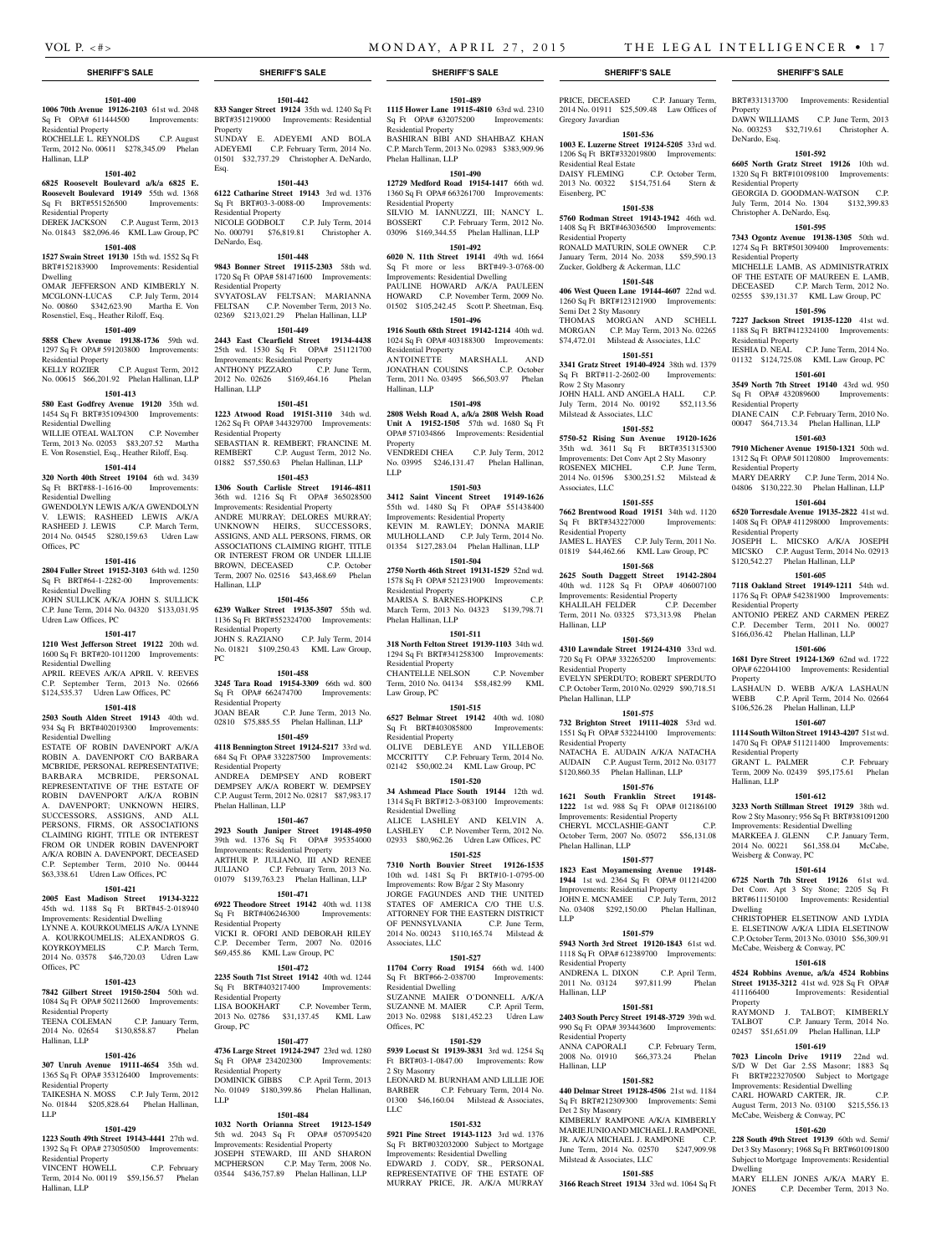Property

DeNardo, Esq.

Residential Property

Residential Property

Residential Property

Residential Property

Residential Property

Residential Property

Residential Property

Residential Property

Weisberg & Conway, PC

Hallinan, LLP

Dwelling

**Property** 

Dwelling

Property

Christopher A. DeNardo, Esq.

BRT#331313700 Improvements: Residential

DAWN WILLIAMS C.P. June Term, 2013 No. 003253 \$32,719.61 Christopher A.

**1501-592 6605 North Gratz Street 19126** 10th wd. 1320 Sq Ft BRT#101098100 Improvements:

GEORGIA D. GOODMAN-WATSON C.P. July Term, 2014 No. 1304 \$132,399.83

**1501-595 7343 Ogontz Avenue 19138-1305** 50th wd. 1274 Sq Ft BRT#501309400 Improvements:

MICHELLE LAMB, AS ADMINISTRATRIX OF THE ESTATE OF MAUREEN E. LAMB, DECEASED C.P. March Term, 2012 No. 02555 \$39,131.37 KML Law Group, PC **1501-596 7227 Jackson Street 19135-1220** 41st wd. 1188 Sq Ft BRT#412324100 Improvements:

IESHIA D. NEAL C.P. June Term, 2014 No. 01132 \$124,725.08 KML Law Group, PC **1501-601 3549 North 7th Street 19140** 43rd wd. 950 Sq Ft OPA# 432089600 Improvements:

DIANE CAIN C.P. February Term, 2010 No. 00047 \$64,713.34 Phelan Hallinan, LLP **1501-603 7910 Michener Avenue 19150-1321** 50th wd. 1312 Sq Ft OPA# 501120800 Improvements:

MARY DEARRY C.P. June Term, 2014 No. 04806 \$130,222.30 Phelan Hallinan, LLP **1501-604 6520 Torresdale Avenue 19135-2822** 41st wd. 1408 Sq Ft OPA# 411298000 Improvements:

JOSEPH L. MICSKO A/K/A JOSEPH MICSKO C.P. August Term, 2014 No. 02913 \$120,542.27 Phelan Hallinan, LLP **1501-605 7118 Oakland Street 19149-1211** 54th wd. 1176 Sq Ft OPA# 542381900 Improvements:

ANTONIO PEREZ AND CARMEN PEREZ C.P. December Term, 2011 No. 00027 \$166,036.42 Phelan Hallinan, LLP **1501-606 1681 Dyre Street 19124-1369** 62nd wd. 1722 OPA# 622044100 Improvements: Residential

LASHAUN D. WEBB A/K/A LASHAUN WEBB C.P. April Term, 2014 No. 02664 \$106,526.28 Phelan Hallinan, LLP **1501-607 1114 South Wilton Street 19143-4207** 51st wd. 1470 Sq Ft OPA# 511211400 Improvements:

GRANT L. PALMER C.P. February Term, 2009 No. 02439 \$95,175.61 Phelan

**1501-612 3233 North Stillman Street 19129** 38th wd. Row 2 Sty Masonry; 956 Sq Ft BRT#381091200 Improvements: Residential Dwelling MARKEEA J. GLENN C.P. January Term, 2014 No. 00221 \$61,358.04 McCabe,

**1501-614 6725 North 7th Street 19126** 61st wd. Det Conv. Apt 3 Sty Stone; 2205 Sq Ft BRT#611150100 Improvements: Residential

CHRISTOPHER ELSETINOW AND LYDIA E. ELSETINOW A/K/A LIDIA ELSETINOW C.P. October Term, 2013 No. 03010 \$56,309.91 McCabe, Weisberg & Conway, PC **1501-618 4524 Robbins Avenue, a/k/a 4524 Robbins Street 19135-3212** 41st wd. 928 Sq Ft OPA# 411166400 Improvements: Residential

RAYMOND J. TALBOT; KIMBERLY TALBOT C.P. January Term, 2014 No. 02457 \$51,651.09 Phelan Hallinan, LLP **1501-619 7023 Lincoln Drive 19119** 22nd wd. S/D W Det Gar 2.5S Masonr; 1883 Sq Ft BRT#223270500 Subject to Mortgage Improvements: Residential Dwelling CARL HOWARD CARTER, JR. C.P. August Term, 2013 No. 03100 \$215,556.13 McCabe, Weisberg & Conway, PC **1501-620 228 South 49th Street 19139** 60th wd. Semi/ Det 3 Sty Masonry; 1968 Sq Ft BRT#601091800 Subject to Mortgage Improvements: Residential

MARY ELLEN JONES A/K/A MARY E. JONES C.P. December Term, 2013 No.

PRICE, DECEASED C.P. January Term, 2014 No. 01911 \$25,509.48 Law Offices of

**1501-536 1003 E. Luzerne Street 19124-5205** 33rd wd. 1206 Sq Ft BRT#332019800 Improvements:

DAISY FLEMING C.P. October Term, 2013 No. 00322 \$154,751.64 Stern &

**1501-538 5760 Rodman Street 19143-1942** 46th wd. 1408 Sq Ft BRT#463036500 Improvements:

RONALD MATURIN, SOLE OWNER C.P. January Term, 2014 No. 2038 \$59,590.13 Zucker, Goldberg & Ackerman, LLC **1501-548 406 West Queen Lane 19144-4607** 22nd wd. 1260 Sq Ft BRT#123121900 Improvements:

THOMAS MORGAN AND SCHELL MORGAN C.P. May Term, 2013 No. 02265 \$74,472.01 Milstead & Associates, LLC **1501-551 3341 Gratz Street 19140-4924** 38th wd. 1379 Sq Ft BRT#11-2-2602-00 Improvements:

JOHN HALL AND ANGELA HALL C.P. July Term, 2014 No. 00192 \$52,113.56

**1501-552 5750-52 Rising Sun Avenue 19120-1626**  35th wd. 3611 Sq Ft BRT#351315300 Improvements: Det Conv Apt 2 Sty Masonry ROSENEX MICHEL C.P. June Term, 2014 No. 01596 \$300,251.52 Milstead &

**1501-555 7662 Brentwood Road 19151** 34th wd. 1120 Sq Ft BRT#343227000 Improvements:

JAMES L. HAYES C.P. July Term, 2011 No. 01819 \$44,462.66 KML Law Group, PC **1501-568 2625 South Daggett Street 19142-2804**  40th wd. 1128 Sq Ft OPA# 406007100 Improvements: Residential Property KHALILAH FELDER C.P. December Term, 2011 No. 03325 \$73,313.98 Phelan

**1501-569 4310 Lawndale Street 19124-4310** 33rd wd. 720 Sq Ft OPA# 332265200 Improvements:

EVELYN SPERDUTO; ROBERT SPERDUTO C.P. October Term, 2010 No. 02929 \$90,718.51

**1501-575 732 Brighton Street 19111-4028** 53rd wd. 1551 Sq Ft OPA# 532244100 Improvements:

NATACHA E. AUDAIN A/K/A NATACHA AUDAIN C.P. August Term, 2012 No. 03177 \$120,860.35 Phelan Hallinan, LLP **1501-576 1621 South Franklin Street 19148-** 1222 1st wd. 988 Sq Ft OPA# 012186100 Improvements: Residential Property CHERYL MCCLASHIE-GANT C.P. October Term, 2007 No. 05072 \$56,131.08

**1501-577 1823 East Moyamensing Avenue 19148- 1944** 1st wd. 2364 Sq Ft OPA# 011214200 Improvements: Residential Property JOHN E. MCNAMEE C.P. July Term, 2012 No. 03408 \$292,150.00 Phelan Hallinan,

**1501-579 5943 North 3rd Street 19120-1843** 61st wd. 1118 Sq Ft OPA# 612389700 Improvements:

ANDRENA L. DIXON C.P. April Term, 2011 No. 03124 \$97,811.99 Phelan

**1501-581 2403 South Percy Street 19148-3729** 39th wd. 990 Sq Ft OPA# 393443600 Improvements:

ANNA CAPORALI C.P. February Term, 2008 No. 01910 \$66,373.24 Phelan

**1501-582 440 Delmar Street 19128-4506** 21st wd. 1184 Sq Ft BRT#212309300 Improvements: Semi

KIMBERLY RAMPONE A/K/A KIMBERLY MARIE JUNIO AND MICHAEL J. RAMPONE, JR. A/K/A MICHAEL J. RAMPONE June Term, 2014 No. 02570 \$247,909.98

**1501-585 3166 Reach Street 19134** 33rd wd. 1064 Sq Ft

Gregory Javardian

Eisenberg, PC

Residential Property

Semi Det 2 Sty Masonry

Row 2 Sty Masonry

Associates, LLC

Residential Property

Hallinan, LLP

Residential Property

Phelan Hallinan, LLP

Residential Property

Phelan Hallinan, LLP

Residential Property

Hallinan, LLP

Residential Property

Hallinan, LLP

Det 2 Sty Masonry

Milstead & Associates, LLC

LLP

Milstead & Associates, LLC

Residential Real Estate

#### **1501-400**

**1006 70th Avenue 19126-2103** 61st wd. 2048 Sq Ft OPA# 611444500 Improvements: Residential Property ROCHELLE L. REYNOLDS C.P. August

Term, 2012 No. 00611 \$278,345.09 Phelan Hallinan, LLP

#### **1501-402**

**6825 Roosevelt Boulevard a/k/a 6825 E. Roosevelt Boulevard 19149** 55th wd. 1368 Sq Ft BRT#551526500 Residential Property

#### DEREK JACKSON C.P. August Term, 2013 No. 01843 \$82,096.46 KML Law Group, PC

# **1501-408**

**1527 Swain Street 19130** 15th wd. 1552 Sq Ft BRT#152183900 Improvements: Residential Dwelling

OMAR JEFFERSON AND KIMBERLY N. MCGLONN-LUCAS C.P. July Term, 2014 No. 00860 \$342,623.90 Martha E. Von Rosenstiel, Esq., Heather Riloff, Esq.

#### **1501-409**

**5858 Chew Avenue 19138-1736** 59th wd. 1297 Sq Ft OPA# 591203800 Improvements: Residential Property

KELLY ROZIER C.P. August Term, 2012 No. 00615 \$66,201.92 Phelan Hallinan, LLP

# **1501-413**

**580 East Godfrey Avenue 19120** 35th wd. 1454 Sq Ft BRT#351094300 Improvements: Residential Dwelling WILLIE OTEAL WALTON C.P. November

# Term, 2013 No. 02053 \$83,207.52 Martha E. Von Rosenstiel, Esq., Heather Riloff, Esq.

#### **1501-414**

**320 North 40th Street 19104** 6th wd. 3439 Sq Ft BRT#88-1-1616-00 Improvements: Residential Dwelling

GWENDOLYN LEWIS A/K/A GWENDOLYN V. LEWIS; RASHEED LEWIS A/K/A RASHEED J. LEWIS C.P. March Term, 2014 No. 04545 \$280,159.63 Udren Law Offices, PC

#### **1501-416**

**2804 Fuller Street 19152-3103** 64th wd. 1250 Sq Ft BRT#64-1-2282-00 Improvements: Residential Dwelling

JOHN SULLICK A/K/A JOHN S. SULLICK C.P. June Term, 2014 No. 04320 \$133,031.95 Udren Law Offices, PC

#### **1501-417**

**1210 West Jefferson Street 19122** 20th wd. 1600 Sq Ft BRT#20-1011200 Improvements: Residential Dwelling APRIL REEVES A/K/A APRIL V. REEVES

C.P. September Term, 2013 No. 02666 \$124,535.37 Udren Law Offices, PC **1501-418**

**2503 South Alden Street 19143** 40th wd. 934 Sq Ft BRT#402019300 Improvements: Residential Dwelling

ESTATE OF ROBIN DAVENPORT A/K/A ROBIN A. DAVENPORT C/O BARBARA MCBRIDE, PERSONAL REPRESENTATIVE; BARBARA MCBRIDE, PERSONAL REPRESENTATIVE OF THE ESTATE OF ROBIN DAVENPORT A/K/A ROBIN A. DAVENPORT; UNKNOWN HEIRS, SUCCESSORS, ASSIGNS, AND ALL PERSONS, FIRMS, OR ASSOCIATIONS CLAIMING RIGHT, TITLE OR INTEREST FROM OR UNDER ROBIN DAVENPORT A/K/A ROBIN A. DAVENPORT, DECEASED C.P. September Term, 2010 No. 00444 \$63,338.61 Udren Law Offices, PC

# **1501-421**

**2005 East Madison Street 19134-3222**  45th wd. 1188 Sq Ft BRT#45-2-018940 Improvements: Residential Dwelling LYNNE A. KOURKOUMELIS A/K/A LYNNE A. KOURKOUMELIS; ALEXANDROS G. KOYRKOYMELIS C.P. March Term,

2014 No. 03578 \$46,720.03 Udren Law Offices, PC

#### **1501-423**

**7842 Gilbert Street 19150-2504** 50th wd. 1084 Sq Ft OPA# 502112600 Improvements:

Residential Property TEENA COLEMAN C.P. January Term, 2014 No. 02654 \$130,858.87 Phelan Hallinan, LLP

#### **1501-426**

**307 Unruh Avenue 19111-4654** 35th wd. 1365 Sq Ft OPA# 353126400 Improvements: Residential Property TAIKESHA N. MOSS C.P. July Term, 2012

No. 01844 \$205,828.64 Phelan Hallinan, LLP

### **1501-429**

**1223 South 49th Street 19143-4441** 27th wd. 1392 Sq Ft OPA# 273050500 Improvements: Residential Property VINCENT HOWELL C.P. February

Term, 2014 No. 00119 \$59,156.57 Phelan Hallinan, LLP

# **1501-442**

**833 Sanger Street 19124** 35th wd. 1240 Sq Ft BRT#351219000 Improvements: Residential Property SUNDAY E. ADEYEMI AND BOLA ADEYEMI C.P. February Term, 2014 No. 01501 \$32,737.29 Christopher A. DeNardo,

### **1501-443**

Esq.

**6122 Catharine Street 19143** 3rd wd. 1376 Sq Ft BRT#03-3-0088-00 Improvements: Residential Property NICOLE GODBOLT C.P. July Term, 2014 No. 000791 \$76,819.81 Christopher A. DeNardo, Esq.

#### **1501-448**

**9843 Bonner Street 19115-2303** 58th wd. 1720 Sq Ft OPA# 581471600 Improvements: Residential Property SVYATOSLAV FELTSAN; MARIANNA FELTSAN C.P. November Term, 2013 No. 02369 \$213,021.29 Phelan Hallinan, LLP

#### **1501-449**

**2443 East Clearfield Street 19134-4438**  25th wd. 1530 Sq Ft OPA# 251121700 Improvements: Residential Property ANTHONY PIZZARO C.P. June Term, 2012 No. 02626 \$169,464.16 Phelan Hallinan, LLP

#### **1501-451**

**1223 Atwood Road 19151-3110** 34th wd. 1262 Sq Ft OPA# 344329700 Improvements: Residential Property SEBASTIAN R. REMBERT; FRANCINE M. REMBERT C.P. August Term, 2012 No. 01882 \$57,550.63 Phelan Hallinan, LLP

#### **1501-453**

**1306 South Carlisle Street 19146-4811**  36th wd. 1216 Sq Ft OPA# 365028500 Improvements: Residential Property ANDRE MURRAY; DELORES MURRAY; UNKNOWN HEIRS, SUCCESSORS, ASSIGNS, AND ALL PERSONS, FIRMS, OR ASSOCIATIONS CLAIMING RIGHT, TITLE OR INTEREST FROM OR UNDER LILLIE BROWN, DECEASED C.P. October Term, 2007 No. 02516 \$43,468.69 Phelan Hallinan, LLP

#### **1501-456**

PC

**6239 Walker Street 19135-3507** 55th wd. 1136 Sq Ft BRT#552324700 Improvements: Residential Property JOHN S. RAZIANO C.P. July Term, 2014 No. 01821 \$109,250.43 KML Law Group,

#### **1501-458**

**3245 Tara Road 19154-3309** 66th wd. 800 Sq Ft OPA# 662474700 Improvements: Residential Property JOAN BEAR C.P. June Term, 2013 No. 02810 \$75,885.55 Phelan Hallinan, LLP

#### **1501-459**

**4118 Bennington Street 19124-5217** 33rd wd. 684 Sq Ft OPA# 332287500 Improvements: Residential Property ANDREA DEMPSEY AND ROBERT DEMPSEY A/K/A ROBERT W. DEMPSEY C.P. August Term, 2012 No. 02817 \$87,983.17 Phelan Hallinan, LLP

#### **1501-467**

**2923 South Juniper Street 19148-4950**  39th wd. 1376 Sq Ft OPA# 395354000 Improvements: Residential Property ARTHUR P. JULIANO, III AND RENEE JULIANO C.P. February Term, 2013 No. 01079 \$139,763.23 Phelan Hallinan, LLP **1501-471**

**6922 Theodore Street 19142** 40th wd. 1138 Sq Ft BRT#406246300 Improvements: Residential Property VICKI R. OFORI AND DEBORAH RILEY C.P. December Term, 2007 No. 02016 \$69,455.86 KML Law Group, PC

#### **1501-472**

**2235 South 71st Street 19142** 40th wd. 1244 Sq Ft BRT#403217400 Improvements: Residential Property

LISA BOOKHART C.P. November Term, 2013 No. 02786 \$31,137.45 KML Law Group, PC

#### **1501-477**

**4736 Large Street 19124-2947** 23rd wd. 1280 Sq Ft OPA# 234202300 Improvements: Residential Property<br>DOMINICK GIBBS C.P. April Term, 2013 No. 01049 \$180,399.86 Phelan Hallinan, LLP

#### **1501-484**

**1032 North Orianna Street 19123-1549**  5th wd. 2043 Sq Ft OPA# 057095420 Improvements: Residential Property JOSEPH STEWARD, III AND SHARON MCPHERSON C.P. May Term, 2008 No. 03544 \$436,757.89 Phelan Hallinan, LLP

#### **SHERIFF'S SALE SHERIFF'S SALE SHERIFF'S SALE SHERIFF'S SALE SHERIFF'S SALE**

#### **1501-489**

**1115 Hower Lane 19115-4810** 63rd wd. 2310 Sq Ft OPA# 632075200 Improvements: Residential Property BASHIRAN BIBI AND SHAHBAZ KHAN C.P. March Term, 2013 No. 02983 \$383,909.96 Phelan Hallinan, LLP

# **1501-490**

**12729 Medford Road 19154-1417** 66th wd. 1360 Sq Ft OPA# 663261700 Improvements: Residential Property SILVIO M. IANNUZZI, III; NANCY L.

BOSSERT C.P. February Term, 2012 No. 03096 \$169,344.55 Phelan Hallinan, LLP **1501-492**

**6020 N. 11th Street 19141** 49th wd. 1664 Sq Ft more or less BRT#49-3-0768-00 Improvements: Residential Dwelling PAULINE HOWARD A/K/A PAULEEN HOWARD C.P. November Term, 2009 No. 01502 \$105,242.45 Scott P. Sheetman, Esq.

#### **1501-496**

**1916 South 68th Street 19142-1214** 40th wd. 1024 Sq Ft OPA# 403188300 Improvements: Residential Property

ANTOINETTE MARSHALL AND JONATHAN COUSINS C.P. October Term, 2011 No. 03495 \$66,503.97 Phelan Hallinan, LLP

#### **1501-498**

**2808 Welsh Road A, a/k/a 2808 Welsh Road Unit A 19152-1505** 57th wd. 1680 Sq Ft OPA# 571034866 Improvements: Residential Property VENDREDI CHEA C.P. July Term, 2012

No. 03995 \$246,131.47 Phelan Hallinan, LLP

#### **1501-503**

**3412 Saint Vincent Street 19149-1626**  55th wd. 1480 Sq Ft OPA# 551438400 Improvements: Residential Property KEVIN M. RAWLEY; DONNA MARIE MULHOLLAND C.P. July Term, 2014 No. 01354 \$127,283.04 Phelan Hallinan, LLP

#### **1501-504 2750 North 46th Street 19131-1529** 52nd wd.

1578 Sq Ft OPA# 521231900 Improvements: Residential Property MARISA S. BARNES-HOPKINS March Term, 2013 No. 04323 \$139,798.71

Phelan Hallinan, LLP **1501-511**

#### **318 North Felton Street 19139-1103** 34th wd. 1294 Sq Ft BRT#341258300 Improvements: Residential Property CHANTELLE NELSON C.P. November Term, 2010 No. 04134 \$58,482.99 KML Law Group, PC

#### **1501-515**

**6527 Belmar Street 19142** 40th wd. 1080 Sq Ft BRT#403085800 Improvements: Residential Property OLIVE DEBLEYE AND YILLEBOE MCCRITTY C.P. February Term, 2014 No. 02142 \$50,002.24 KML Law Group, PC

### **1501-520**

**34 Ashmead Place South 19144** 12th wd. 1314 Sq Ft BRT#12-3-083100 Improvements: Residential Dwelling ALICE LASHLEY AND KELVIN A. LASHLEY C.P. November Term, 2012 No. 02933 \$80,962.26 Udren Law Offices, PC

#### **1501-525**

**7310 North Bouvier Street 19126-1535**  10th wd. 1481 Sq Ft BRT#10-1-0795-00 Improvements: Row B/gar 2 Sty Masonry JORGE FAGUNDES AND THE UNITED STATES OF AMERICA C/O THE U.S. ATTORNEY FOR THE EASTERN DISTRICT OF PENNSYLVANIA C.P. June Term, 2014 No. 00243 \$110,165.74 Milstead & Associates, LLC

#### **1501-527**

**11704 Corry Road 19154** 66th wd. 1400 Sq Ft BRT#66-2-038700 Improvements: Residential Dwelling SUZANNE MAIER O'DONNELL A/K/A SUZANNE M. MAIER C.P. April Term,

2013 No. 02988 \$181,452.23 Udren Law

**1501-529 5939 Locust St 19139-3831** 3rd wd. 1254 Sq Ft BRT#03-1-0847.00 Improvements: Row

LEONARD M. BURNHAM AND LILLIE JOE BARBER C.P. February Term, 2014 No. 01300 \$46,160.04 Milstead & Associates,

**1501-532 5921 Pine Street 19143-1123** 3rd wd. 1376 Sq Ft BRT#032032000 Subject to Mortgage Improvements: Residential Dwelling EDWARD J. CODY, SR., PERSONAL REPRESENTATIVE OF THE ESTATE OF MURRAY PRICE, JR. A/K/A MURRAY

Offices, PC

2 Sty Masonry

LLC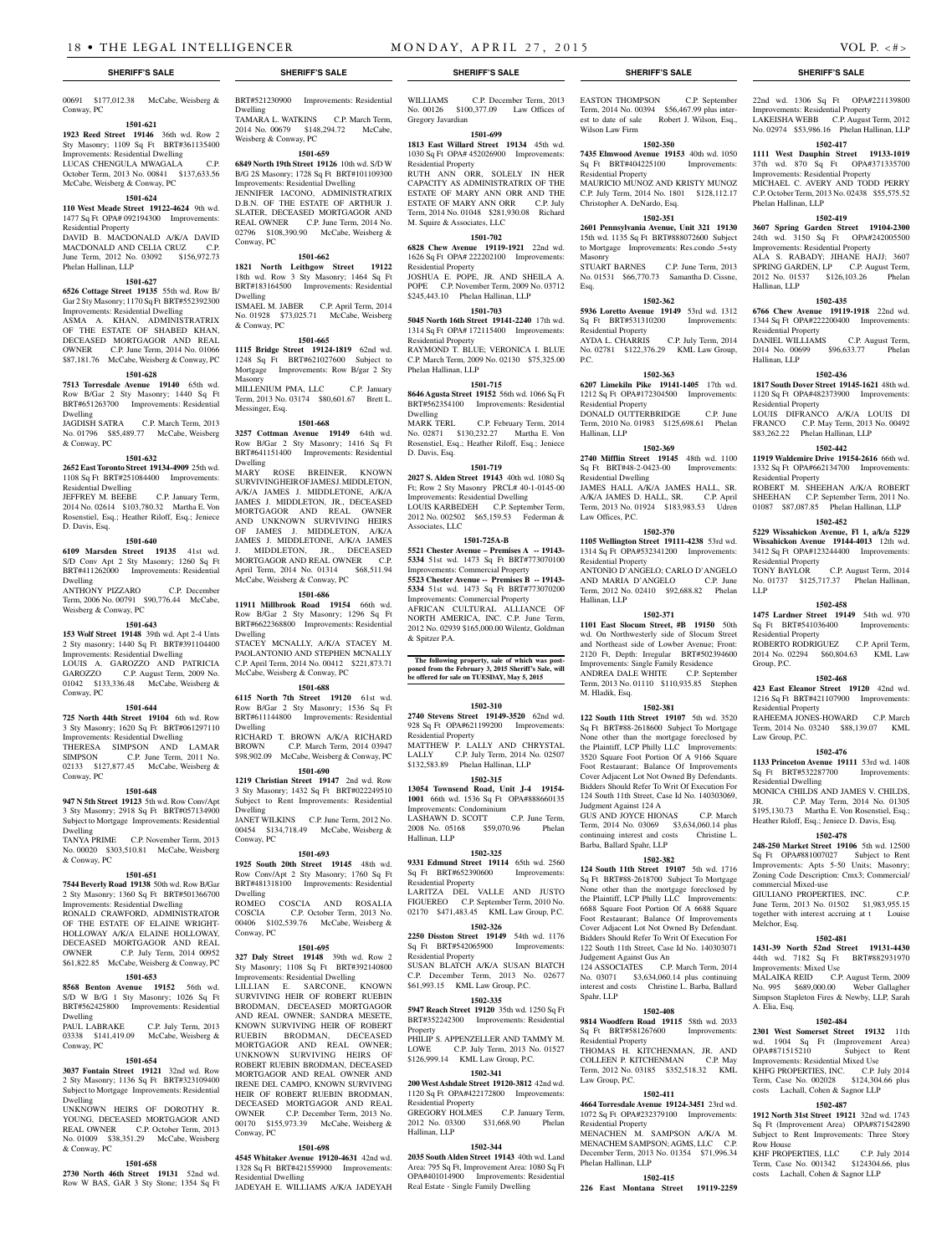# 00691 \$177,012.38 McCabe, Weisberg & Conway, PC

**1501-621 1923 Reed Street 19146** 36th wd. Row 2

Sty Masonry; 1109 Sq Ft BRT#361135400 Improvements: Residential Dwelling LUCAS CHENGULA MWAGALA C.P. October Term, 2013 No. 00841 \$137,633.56 McCabe, Weisberg & Conway, PC

#### **1501-624**

**110 West Meade Street 19122-4624** 9th wd. 1477 Sq Ft OPA# 092194300 Improvements: Residential Property DAVID B. MACDONALD A/K/A DAVID

MACDONALD AND CELIA CRUZ June Term, 2012 No. 03092 \$156,972.73 Phelan Hallinan, LLP

#### **1501-627**

**6526 Cottage Street 19135** 55th wd. Row B/ Gar 2 Sty Masonry; 1170 Sq Ft BRT#552392300 Improvements: Residential Dwelling ASMA A. KHAN, ADMINISTRATRIX OF THE ESTATE OF SHABED KHAN, DECEASED MORTGAGOR AND REAL OWNER C.P. June Term, 2014 No. 01066 \$87,181.76 McCabe, Weisberg & Conway, PC

# **1501-628**

**7513 Torresdale Avenue 19140** 65th wd. Row B/Gar 2 Sty Masonry; 1440 Sq Ft BRT#651263700 Improvements: Residential Dwelling

JAGDISH SATRA C.P. March Term, 2013 No. 01796 \$85,489.77 McCabe, Weisberg & Conway, PC

#### **1501-632**

**2652 East Toronto Street 19134-4909** 25th wd. 1108 Sq Ft BRT#251084400 Improvements: Residential Dwelling

JEFFREY M. BEEBE C.P. January Term, 2014 No. 02614 \$103,780.32 Martha E. Von Rosenstiel, Esq.; Heather Riloff, Esq.; Jeniece D. Davis, Esq.

#### **1501-640**

**6109 Marsden Street 19135** 41st wd. S/D Conv Apt 2 Sty Masonry; 1260 Sq Ft BRT#411262000 Improvements: Residential Dwelling

ANTHONY PIZZARO C.P. December Term, 2006 No. 00791 \$90,776.44 McCabe, Weisberg & Conway, PC

#### **1501-643**

**153 Wolf Street 19148** 39th wd. Apt 2-4 Unts 2 Sty masonry; 1440 Sq Ft BRT#391104400 Improvements: Residential Dwelling LOUIS A. GAROZZO AND PATRICIA<br>GAROZZO C.P. August Term, 2009 No. C.P. August Term, 2009 No. 01042 \$133,336.48 McCabe, Weisberg & Conway, PC

#### **1501-644**

**725 North 44th Street 19104** 6th wd. Row 3 Sty Masonry; 1620 Sq Ft BRT#061297110 Improvements: Residential Dwelling THERESA SIMPSON AND LAMAR<br>SIMPSON C.P. June Term, 2011 No. C.P. June Term, 2011 No. 02133 \$127,877.45 McCabe, Weisberg & Conway, PC

#### **1501-648**

**947 N 5th Street 19123** 5th wd. Row Conv/Apt 3 Sty Masonry; 2918 Sq Ft BRT#057134900 Subject to Mortgage Improvements: Residential Dwelling

TANYA PRIME C.P. November Term, 2013 No. 00020 \$303,510.81 McCabe, Weisberg & Conway, PC

#### **1501-651**

**7544 Beverly Road 19138** 50th wd. Row B/Gar 2 Sty Masonry; 1360 Sq Ft BRT#501366700 Improvements: Residential Dwelling

RONALD CRAWFORD, ADMINISTRATOR OF THE ESTATE OF ELAINE WRIGHT-HOLLOWAY A/K/A ELAINE HOLLOWAY, DECEASED MORTGAGOR AND REAL OWNER C.P. July Term, 2014 00952 \$61,822.85 McCabe, Weisberg & Conway, PC

# **1501-653**

**8568 Benton Avenue 19152** 56th wd. S/D W B/G 1 Sty Masonry; 1026 Sq Ft BRT#562425800 Improvements: Residential Dwelling<br>PAUL LABRAKE

C.P. July Term, 2013 03338 \$141,419.09 McCabe, Weisberg & Conway, PC

#### **1501-654**

**3037 Fontain Street 19121** 32nd wd. Row 2 Sty Masonry; 1136 Sq Ft BRT#323109400 Subject to Mortgage Improvements: Residential Dwelling

UNKNOWN HEIRS OF DOROTHY R. YOUNG, DECEASED MORTGAGOR AND REAL OWNER C.P. October Term, 2013 No. 01009 \$38,351.29 McCabe, Weisberg & Conway, PC

### **1501-658**

**2730 North 46th Street 19131** 52nd wd. Row W BAS, GAR 3 Sty Stone: 1354 Sq Ft BRT#521230900 Improvements: Residential Dwelling TAMARA L. WATKINS C.P. March Term, 2014 No. 00679 \$148,294.72 McCabe,

Weisberg & Conway, PC **1501-659 6849 North 19th Street 19126** 10th wd. S/D W

B/G 2S Masonry; 1728 Sq Ft BRT#101109300 Improvements: Residential Dwelling JENNIFER IACONO, ADMINISTRATRIX D.B.N. OF THE ESTATE OF ARTHUR J. SLATER, DECEASED MORTGAGOR AND REAL OWNER C.P. June Term, 2014 No.

**1501-662**

ISMAEL M. JABER C.P. April Term, 2014 No. 01928 \$73,025.71 McCabe, Weisberg

**1501-665 1115 Bridge Street 19124-1819** 62nd wd. 1248 Sq Ft BRT#621027600 Subject to<br>Mortgage Improvements: Row B/gar 2 Sty Improvements: Row B/gar 2 Sty

MILLENIUM PMA, LLC C.P. January Term, 2013 No. 03174 \$80,601.67 Brett L.

**1501-668 3257 Cottman Avenue 19149** 64th wd. Row B/Gar 2 Sty Masonry; 1416 Sq Ft<br>BRT#641151400 Improvements: Residential

MARY ROSE BREINER, KNOWN SURVIVINGHEIR OF JAMES J. MIDDLETON, A/K/A JAMES J. MIDDLETONE, A/K/A JAMES J. MIDDLETON, JR., DECEASED MORTGAGOR AND REAL OWNER AND UNKNOWN SURVIVING HEIRS OF JAMES J. MIDDLETON, A/K/A JAMES J. MIDDLETONE, A/K/A JAMES J. MIDDLETON, JR., DECEASED MORTGAGOR AND REAL OWNER C.P. April Term, 2014 No. 01314 \$68,511.94

McCabe, Weisberg & Conway, PC **1501-686 11911 Millbrook Road 19154** 66th wd. Row B/Gar 2 Sty Masonry; 1296 Sq Ft BRT#6622368800 Improvements: Residential

STACEY MCNALLY, A/K/A STACEY M. PAOLANTONIO AND STEPHEN MCNALLY C.P. April Term, 2014 No. 00412 \$221,873.71 McCabe, Weisberg & Conway, PC

**1501-688 6115 North 7th Street 19120** 61st wd. Row B/Gar 2 Sty Masonry; 1536 Sq Ft BRT#611144800 Improvements: Residential

RICHARD T. BROWN A/K/A RICHARD<br>BROWN C.P. March Term. 2014 03947

\$98,902.09 McCabe, Weisberg & Conway, PC **1501-690 1219 Christian Street 19147** 2nd wd. Row 3 Sty Masonry; 1432 Sq Ft BRT#022249510 Subject to Rent Improvements: Residential

JANET WILKINS C.P. June Term, 2012 No. 00454 \$134,718.49 McCabe, Weisberg &

**1501-693 1925 South 20th Street 19145** 48th wd. Row Conv/Apt 2 Sty Masonry; 1760 Sq Ft BRT#481318100 Improvements: Residential

**1501-695 327 Daly Street 19148** 39th wd. Row 2 Sty Masonry; 1108 Sq Ft BRT#392140800 Improvements: Residential Dwelling LILLIAN E. SARCONE, KNOWN SURVIVING HEIR OF ROBERT RUEBIN BRODMAN, DECEASED MORTGAGOR AND REAL OWNER; SANDRA MESETE, KNOWN SURVIVING HEIR OF ROBERT RUEBIN BRODMAN, DECEASED MORTGAGOR AND REAL OWNER UNKNOWN SURVIVING HEIRS OF ROBERT RUEBIN BRODMAN, DECEASED MORTGAGOR AND REAL OWNER AND IRENE DEL CAMPO, KNOWN SURVIVING HEIR OF ROBERT RUEBIN BRODMAN, DECEASED MORTGAGOR AND REAL OWNER C.P. December Term, 2013 No. 00170 \$155,973.39 McCabe, Weisberg &

**1501-698 4545 Whitaker Avenue 19120-4631** 42nd wd. 1328 Sq Ft BRT#421559900 Improvements:

JADEYAH E. WILLIAMS A/K/A JADEYAH

COSCIA AND ROSALIA COSCIA C.P. October Term, 2013 No. 00406 \$102,539.76 McCabe, Weisberg &

C.P. March Term, 2014 03947

Improvements: Residential

Conway, PC

Dwelling

Masonry

Dwelling

Dwelling

Dwelling

Dwelling

Conway, PC

Dwelling

Conway, PC

Conway, PC

Residential Dwelling

Messinger, Esq.

& Conway, PC

# 02796 \$108,390.90 McCabe, Weisberg & M. Squire & Associates, LLC

**1821 North Leithgow Street 19122**  18th wd. Row 3 Sty Masonry; 1464 Sq Ft BRT#183164500 Improvements: Residential **6828 Chew Avenue 19119-1921** 22nd wd. 1626 Sq Ft OPA# 222202100 Improvements: Residential Property JOSHUA E. POPE, JR. AND SHEILA A.

POPE C.P. November Term, 2009 No. 03712 \$245,443.10 Phelan Hallinan, LLP **1501-703**

**1501-702**

WILLIAMS C.P. December Term, 2013 No. 00126 \$100,377.09 Law Offices of

**1501-699 1813 East Willard Street 19134** 45th wd. 1030 Sq Ft OPA# 452026900 Improvements:

RUTH ANN ORR, SOLELY IN HER CAPACITY AS ADMINISTRATRIX OF THE ESTATE OF MARY ANN ORR AND THE ESTATE OF MARY ANN ORR C.P. July Term, 2014 No. 01048 \$281,930.08 Richard

Gregory Javardian

Residential Property

#### **5045 North 16th Street 19141-2240** 17th wd. 1314 Sq Ft OPA# 172115400 Improvements:

Residential Property RAYMOND T. BLUE; VERONICA I. BLUE C.P. March Term, 2009 No. 02130 \$75,325.00 Phelan Hallinan, LLP

#### **1501-715**

**8646 Agusta Street 19152** 56th wd. 1066 Sq Ft BRT#562354100 Improvements: Residential --<br>Dwelling<br>MARK TERL C.P. February Term, 2014

No. 02871 \$130,232.27 Martha E. Von Rosenstiel, Esq.; Heather Riloff, Esq.; Jeniece D. Davis, Esq. **1501-719**

**2027 S. Alden Street 19143** 40th wd. 1080 Sq Ft; Row 2 Sty Masonry PRCL# 40-1-0145-00 Improvements: Residential Dwelling LOUIS KARBEDEH C.P. September Term, 2012 No. 002502 \$65,159.53 Federman & Associates, LLC

### **1501-725A-B**

**5521 Chester Avenue – Premises A -- 19143- 5334** 51st wd. 1473 Sq Ft BRT#773070100 Improvements: Commercial Property

**5523 Chester Avenue -- Premises B -- 19143- 5334** 51st wd. 1473 Sq Ft BRT#773070200 Improvements: Commercial Property AFRICAN CULTURAL ALLIANCE OF NORTH AMERICA, INC. C.P. June Term, 2012 No. 02939 \$165,000.00 Wilentz, Goldman & Spitzer P.A.

# **The following property, sale of which was post-poned from the February 3, 2015 Sheriff's Sale, will be offered for sale on TUESDAY, May 5, 2015**

#### **1502-310**

**2740 Stevens Street 19149-3520** 62nd wd. 928 Sq Ft OPA#621199200 Improvements: Residential Property MATTHEW P. LALLY AND CHRYSTAL LALLY C.P. July Term, 2014 No. 02507 \$132,583.89 Phelan Hallinan, LLP

#### **1502-315 13054 Townsend Road, Unit J-4 19154-**

**1001** 66th wd. 1536 Sq Ft OPA#888660135 Improvements: Condominium LASHAWN D. SCOTT C.P. June Term, 2008 No. 05168 \$59,070.96 Phelan

#### **1502-325**

Hallinan, LLP

**9331 Edmund Street 19114** 65th wd. 2560 Sq Ft BRT#652390600 Improvements: Residential Property LARITZA DEL VALLE AND JUSTO FIGUEREO C.P. September Term, 2010 No. 02170 \$471,483.45 KML Law Group, P.C.

# **1502-326 2250 Disston Street 19149** 54th wd. 1176

Sq Ft BRT#542065900 Improvements: Residential Property SUSAN BLATCH A/K/A SUSAN BIATCH C.P. December Term, 2013 No. 02677 \$61,993.15 KML Law Group, P.C.

#### **1502-335**

**5947 Reach Street 19120** 35th wd. 1250 Sq Ft BRT#352242300 Improvements: Residential Property PHILIP S. APPENZELLER AND TAMMY M.

LOWE C.P. July Term, 2013 No. 01527 \$126,999.14 KML Law Group, P.C.

#### **1502-341**

**200 West Ashdale Street 19120-3812** 42nd wd. 1120 Sq Ft OPA#422172800 Improvements: Residential Property GREGORY HOLMES C.P. January Term,<br>2012 No. 03300 \$31,668.90 Phelan 2012 No. 03300 Hallinan, LLP

#### **1502-344**

**2035 South Alden Street 19143** 40th wd. Land Area: 795 Sq Ft, Improvement Area: 1080 Sq Ft OPA#401014900 Improvements: Residential Real Estate - Single Family Dwelling

#### **SHERIFF'S SALE SHERIFF'S SALE SHERIFF'S SALE SHERIFF'S SALE SHERIFF'S SALE**

EASTON THOMPSON C.P. September Term, 2014 No. 00394 \$56,467.99 plus interest to date of sale Robert J. Wilson, Esq., Wilson Law Firm

# **1502-350**

**7435 Elmwood Avenue 19153** 40th wd. 1050<br>Sq Ft BRT#404225100 Improvements: Sq Ft BRT#404225100 Residential Property MAURICIO MUNOZ AND KRISTY MUNOZ C.P. July Term, 2014 No. 1801 \$128,112.17 Christopher A. DeNardo, Esq.

#### **1502-351**

**2601 Pennsylvania Avenue, Unit 321 19130**  15th wd. 1135 Sq Ft BRT#888072600 Subject to Mortgage Improvements: Res.condo .5+sty Masonry STUART BARNES C.P. June Term, 2013 No. 01531 \$66,770.73 Samantha D. Cissne,

Esq. **1502-362**

#### **5936 Loretto Avenue 19149** 53rd wd. 1312<br>Sq Ft BRT#531310200 Improvements: Sq Ft BRT#531310200

Residential Property AYDA L. CHARRIS C.P. July Term, 2014 No. 02781 \$122,376.29 KML Law Group, P.C.

#### **1502-363**

**6207 Limekiln Pike 19141-1405** 17th wd. 1212 Sq Ft OPA#172304500 Improvements: Residential Property DONALD OUTTERBRIDGE C.P. June

Term, 2010 No. 01983 \$125,698.61 Phelan Hallinan, LLP

#### **1502-369 2740 Mifflin Street 19145** 48th wd. 1100

Sq Ft BRT#48-2-0423-00 Improvements: Residential Dwelling JAMES HALL A/K/A JAMES HALL, SR. A/K/A JAMES D. HALL, SR. C.P. April

Term, 2013 No. 01924 \$183,983.53 Udren Law Offices, P.C. **1502-370**

**1105 Wellington Street 19111-4238** 53rd wd. 1314 Sq Ft OPA#532341200 Improvements: Residential Property ANTONIO D'ANGELO; CARLO D'ANGELO AND MARIA D'ANGELO C.P. June Term, 2012 No. 02410 \$92,688.82 Phelan Hallinan, LLP

#### **1502-371**

**1101 East Slocum Street, #B 19150** 50th wd. On Northwesterly side of Slocum Street and Northeast side of Lowber Avenue; Front: 2120 Ft, Depth: Irregular BRT#502394600 Improvements: Single Family Residence ANDREA DALE WHITE C.P. September Term, 2013 No. 01110 \$110,935.85 Stephen M. Hladik, Esq.

#### **1502-381**

**122 South 11th Street 19107** 5th wd. 3520 Sq Ft BRT#88-2618600 Subject To Mortgage None other than the mortgage foreclosed by the Plaintiff, LCP Philly LLC Improvements: 3520 Square Foot Portion Of A 9166 Square Foot Restaurant; Balance Of Improvements Cover Adjacent Lot Not Owned By Defendants. Bidders Should Refer To Writ Of Execution For 124 South 11th Street, Case Id No. 140303069, Judgment Against 124 A GUS AND JOYCE HIONAS C.P. March Term, 2014 No. 03069 \$3,634,060.14 plus continuing interest and costs Christine L. Barba, Ballard Spahr, LLP

#### **1502-382**

**124 South 11th Street 19107** 5th wd. 1716 Sq Ft BRT#88-2618700 Subject To Mortgage None other than the mortgage foreclosed by the Plaintiff, LCP Philly LLC Improvements: 6688 Square Foot Portion Of A 6688 Square Foot Restaurant; Balance Of Improvements Cover Adjacent Lot Not Owned By Defendant. Bidders Should Refer To Writ Of Execution For 122 South 11th Street, Case Id No. 140303071 Judgement Against Gus An 124 ASSOCIATES C.P. March Term, 2014 No. 03071 \$3,634,060.14 plus continuing

interest and costs Christine L. Barba, Ballard Spahr, LLP **1502-408**

**9814 Woodfern Road 19115** 58th wd. 2033 Sq Ft BRT#581267600 Improvements: Residential Property THOMAS H. KITCHENMAN, JR. AND<br>COLLEEN P. KITCHENMAN C.P. May COLLEEN P. KITCHENMAN Term, 2012 No. 03185 \$352,518.32 KML

#### Law Group, P.C. **1502-411**

Phelan Hallinan, LLP

**4664 Torresdale Avenue 19124-3451** 23rd wd. 1072 Sq Ft OPA#232379100 Improvements: Residential Property MENACHEN M. SAMPSON A/K/A M. MENACHEM SAMPSON; AGMS, LLC C.P. December Term, 2013 No. 01354 \$71,996.34

**1502-415 226 East Montana Street 19119-2259** 

22nd wd. 1306 Sq Ft OPA#221139800 Improvements: Residential Property LAKEISHA WEBB C.P. August Term, 2012 No. 02974 \$53,986.16 Phelan Hallinan, LLP

#### **1502-417 1111 West Dauphin Street 19133-1019**  37th wd. 870 Sq Ft OPA#371335700

**1502-419 3607 Spring Garden Street 19104-2300**  24th wd. 3150 Sq Ft OPA#242005500 Improvements: Residential Property ALA S. RABADY; JIHANE HAJJ; 3607 SPRING GARDEN, LP C.P. August Term, 2012 No. 01537 \$126,103.26 Phelan

**1502-435 6766 Chew Avenue 19119-1918** 22nd wd. 1344 Sq Ft OPA#222200400 Improvements:

DANIEL WILLIAMS C.P. August Term,<br>2014 No. 00699 \$96,633.77 Phelan 2014 No. 00699 \$96,633.77 Phelan

**1502-436 1817 South Dover Street 19145-1621** 48th wd. 1120 Sq Ft OPA#482373900 Improvements:

LOUIS DIFRANCO A/K/A LOUIS DI FRANCO C.P. May Term, 2013 No. 00492 \$83,262.22 Phelan Hallinan, LLP **1502-442 11919 Waldemire Drive 19154-2616** 66th wd. 1332 Sq Ft OPA#662134700 Improvements:

ROBERT M. SHEEHAN A/K/A ROBERT SHEEHAN C.P. September Term, 2011 No. 01087 \$87,087.85 Phelan Hallinan, LLP **1502-452 5229 Wissahickon Avenue, Fl 1, a/k/a 5229 Wissahickon Avenue 19144-4013** 12th wd.<br>3412 Sq Ft OPA#123244400 Improvements: 3412 Sq Ft OPA#123244400 Improvements:

TONY BAYLOR C.P. August Term, 2014 No. 01737 \$125,717.37 Phelan Hallinan.

**1502-458 1475 Lardner Street 19149** 54th wd. 970 Sq Ft BRT#541036400 Improvements:

ROBERTO RODRIGUEZ C.P. April Term, 2014 No. 02294 \$60,804.63 KML Law

**1502-468 423 East Eleanor Street 19120** 42nd wd. 1216 Sq Ft BRT#421107900 Improvements:

RAHEEMA JONES-HOWARD C.P. March Term, 2014 No. 03240 \$88,139.07 KML

**1502-476 1133 Princeton Avenue 19111** 53rd wd. 1408 Sq Ft BRT#532287700 Improvements:

MONICA CHILDS AND JAMES V. CHILDS, JR. C.P. May Term, 2014 No. 01305 \$195,130.73 Martha E. Von Rosenstiel, Esq.; Heather Riloff, Esq.; Jeniece D. Davis, Esq. **1502-478 248-250 Market Street 19106** 5th wd. 12500 Sq Ft OPA#881007027 Subject to Rent Improvements: Apts 5-50 Units; Masonry; Zoning Code Description: Cmx3; Commercial/

GIULIANO PROPERTIES, INC. C.P. June Term, 2013 No. 01502 \$1,983,955.15 together with interest accruing at t Louise

**1502-481 1431-39 North 52nd Street 19131-4430**  44th wd. 7182 Sq Ft BRT#882931970

MALAIKA REID C.P. August Term, 2009 No. 995 \$689,000.00 Weber Gallagher Simpson Stapleton Fires & Newby, LLP, Sarah

**1502-484 2301 West Somerset Street 19132** 11th wd. 1904 Sq Ft (Improvement Area) OPA#871515210 Subject to Rent Improvements: Residential Mixed Use KHFG PROPERTIES, INC. C.P. July 2014 Term, Case No. 002028 \$124,304.66 plus costs Lachall, Cohen & Sagnor LLP **1502-487 1912 North 31st Street 19121** 32nd wd. 1743 Sq Ft (Improvement Area) OPA#871542890 Subject to Rent Improvements: Three Story

KHF PROPERTIES, LLC C.P. July 2014 Term, Case No. 001342 \$124304.66, plus costs Lachall, Cohen & Sagnor LLP

Improvements: Residential Property MICHAEL C. AVERY AND TODD PERRY C.P. October Term, 2013 No. 02438 \$55,575.52

Phelan Hallinan, LLP

Hallinan, LLP

Hallinan, LLP

Residential Property

Residential Property

Residential Property

Residential Property

Residential Property

Residential Property

Law Group, P.C.

Residential Dwelling

commercial Mixed-use

Improvements: Mixed Use

Melchor, Esq.

A. Elia, Esq.

Row House

Group, P.C.

LLP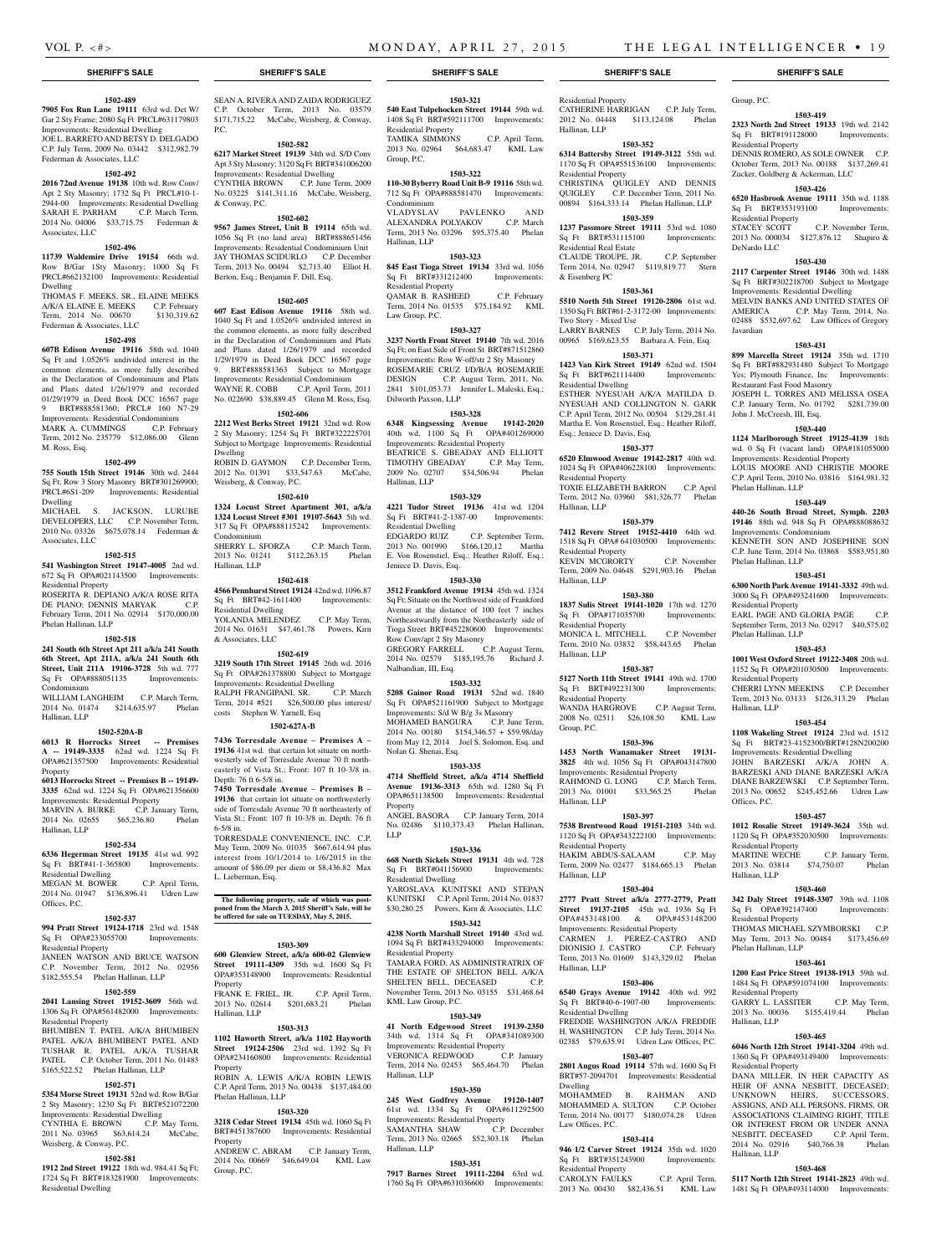Group, P.C.

Sq Ft BRT#191128000 Residential Property

Residential Property<br>STACEY SCOTT

DeNardo LLC

Javardian

**1503-419 2323 North 2nd Street 19133** 19th wd. 2142

DENNIS ROMERO, AS SOLE OWNER C.P. October Term, 2013 No. 00188 \$137,269.41 Zucker, Goldberg & Ackerman, LLC **1503-426 6520 Hasbrook Avenue 19111** 35th wd. 1188 Sq Ft BRT#353193100 Improvements:

2013 No. 000034 \$127,876.12 Shapiro &

**1503-430 2117 Carpenter Street 19146** 30th wd. 1488 Sq Ft BRT#302218700 Subject to Mortgage Improvements: Residential Dwelling MELVIN BANKS AND UNITED STATES OF AMERICA C.P. May Term, 2014, No. 02488 \$532,697.62 Law Offices of Gregory

**1503-431 899 Marcella Street 19124** 35th wd. 1710 Sq Ft BRT#882931480 Subject To Mortgage Yes; Plymouth Finance, Inc Improvements:

JOSEPH L. TORRES AND MELISSA OSEA C.P. January Term, No. 01792 \$281,739.00

**1503-440 1124 Marlborough Street 19125-4139** 18th wd. 0 Sq Ft (vacant land) OPA#181055000 Improvements: Residential Property LOUIS MOORE AND CHRISTIE MOORE C.P. April Term, 2010 No. 03816 \$164,981.32

**1503-449 440-26 South Broad Street, Symph. 2203 19146** 88th wd. 948 Sq Ft OPA#888088632

KENNETH SON AND JOSEPHINE SON C.P. June Term, 2014 No. 03868 \$583,951.80

**1503-451 6300 North Park Avenue 19141-3332** 49th wd. 3000 Sq Ft OPA#493241600 Improvements:

EARL PAGE AND GLORIA PAGE C.P. September Term, 2013 No. 02917 \$40,575.02

**1503-453 1001 West Oxford Street 19122-3408** 20th wd. 1152 Sq Ft OPA#201030500 Improvements:

CHERRI LYNN MEEKINS C.P. December Term, 2013 No. 03133 \$126,313.29 Phelan

**1503-454 1108 Wakeling Street 19124** 23rd wd. 1512 Sq Ft BRT#23-4152300/BRT#128N200200 Improvements: Residential Dwelling JOHN BARZESKI A/K/A JOHN A. BARZESKI AND DIANE BARZESKI A/K/A DIANE BARZEWSKI C.P. September Term, 2013 No. 00652 \$245,452.66 Udren Law

**1503-457 1012 Rosalie Street 19149-3624** 35th wd. 1120 Sq Ft OPA#352030500 Improvements:

2013 No. 03814 \$74,750.07 Phelan

**1503-460 342 Daly Street 19148-3307** 39th wd. 1108 Sq Ft OPA#392147400 Improvements:

THOMAS MICHAEL SZYMBORSKI C.P. May Term, 2013 No. 00484 \$173,456.69

**1503-461 1200 East Price Street 19138-1913** 59th wd. 1484 Sq Ft OPA#591074100 Improvements:

2013 No. 00036 \$155,419.44 Phelan

**1503-465 6046 North 12th Street 19141-3204** 49th wd. 1360 Sq Ft OPA#493149400 Improvements:

DANA MILLER, IN HER CAPACITY AS HEIR OF ANNA NESBITT DECEASED. UNKNOWN HEIRS, SUCCESSORS, ASSIGNS, AND ALL PERSONS, FIRMS, OR ASSOCIATIONS CLAIMING RIGHT, TITLE OR INTEREST FROM OR UNDER ANNA NESBITT, DECEASED C.P. April Term,<br>2014 No. 02916 \$40.766.38 Phelan 2014 No. 02916 \$40,766.38

**1503-468 5117 North 12th Street 19141-2823** 49th wd. 1481 Sq Ft OPA#493114000 Improvements:

C.P. January Term,

C.P. May Term,

Restaurant Fast Food Masonry

John J. McCreesh, III, Esq.

Phelan Hallinan, LLP

Phelan Hallinan, LLP

Residential Property

Phelan Hallinan, LLP

Residential Property

Hallinan, LLP

Offices, P.C.

Residential Property

Hallinan, LLP

Residential Property

Phelan Hallinan, LLP

Residential Property<br>GARRY L. LASSITER

Hallinan, LLP

Residential Property

Hallinan, LLP

Improvements: Condominium

C.P. November Term,

#### **1502-489**

**7905 Fox Run Lane 19111** 63rd wd. Det W/ Gar 2 Sty Frame: 2080 Sq Ft PRCL#631179803 Improvements: Residential Dwelling JOE L. BARRETO AND BETSY D. DELGADO C.P. July Term, 2009 No. 03442 \$312,982.79 Federman & Associates, LLC

# **1502-492**

**2016 72nd Avenue 19138** 10th wd. Row Conv/ Apt 2 Sty Masonry; 1732 Sq Ft PRCL#10-1- Improvements: Residential Dwelling SARAH E. PARHAM C.P. March Term, 2014 No. 04006 \$33,715.75 Federman & Associates, LLC

#### **1502-496**

**11739 Waldemire Drive 19154** 66th wd. Row B/Gar 1Sty Masonry; 1000 Sq Ft PRCL#662132100 Improvements: Residential Dwelling

THOMAS F. MEEKS, SR., ELAINE MEEKS A/K/A ELAINE E. MEEKS C.P. February<br>Term 2014 No. 00670 \$130 319 62 Term, 2014 No. 00670 Federman & Associates, LLC

#### **1502-498**

**607B Edison Avenue 19116** 58th wd. 1040 Sq Ft and 1.0526% undivided interest in the common elements, as more fully described in the Declaration of Condominium and Plats and Plans dated 1/26/1979 and recorded 01/29/1979 in Deed Book DCC 16567 page 9 BRT#888581360; PRCL# 160 N7-29 Improvements: Residential Condominium MARK A. CUMMINGS C.P. February Term, 2012 No. 235779 \$12,086.00 Glenn M. Ross, Esq.

#### **1502-499**

**755 South 15th Street 19146** 30th wd. 2444 Sq Ft; Row 3 Story Masonry BRT#301269900; PRCL#6S1-209 Improvements: Residential Dwelling MICHAEL S. JACKSON, LURUBE

DEVELOPERS, LLC C.P. November Term. 2010 No. 03326 \$675,078.14 Federman & Associates, LLC

#### **1502-515**

**541 Washington Street 19147-4005** 2nd wd. 672 Sq Ft OPA#021143500 Improvements: Residential Property

ROSERITA R. DEPIANO A/K/A ROSE RITA DE PIANO: DENNIS MARYAK C.P. February Term, 2011 No. 02914 \$170,000.00 Phelan Hallinan, LLP

#### **1502-518**

**241 South 6th Street Apt 211 a/k/a 241 South 6th Street, Apt 211A, a/k/a 241 South 6th Street, Unit 211A 19106-3728** 5th wd. 777 Sq Ft OPA#888051135 Improvements: Condominium

WILLIAM LANGHEIM C.P. March Term, 2014 No. 01474 \$214,635.97 Phelan Hallinan, LLP

#### **1502-520A-B**

**6013 R Horrocks Street -- Premises A -- 19149-3335** 62nd wd. 1224 Sq Ft OPA#621357500 Improvements: Residential Property

### **6013 Horrocks Street -- Premises B -- 19149- 3335** 62nd wd. 1224 Sq Ft OPA#621356600

Improvements: Residential Property MARVIN A. BURKE C.P. January Term, 2014 No. 02655 \$65,236.80 Phelan Hallinan, LLP

#### **1502-534**

**6336 Hegerman Street 19135** 41st wd. 992 Sq Ft BRT#41-1-365800 Improvements: Residential Dwelling MEGAN M. BOWER C.P. April Term,

#### 2014 No. 01947 \$136,896.41 Udren Law Offices, P.C. **1502-537**

**994 Pratt Street 19124-1718** 23rd wd. 1548 Sq Ft OPA#233055700 Improvements: Residential Property

JANEEN WATSON AND BRUCE WATSON C.P. November Term, 2012 No. 02956 \$182,555.54 Phelan Hallinan, LLP

### **1502-559**

**2041 Lansing Street 19152-3609** 56th wd. 1306 Sq Ft OPA#561482000 Improvements: Residential Property BHUMIBEN T. PATEL A/K/A BHUMIBEN PATEL A/K/A BHUMIBENT PATEL AND TUSHAR R. PATEL A/K/A TUSHAR PATEL C.P. October Term, 2011 No. 01483

### \$165,522.52 Phelan Hallinan, LLP **1502-571**

**5354 Morse Street 19131** 52nd wd. Row B/Gar 2 Sty Masonry; 1230 Sq Ft BRT#521072200 Improvements: Residential Dwelling CYNTHIA E. BROWN C.P. May Term, 2011 No. 03965 \$63,614.24 McCabe, Weisberg, & Conway, P.C.

### **1502-581**

**1912 2nd Street 19122** 18th wd. 984.41 Sq Ft; 1724 Sq Ft BRT#183281900 Improvements: Residential Dwelling

#### SEAN A. RIVERA AND ZAIDA RODRIGUEZ C.P. October Term, 2013 No. 03579 \$171,715.22 McCabe, Weisberg, & Conway,

**1502-582 6217 Market Street 19139** 34th wd. S/D Conv Apt 3 Sty Masonry; 3120 Sq Ft BRT#341006200 Improvements: Residential Dwelling CYNTHIA BROWN C.P. June Term, 2009 No. 03225 \$141,311.16 McCabe, Weisberg,

#### & Conway, P.C. **1502-602**

P.C.

**9567 James Street, Unit B 19114** 65th wd. 1056 Sq Ft (no land area) BRT#888651456 Improvements: Residential Condominium Unit JAY THOMAS SCIDURLO C.P. December Term, 2013 No. 00494 \$2,713.40 Elliot H. Berton, Esq.; Benjamin F. Dill, Esq.

#### **1502-605**

**607 East Edison Avenue 19116** 58th wd. 1040 Sq Ft and 1.0526% undivided interest in the common elements, as more fully described in the Declaration of Condominium and Plats and Plans dated 1/26/1979 and recorded 1/29/1979 in Deed Book DCC 16567 page 9. BRT#888581363 Subject to Mortgage Improvements: Residential Condominium WAYNE R. COBB C.P. April Term, 2011 No. 022690 \$38,889.45 Glenn M. Ross, Esq.

#### **1502-606**

**2212 West Berks Street 19121** 32nd wd. Row 2 Sty Masonry; 1254 Sq Ft BRT#322225701 Subject to Mortgage Improvements: Residential Dwelling ROBIN D. GAYMON C.P. December Term,

2012 No. 01391 \$33,547.63 McCabe. Weisberg, & Conway, P.C. **1502-610 1324 Locust Street Apartment 301, a/k/a 1324 Locust Street #301 19107-5643** 5th wd.

317 Sq Ft OPA#888115242 Improvements: Condominium SHERRY L. SFORZA C.P. March Term, 2013 No. 01241 \$112,263.15 Phelan Hallinan, LLP

#### **1502-618**

**4566 Pennhurst Street 19124** 42nd wd. 1096.87 Sq Ft BRT#42-1611400 Improvements: Residential Dwelling YOLANDA MELENDEZ C.P. May Term, 2014 No. 01631 \$47,461.78 Powers, Kirn

#### **1502-619**

& Associates, LLC

**3219 South 17th Street 19145** 26th wd. 2016 Sq Ft OPA#261378800 Subject to Mortgage Improvements: Residential Dwelling RALPH FRANGIPANI, SR. C.P. March Term, 2014 #521 \$26,500.00 plus interest/ costs Stephen W. Yarnell, Esq

# **1502-627A-B**

**7436 Torresdale Avenue – Premises A – 19136** 41st wd. that certain lot situate on northwesterly side of Torresdale Avenue 70 ft northeasterly of Vista St.; Front: 107 ft 10-3/8 in. Depth: 76 ft 6-5/8 in.

**7450 Torresdale Avenue – Premises B – 19136** that certain lot situate on northwesterly side of Torresdale Avenue 70 ft northeasterly of Vista St.; Front: 107 ft 10-3/8 in. Depth: 76 ft 6-5/8 in.

TORRESDALE CONVENIENCE, INC. C.P. May Term, 2009 No. 01035 \$667,614.94 plus interest from 10/1/2014 to 1/6/2015 in the amount of \$86.09 per diem or \$8,436.82 Max L. Lieberman, Esq.

**The following property, sale of which was postponed from the March 3, 2015 Sheriff's Sale, will be be offered for sale on TUESDAY, May 5, 2015.**

#### **1503-309**

**600 Glenview Street, a/k/a 600-02 Glenview Street 19111-4309** 35th wd. 1600 Sq Ft OPA#353148900 Improvements: Residential Property FRANK E. FRIEL, JR. C.P. April Term,

2013 No. 02614 \$201,683.21 Phelan Hallinan, LLP

**1503-313 1102 Haworth Street, a/k/a 1102 Hayworth Street 19124-2506** 23rd wd. 1392 Sq Ft

OPA#234160800 Improvements: Residential Property ROBIN A. LEWIS A/K/A ROBIN LEWIS C.P. April Term, 2013 No. 00438 \$137,484.00 Phelan Hallinan, LLP

#### **1503-320**

**3218 Cedar Street 19134** 45th wd. 1060 Sq Ft BRT#451387600 Improvements: Residential Property

ANDREW C. ABRAM C.P. January Term, 2014 No. 00669 \$46,649.04 KML Law Group, P.C.

#### **SHERIFF'S SALE SHERIFF'S SALE SHERIFF'S SALE SHERIFF'S SALE SHERIFF'S SALE**

#### **1503-321**

**540 East Tulpehocken Street 19144** 59th wd. 1408 Sq Ft BRT#592111700 Improvements: Residential Property TAMIKA SIMMONS C.P. April Term, 2013 No. 02964 \$64,683.47 KML Law Group, P.C.

#### **1503-322**

**110-30 Byberry Road Unit B-9 19116** 58th wd. 712 Sq Ft OPA#888581470 Improvements: Condominium<br>VLADYSLAV PAVLENKO AND ALEXANDRA POLYAKOV C.P. March Term, 2013 No. 03296 \$95,375.40 Phelan Hallinan, LLP

#### **1503-323**

**845 East Tioga Street 19134** 33rd wd. 1056 Sq Ft BRT#331212400 Improvements: Residential Property QAMAR B. RASHEED C.P. February

Term, 2014 No. 01535 \$75,184.92 KML Law Group, P.C. **1503-327**

**3237 North Front Street 19140** 7th wd. 2016 Sq Ft; on East Side of Front St BRT#871512860 Improvements: Row W-off/str 2 Sty Masonry ROSEMARIE CRUZ I/D/B/A ROSEMARIE DESIGN C.P. August Term, 2011, No. 2841 \$101,053.73 Jennifer L. Maleski, Esq.; Dilworth Paxson, LLP

#### **1503-328**

**6348 Kingsessing Avenue 19142-2020**  40th wd. 1100 Sq Ft OPA#401269000 Improvements: Residential Property BEATRICE S. GBEADAY AND ELLIOTT TIMOTHY GBEADAY C.P. May Term, 2009 No. 02707 \$34,506.94 Phelan Hallinan, LLP

#### **1503-329**

**4221 Tudor Street 19136** 41st wd. 1204 Sq Ft BRT#41-2-1387-00 Improvements: Residential Dwelling EDGARDO RUIZ C.P. September Term, 2013 No. 001990 \$166,120.12 Martha E. Von Rosenstiel, Esq.; Heather Riloff, Esq.; Jeniece D. Davis, Esq.

### **1503-330**

**3512 Frankford Avenue 19134** 45th wd. 1324 Sq Ft; Situate on the Northwest side of Frankford Avenue at the distance of 100 feet 7 inches Northeastwardly from the Northeasterly side of Tioga Street BRT#452280600 Improvements: Row Conv/apt 2 Sty Masonry GREGORY FARRELL C.P. August Term, 2014 No. 02579 \$185,195.76 Richard J. Nalbandian, III, Esq.

#### **1503-332**

**5208 Gainor Road 19131** 52nd wd. 1840 Sq Ft OPA#521161900 Subject to Mortgage Improvements: S/d W B/g 3s Masonry MOHAMED BANGURA C.P. June Term, 2014 No. 00180 \$154,346.57 + \$59.98/day from May 12, 2014 Joel S. Solomon, Esq. and Nolan G. Shenai, Esq.

# **1503-335**

**4714 Sheffield Street, a/k/a 4714 Sheffield Avenue 19136-3313** 65th wd. 1280 Sq Ft OPA#651138500 Improvements: Residential Property ANGEL BASORA C.P. January Term, 2014

No. 02486 \$110,373.43 Phelan Hallinan, LLP

#### **1503-336**

**668 North Sickels Street 19131** 4th wd. 728 Sq Ft BRT#041156900 Improvements: Residential Dwelling YAROSLAVA KUNITSKI AND STEPAN KUNITSKI C.P. April Term, 2014 No. 01837 \$30,280.25 Powers, Kirn & Associates, LLC

# **1503-342**

**4238 North Marshall Street 19140** 43rd wd. 1094 Sq Ft BRT#433294000 Improvements: Residential Property TAMARA FORD, AS ADMINISTRATRIX OF THE ESTATE OF SHELTON BELL A/K/A SHELTEN BELL, DECEASED C.P. November Term, 2013 No. 03155 \$31,468.64 KML Law Group, P.C.

# **1503-349**

**41 North Edgewood Street 19139-2350**  34th wd. 1314 Sq Ft OPA#341089300 Improvements: Residential Property<br>VERONICA REDWOOD C.P. January VERONICA REDWOOD Term, 2014 No. 02453 \$65,464.70 Phelan Hallinan, LLP

#### **1503-350**

**245 West Godfrey Avenue 19120-1407**  61st wd. 1334 Sq Ft OPA#611292500 Improvements: Residential Property SAMANTHA SHAW C.P. December Term, 2013 No. 02665 \$52,303.18 Phelan Hallinan, LLP

#### **1503-351**

**7917 Barnes Street 19111-2204** 63rd wd. 1760 Sq Ft OPA#631036600 Improvements:

Residential Property CATHERINE HARRIGAN C.P. July Term, 2012 No. 04448 \$113,124.08 Phelan Hallinan, LLP

#### **1503-352**

**6314 Battersby Street 19149-3122** 55th wd. 1170 Sq Ft OPA#551536100 Improvements: Residential Property CHRISTINA QUIGLEY AND DENNIS QUIGLEY C.P. December Term, 2011 No. 00894 \$164,333.14 Phelan Hallinan, LLP

#### **1503-359**

**1237 Passmore Street 19111** 53rd wd. 1080 Sq Ft BRT#531115100 Improvements: Residential Real Estate CLAUDE TROUPE, JR. C.P. September Term 2014, No. 02947 \$119,819.77 Stern

**1503-361 5510 North 5th Street 19120-2806** 61st wd. 1350 Sq Ft BRT#61-2-3172-00 Improvements:

LARRY BARNES C.P. July Term, 2014 No. 00965 \$169,623.55 Barbara A. Fein, Esq. **1503-371 1423 Van Kirk Street 19149** 62nd wd. 1504 Sq Ft BRT#621114400 Improvements:

ESTHER NYESUAH A/K/A MATILDA D. NYESUAH AND COLLINGTON N. GARR C.P. April Term, 2012 No. 00504 \$129,281.41 Martha E. Von Rosenstiel, Esq.; Heather Riloff,

**1503-377 6520 Elmwood Avenue 19142-2817** 40th wd. 1024 Sq Ft OPA#406228100 Improvements:

TOXIE ELIZABETH BARRON C.P. April Term, 2012 No. 03960 \$81,326.77 Phelan

**1503-379 7412 Revere Street 19152-4410** 64th wd. 1518 Sq Ft OPA# 641030500 Improvements:

KEVIN MCGRORTY C.P. November Term, 2009 No. 04648 \$291,903.16 Phelan

**1503-380 1837 Sulis Street 19141-1020** 17th wd. 1270 Sq Ft OPA#171035700 Improvements:

MONICA L. MITCHELL C.P. November Term, 2010 No. 03832 \$58,443.65 Phelan

**1503-387 5127 North 11th Street 19141** 49th wd. 1700 Sq Ft BRT#492231300 Improvements:

WANDA HARGROVE C.P. August Term, 2008 No. 02511 \$26,108.50 KML Law

**1503-396 1453 North Wanamaker Street 19131- 3825** 4th wd. 1056 Sq Ft OPA#043147800 Improvements: Residential Property<br>RAHMOND G. LONG C.P. March Term,

2013 No. 01001 \$33,565.25 Phelan

**1503-397 7538 Brentwood Road 19151-2103** 34th wd. 1120 Sq Ft OPA#343222100 Improvements:

HAKIM ABDUS-SALAAM C.P. May Term, 2009 No. 02477 \$184,665.13 Phelan

**1503-404 2777 Pratt Street a/k/a 2777-2779, Pratt Street 19137-2105** 45th wd. 1936 Sq Ft OPA#453148100 & OPA#453148200 Improvements: Residential Property CARMEN J. PEREZ-CASTRO AND<br>DIONISIO J. CASTRO C.P. February

Term, 2013 No. 01609 \$143,329.02 Phelan

**1503-406 6540 Grays Avenue 19142** 40th wd. 992 Sq Ft BRT#40-6-1907-00 Improvements:

FREDDIE WASHINGTON A/K/A FREDDIE H. WASHINGTON C.P. July Term, 2014 No. 02385 \$79,635.91 Udren Law Offices, P.C. **1503-407 2801 Angus Road 19114** 57th wd. 1600 Sq Ft BRT#57-2094701 Improvements: Residential

MOHAMMED B. RAHMAN AND MOHAMMED A. SULTON C.P. October Term, 2014 No. 00177 \$180,074.28 Udren

**1503-414 946 1/2 Carver Street 19124** 35th wd. 1020 Sq Ft BRT#351243900 Improvements:

CAROLYN FAULKS C.P. April Term, 2013 No. 00430 \$82,436.51 KML Law

& Eisenberg PC

Two Story - Mixed Use

Residential Dwelling

Residential Property

Residential Property

Residential Property

Residential Property

RAHMOND G. LONG

Hallinan, LLP

Hallinan, LLP

Hallinan, LLP

Group, P.C.

Hallinan, LLP

Hallinan, LLP

Hallinan, LLP

Dwelling

Law Offices, P.C.

Residential Property

Residential Dwelling

Residential Property

DIONISIO J. CASTRO

Esq.; Jeniece D. Davis, Esq.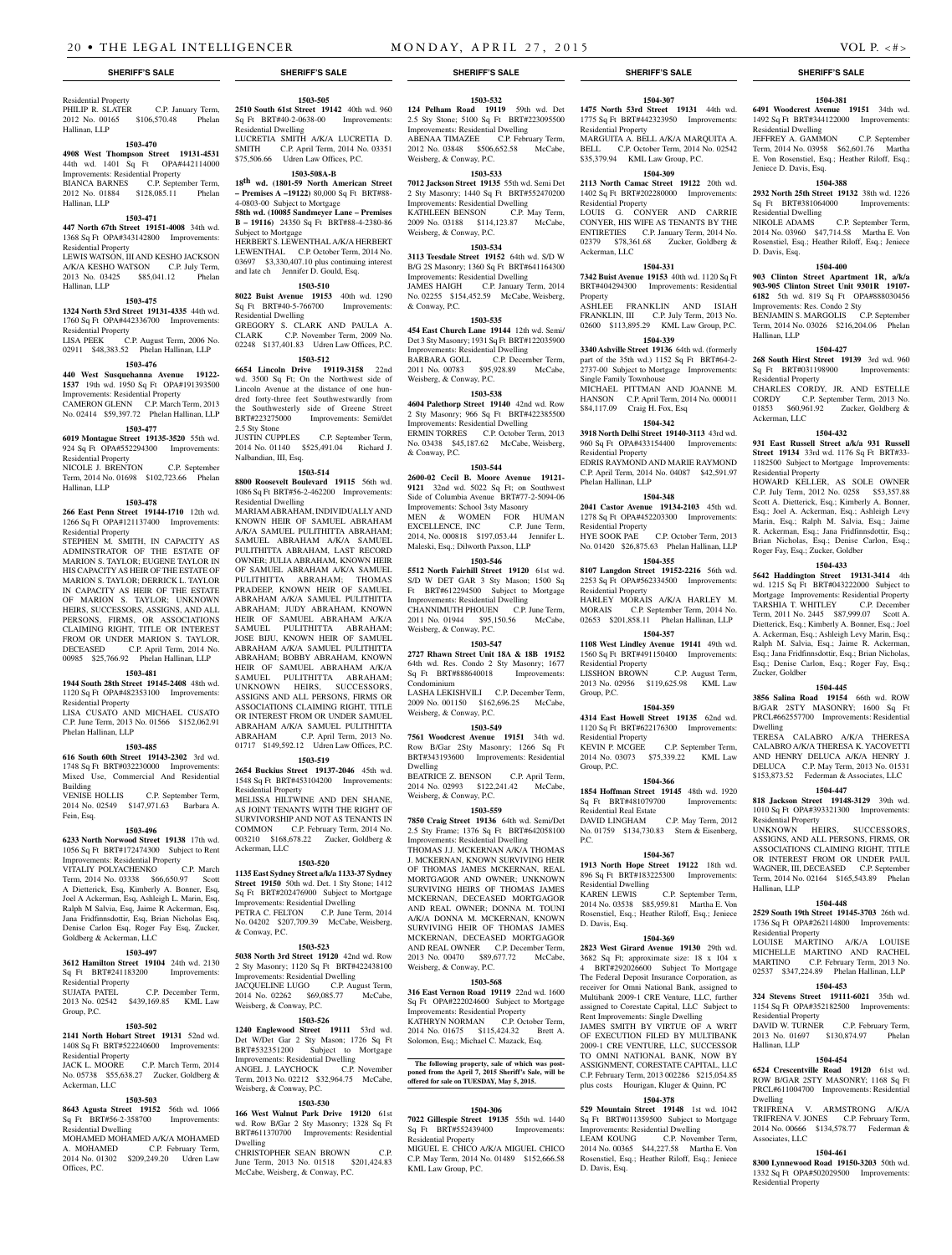#### Residential Property PHILIP R. SLATER C.P. January Term, 2012 No. 00165 \$106,570.48 Phelan Hallinan, LLP

#### **1503-470**

**4908 West Thompson Street 19131-4531**  44th wd. 1401 Sq Ft OPA#442114000

Improvements: Residential Property BIANCA BARNES C.P. September Term, 2012 No. 01884 \$128,085.11 Phelan Hallinan, LLP

#### **1503-471**

**447 North 67th Street 19151-4008** 34th wd. 1368 Sq Ft OPA#343142800 Improvements: Residential Property LEWIS WATSON, III AND KESHO JACKSON A/K/A KESHO WATSON C.P. July Term,

2013 No. 03425 \$85,041.12 Phelan Hallinan, LLP

#### **1503-475**

**1324 North 53rd Street 19131-4335** 44th wd. 1760 Sq Ft OPA#442336700 Improvements: Residential Property

LISA PEEK C.P. August Term, 2006 No. 02911 \$48,383.52 Phelan Hallinan, LLP

# **1503-476**

**440 West Susquehanna Avenue 19122- 1537** 19th wd. 1950 Sq Ft OPA#191393500 Improvements: Residential Property CAMERON GLENN C.P. March Term, 2013 No. 02414 \$59,397.72 Phelan Hallinan, LLP

# **1503-477**

**6019 Montague Street 19135-3520** 55th wd. 924 Sq Ft OPA#552294300 Improvements: Residential Property

NICOLE J. BRENTON C.P. September Term, 2014 No. 01698 \$102,723.66 Phelan Hallinan, LLP

#### **1503-478**

**266 East Penn Street 19144-1710** 12th wd. 1266 Sq Ft OPA#121137400 Improvements: Residential Property

STEPHEN M. SMITH, IN CAPACITY AS ADMINSTRATOR OF THE ESTATE OF MARION S. TAYLOR; EUGENE TAYLOR IN HIS CAPACITY AS HEIR OF THE ESTATE OF MARION S. TAYLOR; DERRICK L. TAYLOR IN CAPACITY AS HEIR OF THE ESTATE OF MARION S. TAYLOR; UNKNOWN HEIRS, SUCCESSORS, ASSIGNS, AND ALL PERSONS, FIRMS, OR ASSOCIATIONS CLAIMING RIGHT, TITLE OR INTEREST FROM OR UNDER MARION S. TAYLOR, DECEASED C.P. April Term, 2014 No. 00985 \$25,766.92 Phelan Hallinan, LLP

#### **1503-481**

**1944 South 28th Street 19145-2408** 48th wd. 1120 Sq Ft OPA#482353100 Improvements: Residential Property

LISA CUSATO AND MICHAEL CUSATO C.P. June Term, 2013 No. 01566 \$152,062.91 Phelan Hallinan, LLP

#### **1503-485**

**616 South 60th Street 19143-2302** 3rd wd. 1748 Sq Ft BRT#032230000 Improvements: Mixed Use, Commercial And Residential Building<br>VENISE HOLLIS C.P. September Term,

2014 No. 02549 \$147,971.63 Barbara A. Fein, Esq.

#### **1503-496**

**6233 North Norwood Street 19138** 17th wd. 1056 Sq Ft BRT#172474300 Subject to Rent Improvements: Residential Property<br>VITALIY POLYACHENKO C.P. March VITALIY POLYACHENKO Term, 2014 No. 03338 \$66,650.97 Scott A Dietterick, Esq, Kimberly A. Bonner, Esq,

Joel A Ackerman, Esq, Ashleigh L. Marin, Esq, Ralph M Salvia, Esq, Jaime R Ackerman, Esq, Jana Fridfinnsdottir, Esq, Brian Nicholas Esq, Denise Carlon Esq, Roger Fay Esq, Zucker, Goldberg & Ackerman, LLC

# **1503-497**

**3612 Hamilton Street 19104** 24th wd. 2130 Sq Ft BRT#241183200 Improvements: Residential Property

SUJATA PATEL C.P. December Term, 2013 No. 02542 \$439,169.85 KML Law Group, P.C.

#### **1503-502**

**2141 North Hobart Street 19131** 52nd wd. 1408 Sq Ft BRT#522240600 Improvements: Residential Property

JACK L. MOORE C.P. March Term, 2014 No. 05738 \$55,638.27 Zucker, Goldberg & Ackerman, LLC

#### **1503-503**

**8643 Agusta Street 19152** 56th wd. 1066 Sq Ft BRT#56-2-358700 Improvements: Residential Dwelling

### **1503-505**

**2510 South 61st Street 19142** 40th wd. 960 Sq Ft BRT#40-2-0638-00 Improvements: Residential Dwelling LUCRETIA SMITH A/K/A LUCRETIA D. SMITH C.P. April Term, 2014 No. 03351 \$75,506.66 Udren Law Offices, P.C.

## **1503-508A-B**

**18th wd. (1801-59 North American Street – Premises A –19122)** 80,000 Sq Ft BRT#88- 4-0803-00 Subject to Mortgage

**58th wd. (10085 Sandmeyer Lane – Premises B – 19116)** 24350 Sq Ft BRT#88-4-2380-86 Subject to Mortgage HERBERT S. LEWENTHAL A/K/A HERBERT LEWENTHAL C.P. October Term, 2014 No. 03697 \$3,330,407.10 plus continuing interest and late ch Jennifer D. Gould, Esq.

#### **1503-510**

**8022 Buist Avenue 19153** 40th wd. 1290 Sq Ft BRT#40-5-766700 Improvements: Residential Dwelling GREGORY S. CLARK AND PAULA A. CLARK C.P. November Term, 2009 No. 02248 \$137,401.83 Udren Law Offices, P.C.

# **1503-512**

**6654 Lincoln Drive 19119-3158** 22nd wd. 3500 Sq Ft; On the Northwest side of Lincoln Avenue at the distance of one hundred forty-three feet Southwestwardly from the Southwesterly side of Greene Street BRT#223275000 Improvements: Semi/det 2.5 Sty Stone

JUSTIN CUPPLES C.P. September Term, 2014 No. 01140 \$525,491.04 Richard J. Nalbandian, III, Esq.

#### **1503-514**

**8800 Roosevelt Boulevard 19115** 56th wd. 1086 Sq Ft BRT#56-2-462200 Improvements: Residential Dwelling

MARIAM ABRAHAM, INDIVIDUALLY AND KNOWN HEIR OF SAMUEL ABRAHAM A/K/A SAMUEL PULITHITTA ABRAHAM; SAMUEL ABRAHAM A/K/A SAMUEL PULITHITTA ABRAHAM, LAST RECORD OWNER; JULIA ABRAHAM, KNOWN HEIR OF SAMUEL ABRAHAM A/K/A SAMUEL PULITHITTA ABRAHAM; THOMAS PRADEEP, KNOWN HEIR OF SAMUEL ABRAHAM A/K/A SAMUEL PULITHITTA ABRAHAM; JUDY ABRAHAM, KNOWN HEIR OF SAMUEL ABRAHAM A/K/A SAMUEL PULITHITTA ABRAHAM; JOSE BIJU, KNOWN HEIR OF SAMUEL ABRAHAM A/K/A SAMUEL PULITHITTA ABRAHAM; BOBBY ABRAHAM, KNOWN HEIR OF SAMUEL ABRAHAM A/K/A SAMUEL PULITHITTA ABRAHAM; UNKNOWN HEIRS, SUCCESSORS, ASSIGNS AND ALL PERSONS, FIRMS OR ASSOCIATIONS CLAIMING RIGHT, TITLE OR INTEREST FROM OR UNDER SAMUEL ABRAHAM A/K/A SAMUEL PULITHITTA ABRAHAM C.P. April Term, 2013 No. 01717 \$149,592.12 Udren Law Offices, P.C.

### **1503-519**

**2654 Buckius Street 19137-2046** 45th wd. 1548 Sq Ft BRT#453104200 Improvements: Residential Property

MELISSA HILTWINE AND DEN SHANE, AS JOINT TENANTS WITH THE RIGHT OF SURVIVORSHIP AND NOT AS TENANTS IN COMMON C.P. February Term, 2014 No. 003210 \$168,678.22 Zucker, Goldberg & Ackerman, LLC

#### **1503-520**

**1135 East Sydney Street a/k/a 1133-37 Sydney Street 19150** 50th wd. Det. 1 Sty Stone; 1412 Sq Ft BRT#202476900 Subject to Mortgage Improvements: Residential Dwelling PETRA C. FELTON C.P. June Term, 2014 No. 04202 \$207,709.39 McCabe, Weisberg, & Conway, P.C.

#### **1503-523**

**5038 North 3rd Street 19120** 42nd wd. Row 2 Sty Masonry; 1120 Sq Ft BRT#422438100 Improvements: Residential Dwelling JACQUELINE LUGO C.P. August Term,

2014 No. 02262 \$69,085.77 McCabe, Weisberg, & Conway, P.C.

#### **1503-526**

**1240 Englewood Street 19111** 53rd wd. Det W/Det Gar 2 Sty Mason; 1726 Sq Ft BRT#532351200 Subject to Mortgage Improvements: Residential Dwelling ANGEL J. LAYCHOCK C.P. November Term, 2013 No. 02212 \$32,964.75 McCabe, Weisberg, & Conway, P.C.

#### **1503-530**

**166 West Walnut Park Drive 19120** 61st wd. Row B/Gar 2 Sty Masonry; 1328 Sq Ft BRT#611370700 Improvements: Residential Dwelling

CHRISTOPHER SEAN BROWN C.P. June Term, 2013 No. 01518 \$201,424.83 McCabe, Weisberg, & Conway, P.C.

### **1503-532**

**124 Pelham Road 19119** 59th wd. Det 2.5 Sty Stone; 5100 Sq Ft BRT#223095500 Improvements: Residential Dwelling ABENAA TIMAZEE C.P. February Term, 2012 No. 03848 \$506,652.58 McCabe, Weisberg, & Conway, P.C.

#### **1503-533**

**7012 Jackson Street 19135** 55th wd. Semi Det 2 Sty Masonry; 1440 Sq Ft BRT#552470200 Improvements: Residential Dwelling KATHLEEN BENSON C.P. May Term, 2009 No. 03188 \$114,123.87 McCabe, Weisberg, & Conway, P.C.

#### **1503-534**

**3113 Teesdale Street 19152** 64th wd. S/D W B/G 2S Masonry; 1360 Sq Ft BRT#641164300 Improvements: Residential Dwelling JAMES HAIGH C.P. January Term, 2014 No. 02255 \$154,452.59 McCabe, Weisberg, & Conway, P.C.

#### **1503-535**

**454 East Church Lane 19144** 12th wd. Semi/ Det 3 Sty Masonry; 1931 Sq Ft BRT#122035900 Improvements: Residential Dwelling BARBARA GOLL C.P. December Term,<br>2011 No. 00783 \$95,928.89 McCabe, 2011 No. 00783 \$95,928.89 Weisberg, & Conway, P.C.

#### **1503-538**

**4604 Palethorp Street 19140** 42nd wd. Row 2 Sty Masonry; 966 Sq Ft BRT#422385500 Improvements: Residential Dwelling ERMIN TORRES C.P. October Term, 2013 No. 03438 \$45,187.62 McCabe, Weisberg, & Conway, P.C.

# **1503-544**

**2600-02 Cecil B. Moore Avenue 19121- 9121** 32nd wd. 5022 Sq Ft; on Southwest Side of Columbia Avenue BRT#77-2-5094-06 Improvements: School 3sty Masonry MEN & WOMEN FOR HUMAN EXCELLENCE, INC C.P. June Term, 2014, No. 000818 \$197,053.44 Jennifer L. Maleski, Esq.; Dilworth Paxson, LLP

#### **1503-546**

**5512 North Fairhill Street 19120** 61st wd. S/D W DET GAR 3 Sty Mason; 1500 Sq Ft BRT#612294500 Subject to Mortgage Improvements: Residential Dwelling CHANNIMUTH PHOUEN C.P. June Term, 2011 No. 01944 \$95,150.56 McCabe, Weisberg, & Conway, P.C.

#### **1503-547**

**2727 Rhawn Street Unit 18A & 18B 19152**  64th wd. Res. Condo 2 Sty Masonry; 1677 Sq Ft BRT#888640018 Improvements: Condominium LASHA LEKISHVILI C.P. December Term,

2009 No. 001150 \$162,696.25 McCabe, Weisberg, & Conway, P.C.

# **1503-549**

**7561 Woodcrest Avenue 19151** 34th wd. Row B/Gar 2Sty Masonry; 1266 Sq Ft BRT#343193600 Improvements: Residential Dwelling

BEATRICE Z. BENSON C.P. April Term, 2014 No. 02993 \$122,241.42 McCabe, Weisberg, & Conway, P.C.

#### **1503-559**

**7850 Craig Street 19136** 64th wd. Semi/Det 2.5 Sty Frame; 1376 Sq Ft BRT#642058100 Improvements: Residential Dwelling

THOMAS J.J. MCKERNAN A/K/A THOMAS J. MCKERNAN, KNOWN SURVIVING HEIR OF THOMAS JAMES MCKERNAN, REAL MORTGAGOR AND OWNER; UNKNOWN SURVIVING HEIRS OF THOMAS JAMES MCKERNAN, DECEASED MORTGAGOR AND REAL OWNER; DONNA M. TOUNI A/K/A DONNA M. MCKERNAN, KNOWN SURVIVING HEIR OF THOMAS JAMES MCKERNAN, DECEASED MORTGAGOR AND REAL OWNER C.P. December Term, 2013 No. 00470 \$89,677.72 McCabe, Weisberg, & Conway, P.C.

#### **1503-568**

**316 East Vernon Road 19119** 22nd wd. 1600 Sq Ft OPA#222024600 Subject to Mortgage Improvements: Residential Property KATHRYN NORMAN C.P. October Term,

2014 No. 01675 \$115,424.32 Brett A. Solomon, Esq.; Michael C. Mazack, Esq.

#### **The following property, sale of which was postponed from the April 7, 2015 Sheriff's Sale, will be offered for sale on TUESDAY, May 5, 2015.**

#### **1504-306**

**7022 Gillespie Street 19135** 55th wd. 1440 Sq Ft BRT#552439400 Residential Property

MIGUEL E. CHICO A/K/A MIGUEL CHICO C.P. May Term, 2014 No. 01489 \$152,666.58 KML Law Group, P.C.

#### **SHERIFF'S SALE SHERIFF'S SALE SHERIFF'S SALE SHERIFF'S SALE SHERIFF'S SALE**

**1504-381 6491 Woodcrest Avenue 19151** 34th wd. 1492 Sq Ft BRT#344122000 Improvements:

JEFFREY A. GAMMON C.P. September Term, 2014 No. 03958 \$62,601.76 Martha E. Von Rosenstiel, Esq.; Heather Riloff, Esq.;

**1504-388 2932 North 25th Street 19132** 38th wd. 1226 Sq Ft BRT#381064000 Improvements:

2014 No. 03960 \$47,714.58 Martha E. Von Rosenstiel, Esq.; Heather Riloff, Esq.; Jeniece

**1504-400 903 Clinton Street Apartment 1R, a/k/a 903-905 Clinton Street Unit 9301R 19107- 6182** 5th wd. 819 Sq Ft OPA#888030456

BENJAMIN S. MARGOLIS C.P. September Term, 2014 No. 03026 \$216,204.06 Phelan

**1504-427 268 South Hirst Street 19139** 3rd wd. 960<br>Sq Ft BRT#031198900 Improvements:

CHARLES CORDY, JR. AND ESTELLE CORDY C.P. September Term, 2013 No. 01853 \$60,961.92 Zucker, Goldberg &

**1504-432 931 East Russell Street a/k/a 931 Russell Street 19134** 33rd wd. 1176 Sq Ft BRT#33- 1182500 Subject to Mortgage Improvements:

HOWARD KELLER, AS SOLE OWNER C.P. July Term, 2012 No. 0258 \$53,357.88 Scott A. Dietterick, Esq.; Kimberly A. Bonner, Esq.; Joel A. Ackerman, Esq.; Ashleigh Levy Marin, Esq.; Ralph M. Salvia, Esq.; Jaime R. Ackerman, Esq.; Jana Fridfinnsdottir, Esq.; Brian Nicholas, Esq.; Denise Carlon, Esq.;

**1504-433 5642 Haddington Street 19131-3414** 4th wd. 1215 Sq Ft BRT#043222000 Subject to Mortgage Improvements: Residential Property TARSHIA T. WHITLEY C.P. December Term, 2011 No. 2445 \$87,999.07 Scott A. Dietterick, Esq.; Kimberly A. Bonner, Esq.; Joel A. Ackerman, Esq.; Ashleigh Levy Marin, Esq.; Ralph M. Salvia, Esq.; Jaime R. Ackerman, Esq.; Jana Fridfinnsdottir, Esq.; Brian Nicholas, Esq.; Denise Carlon, Esq.; Roger Fay, Esq.;

**1504-445 3856 Salina Road 19154** 66th wd. ROW B/GAR 2STY MASONRY; 1600 Sq Ft PRCL#662557700 Improvements: Residential

TERESA CALABRO A/K/A THERESA CALABRO A/K/A THERESA K. YACOVETTI AND HENRY DELUCA A/K/A HENRY J. DELUCA C.P. May Term, 2013 No. 01531 \$153,873.52 Federman & Associates, LLC **1504-447 818 Jackson Street 19148-3129** 39th wd. 1010 Sq Ft OPA#393321300 Improvements:

UNKNOWN HEIRS, SUCCESSORS, ASSIGNS, AND ALL PERSONS, FIRMS, OR ASSOCIATIONS CLAIMING RIGHT, TITLE OR INTEREST FROM OR UNDER PAUL WAGNER, III, DECEASED C.P. September<br>Term. 2014 No. 02164 \$165.543.89 Phelan Term, 2014 No. 02164 \$165,543.89

**1504-448 2529 South 19th Street 19145-3703** 26th wd. 1736 Sq Ft OPA#262114800 Improvements:

LOUISE MARTINO A/K/A LOUISE MICHELLE MARTINO AND RACHEL<br>MARTINO C.P. February Term, 2013 No.

02537 \$347,224.89 Phelan Hallinan, LLP **1504-453 324 Stevens Street 19111-6021** 35th wd. 1154 Sq Ft OPA#352182500 Improvements:

DAVID W. TURNER C.P. February Term, 2013 No. 01697 \$130,874.97 Phelan

**1504-454 6524 Crescentville Road 19120** 61st wd. ROW B/GAR 2STY MASONRY; 1168 Sq Ft PRCL#611004700 Improvements: Residential

TRIFRENA V. ARMSTRONG A/K/A TRIFRENA V. JONES C.P. February Term, 2014 No. 00666 \$134,578.77 Federman &

**1504-461 8300 Lynnewood Road 19150-3203** 50th wd. 1332 Sq Ft OPA#502029500 Improvements:

C.P. February Term, 2013 No.

Improvements: Res. Condo 2 Sty

Sq Ft BRT#031198900 Residential Property

C.P. September Term,

Residential Dwelling

Jeniece D. Davis, Esq.

Residential Dwelling<br>NIKOLE ADAMS

D. Davis, Esq.

Hallinan, LLP

Ackerman, LLC

Residential Property

Zucker, Goldber

Residential Property

Hallinan, LLP

Residential Property

Residential Property

Hallinan, LLP

Associates, LLC

Residential Property

Dwelling

Dwelling

Roger Fay, Esq.; Zucker, Goldber

# **1504-307**

**1475 North 53rd Street 19131** 44th wd. 1775 Sq Ft BRT#442323950 Improvements: Residential Property MARGUITA A. BELL A/K/A MARQUITA A. BELL C.P. October Term, 2014 No. 02542 \$35,379.94 KML Law Group, P.C.

# **1504-309**

Ackerman, LLC

Single Family Townhouse

Residential Property

Phelan Hallinan, LLP

Residential Property

Residential Property

Residential Property

Residential Property<br>KEVIN P. MCGEE

Residential Real Estate

Residential Dwelling<br>KAREN LEWIS

D. Davis, Esq.

D. Davis, Esq.

Group, P.C.

Group, P.C.

P.C.

\$84,117.09 Craig H. Fox, Esq

Property

**2113 North Camac Street 19122** 20th wd. 1402 Sq Ft BRT#202280000 Improvements: Residential Property LOUIS G. CONYER AND CARRIE

CONYER, HIS WIFE AS TENANTS BY THE ENTIRETIES C.P. January Term, 2014 No. 02379 \$78,361.68 Zucker, Goldberg &

**1504-331 7342 Buist Avenue 19153** 40th wd. 1120 Sq Ft BRT#404294300 Improvements: Residential

ASHLEE FRANKLIN AND ISIAH FRANKLIN, III C.P. July Term, 2013 No. 02600 \$113,895.29 KML Law Group, P.C. **1504-339 3340 Ashville Street 19136** 64th wd. (formerly part of the 35th wd.) 1152 Sq Ft BRT#64-2- 2737-00 Subject to Mortgage Improvements:

MICHAEL PITTMAN AND JOANNE M. HANSON C.P. April Term, 2014 No. 000011

**1504-342 3918 North Delhi Street 19140-3113** 43rd wd. 960 Sq Ft OPA#433154400 Improvements:

EDRIS RAYMOND AND MARIE RAYMOND C.P. April Term, 2014 No. 04087 \$42,591.97

**1504-348 2041 Castor Avenue 19134-2103** 45th wd. 1278 Sq Ft OPA#452203300 Improvements:

HYE SOOK PAE C.P. October Term, 2013 No. 01420 \$26,875.63 Phelan Hallinan, LLP **1504-355 8107 Langdon Street 19152-2216** 56th wd. 2253 Sq Ft OPA#562334500 Improvements:

HARLEY MORAIS A/K/A HARLEY M. MORAIS C.P. September Term, 2014 No. 02653 \$201,858.11 Phelan Hallinan, LLP **1504-357 1108 West Lindley Avenue 19141** 49th wd. 1560 Sq Ft BRT#491150400 Improvements:

LISSHON BROWN C.P. August Term, 2013 No. 02956 \$119,625.98 KML Law

**1504-359 4314 East Howell Street 19135** 62nd wd. 1120 Sq Ft BRT#622176300 Improvements:

2014 No. 03073 \$75,339.22 KML Law

**1504-366 1854 Hoffman Street 19145** 48th wd. 1920 Sq Ft BRT#481079700 Improvements:

DAVID LINGHAM C.P. May Term, 2012 No. 01759 \$134,730.83 Stern & Eisenberg,

**1504-367 1913 North Hope Street 19122** 18th wd. 896 Sq Ft BRT#183225300 Improvements:

2014 No. 03538 \$85,959.81 Martha E. Von Rosenstiel, Esq.; Heather Riloff, Esq.; Jeniece

**1504-369 2823 West Girard Avenue 19130** 29th wd. 3682 Sq Ft; approximate size: 18 x 104 x 4 BRT#292026600 Subject To Mortgage The Federal Deposit Insurance Corporation, as receiver for Omni National Bank, assigned to Multibank 2009-1 CRE Venture, LLC, further assigned to Corestate Capital, LLC Subject to Rent Improvements: Single Dwelling JAMES SMITH BY VIRTUE OF A WRIT OF EXECUTION FILED BY MULTIBANK 2009-1 CRE VENTURE, LLC, SUCCESSOR TO OMNI NATIONAL BANK, NOW BY ASSIGNMENT, CORESTATE CAPITAL, LLC C.P. February Term, 2013 002286 \$215,054.85 plus costs Hourigan, Kluger & Quinn, PC **1504-378 529 Mountain Street 19148** 1st wd. 1042 Sq Ft BRT#011359500 Subject to Mortgage Improvements: Residential Dwelling LEAM KOUNG C.P. November Term, 2014 No. 00365 \$44,227.58 Martha E. Von Rosenstiel, Esq.; Heather Riloff, Esq.; Jeniece

C.P. September Term,

C.P. September Term,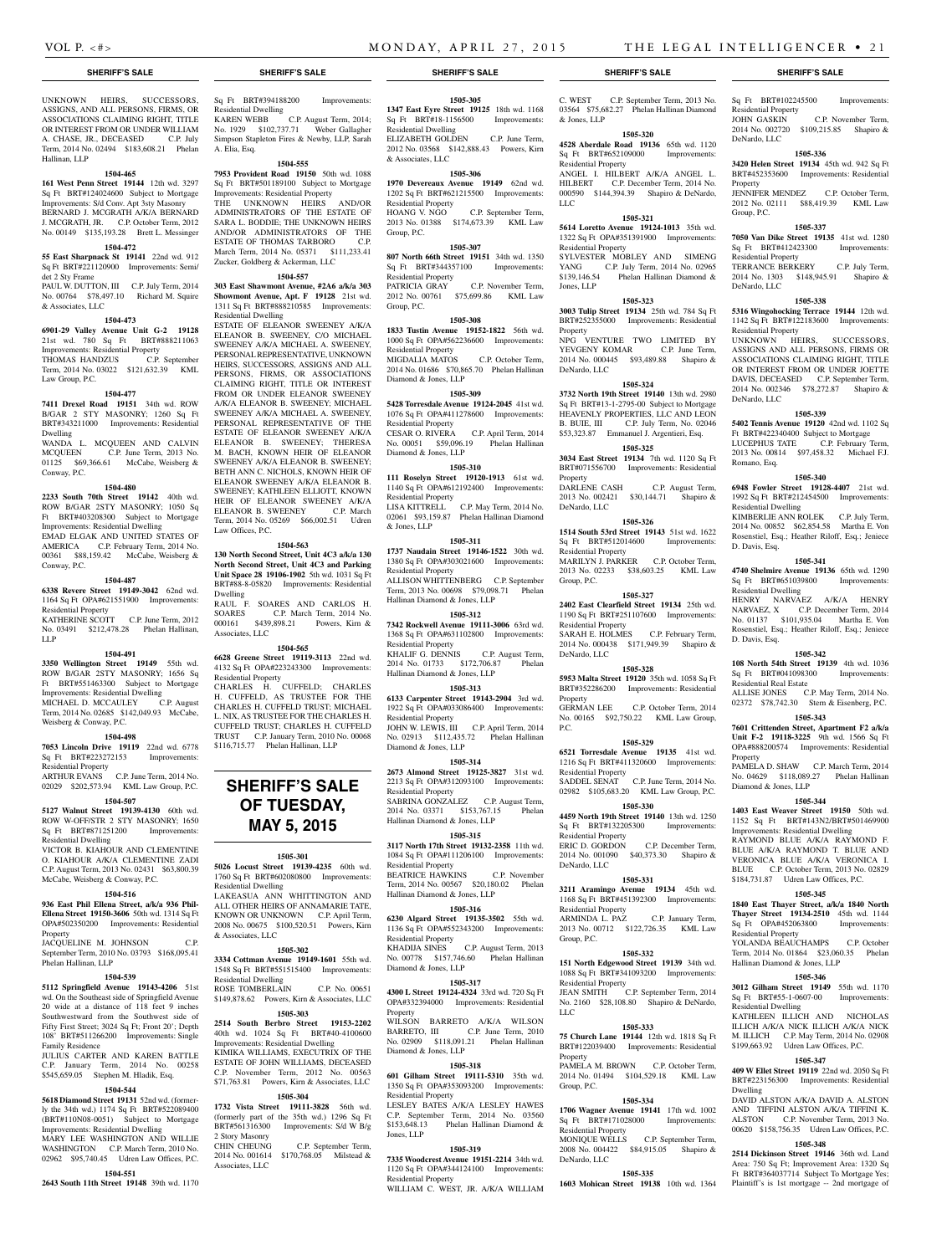**1505-305 1347 East Eyre Street 19125** 18th wd. 1168 Sq Ft BRT#18-1156500 Improvements:

ELIZABETH GOLDEN C.P. June Term, 2012 No. 03568 \$142,888.43 Powers, Kirn

**1505-306 1970 Devereaux Avenue 19149** 62nd wd. 1202 Sq Ft BRT#621215500 Improvements:

2013 No. 01388 \$174,673.39 KML Law

**1505-307 807 North 66th Street 19151** 34th wd. 1350 Sq Ft BRT#344357100 Improvements:

PATRICIA GRAY C.P. November Term, 2012 No. 00761 \$75,699.86 KML Law

**1505-308 1833 Tustin Avenue 19152-1822** 56th wd. 1000 Sq Ft OPA#562236600 Improvements:

MIGDALIA MATOS C.P. October Term, 2014 No. 01686 \$70,865.70 Phelan Hallinan

**1505-309 5428 Torresdale Avenue 19124-2045** 41st wd. 1076 Sq Ft OPA#411278600 Improvements:

CESAR O. RIVERA C.P. April Term, 2014 No. 00051 \$59,096.19 Phelan Hallinan

**1505-310 111 Roselyn Street 19120-1913** 61st wd. 1140 Sq Ft OPA#612192400 Improvements:

LISA KITTRELL C.P. May Term, 2014 No. 02061 \$93,159.87 Phelan Hallinan Diamond

**1505-311 1737 Naudain Street 19146-1522** 30th wd. 1380 Sq Ft OPA#303021600 Improvements:

ALLISON WHITTENBERG C.P. September Term, 2013 No. 00698 \$79,098.71 Phelan

**1505-312 7342 Rockwell Avenue 19111-3006** 63rd wd. 1368 Sq Ft OPA#631102800 Improvements:

KHALIF G. DENNIS C.P. August Term, 2014 No. 01733 \$172,706.87 Phelan

**1505-313 6133 Carpenter Street 19143-2904** 3rd wd. 1922 Sq Ft OPA#033086400 Improvements:

JOHN W. LEWIS, III C.P. April Term, 2014 No. 02913 \$112,435.72 Phelan Hallinan

**1505-314 2673 Almond Street 19125-3827** 31st wd. 2213 Sq Ft OPA#312093100 Improvements:

SABRINA GONZALEZ C.P. August Term,<br>2014 No. 03371 \$153,767.15 Phelan 2014 No. 03371 \$153,767.15 Hallinan Diamond & Jones, LLP

**1505-315 3117 North 17th Street 19132-2358** 11th wd. 1084 Sq Ft OPA#111206100 Improvements:

BEATRICE HAWKINS C.P. November Term, 2014 No. 00567 \$20,180.02 Phelan

**1505-316 6230 Algard Street 19135-3502** 55th wd. 1136 Sq Ft OPA#552343200 Improvements:

KHADIJA SINES C.P. August Term, 2013

**1505-317**

WILSON BARRETO A/K/A WILSON BARRETO, III C.P. June Term, 2010 No. 02909 \$118,091.21 Phelan Hallinan

**1505-318 601 Gilham Street 19111-5310** 35th wd. 1350 Sq Ft OPA#353093200 Improvements:

LESLEY BATES A/K/A LESLEY HAWES C.P. September Term, 2014 No. 03560 \$153,648.13 Phelan Hallinan Diamond &

C.P. September Term,

Residential Dwelling

& Associates, LLC

Residential Property<br>HOANG V. NGO

Residential Property

Residential Property

Diamond & Jones, LLP

Residential Property

Diamond & Jones, LLP

Residential Property

Residential Property

Residential Property

Residential Property

Diamond & Jones, LLP

Residential Property

Residential Property

Residential Property

Diamond & Jones, LLP

Residential Property

Jones, LLP

Hallinan Diamond & Jones, LLP

Hallinan Diamond & Jones, LLP

Hallinan Diamond & Jones, LLP

& Jones, LLP

Group, P.C.

Group, P.C.

Residential Property<br>JOHN GASKIN

DeNardo, LLC

Property

Group, P.C.

Residential Property

Residential Property

DeNardo, LLC

Romano, Esq.

D. Davis, Esq.

D. Davis, Esq.

Property

Residential Dwelling

Residential Dwelling

Residential Real Estate

Diamond & Jones, LLP

Residential Property

Residential Dwelling

Dwelling

Hallinan Diamond & Jones, LLP

DeNardo, LLC

UNKNOWN HEIRS, SUCCESSORS, ASSIGNS, AND ALL PERSONS, FIRMS, OR ASSOCIATIONS CLAIMING RIGHT, TITLE OR INTEREST FROM OR UNDER WILLIAM A. CHASE, JR., DECEASED C.P. July Term, 2014 No. 02494 \$183,608.21 Phelan Hallinan, LLP

#### **1504-465**

**161 West Penn Street 19144** 12th wd. 3297 Sq Ft BRT#124024600 Subject to Mortgage Improvements: S/d Conv. Apt 3sty Masonry BERNARD J. MCGRATH A/K/A BERNARD J. MCGRATH, JR. C.P. October Term, 2012 No. 00149 \$135,193.28 Brett L. Messinger

#### **1504-472**

**55 East Sharpnack St 19141** 22nd wd. 912 Sq Ft BRT#221120900 Improvements: Semi/ det 2 Sty Frame

PAUL W. DUTTON, III C.P. July Term, 2014 No. 00764 \$78,497.10 Richard M. Squire & Associates, LLC

#### **1504-473**

**6901-29 Valley Avenue Unit G-2 19128**  21st wd. 780 Sq Ft BRT#888211063 Improvements: Residential Property THOMAS HANDZUS C.P. September

Term, 2014 No. 03022 \$121,632.39 KML Law Group, P.C.

#### **1504-477**

**7411 Drexel Road 19151** 34th wd. ROW B/GAR 2 STY MASONRY; 1260 Sq Ft BRT#343211000 Improvements: Residential Dwelling

WANDA L. MCQUEEN AND CALVIN MCQUEEN C.P. June Term, 2013 No. 01125 \$69,366.61 McCabe, Weisberg & Conway, P.C.

#### **1504-480**

**2233 South 70th Street 19142** 40th wd. ROW B/GAR 2STY MASONRY; 1050 Sq Ft BRT#403208300 Subject to Mortgage Improvements: Residential Dwelling EMAD ELGAK AND UNITED STATES OF AMERICA C.P. February Term, 2014 No. 00361 \$88,159.42 McCabe, Weisberg & Conway, P.C.

#### **1504-487**

**6338 Revere Street 19149-3042** 62nd wd. 1164 Sq Ft OPA#621551900 Improvements: Residential Property

KATHERINE SCOTT C.P. June Term, 2012 No. 03491 \$212,478.28 Phelan Hallinan, LLP

#### **1504-491**

**3350 Wellington Street 19149** 55th wd. ROW B/GAR 2STY MASONRY; 1656 Sq Ft BRT#551463300 Subject to Mortgage Improvements: Residential Dwelling MICHAEL D. MCCAULEY C.P. August Term, 2014 No. 02685 \$142,049.93 McCabe,

Weisberg & Conway, P.C. **1504-498**

**7053 Lincoln Drive 19119** 22nd wd. 6778 Sq Ft BRT#223272153 Improvements: Residential Property

ARTHUR EVANS C.P. June Term, 2014 No. 02029 \$202,573.94 KML Law Group, P.C. **1504-507**

#### **5127 Walnut Street 19139-4130** 60th wd.

ROW W-OFF/STR 2 STY MASONRY; 1650 Sq Ft BRT#871251200 Improvements: Residential Dwelling

VICTOR B. KIAHOUR AND CLEMENTINE O. KIAHOUR A/K/A CLEMENTINE ZADI C.P. August Term, 2013 No. 02431 \$63,800.39 McCabe, Weisberg & Conway, P.C.

#### **1504-516**

**936 East Phil Ellena Street, a/k/a 936 Phil-Ellena Street 19150-3606** 50th wd. 1314 Sq Ft OPA#502350200 Improvements: Residential Property

JACQUELINE M. JOHNSON C.P. September Term, 2010 No. 03793 \$168,095.41 Phelan Hallinan, LLP

#### **1504-539**

**5112 Springfield Avenue 19143-4206** 51st wd. On the Southeast side of Springfield Avenue 20 wide at a distance of 118 feet 9 inches Southwestward from the Southwest side of Fifty First Street: 3024 Sq Ft: Front 20': Depth 108' BRT#511266200 Improvements: Single Family Residence

JULIUS CARTER AND KAREN BATTLE C.P. January Term, 2014 No. 00258 \$545,659.05 Stephen M. Hladik, Esq.

# **1504-544**

**5618 Diamond Street 19131** 52nd wd. (formerly the 34th wd.) 1174 Sq Ft BRT#522089400 (BRT#110N08-0051) Subject to Mortgage Improvements: Residential Dwelling MARY LEE WASHINGTON AND WILLIE WASHINGTON C.P. March Term, 2010 No. 02962 \$95,740.45 Udren Law Offices, P.C.

# **1504-551**

**2643 South 11th Street 19148** 39th wd. 1170

Sq Ft BRT#394188200 Improvements: Residential Dwelling

KAREN WEBB C.P. August Term, 2014; No. 1929 \$102,737.71 Weber Gallagher Simpson Stapleton Fires & Newby, LLP, Sarah A. Elia, Esq.

### **1504-555**

**7953 Provident Road 19150** 50th wd. 1088 Sq Ft BRT#501189100 Subject to Mortgage Improvements: Residential Property THE UNKNOWN HEIRS AND/OR ADMINISTRATORS OF THE ESTATE OF SARA L. BODDIE; THE UNKNOWN HEIRS AND/OR ADMINISTRATORS OF THE ESTATE OF THOMAS TARBORO C.P. March Term, 2014 No. 05371 \$111,233.41 Zucker, Goldberg & Ackerman, LLC

#### **1504-557**

**303 East Shawmont Avenue, #2A6 a/k/a 303 Showmont Avenue, Apt. F 19128** 21st wd. 1311 Sq Ft BRT#888210585 Improvements: Residential Dwelling

ESTATE OF ELEANOR SWEENEY A/K/A ELEANOR B. SWEENEY, C/O MICHAEL SWEENEY A/K/A MICHAEL A. SWEENEY, PERSONAL REPRESENTATIVE, UNKNOWN HEIRS, SUCCESSORS, ASSIGNS AND ALL PERSONS, FIRMS, OR ASSOCIATIONS CLAIMING RIGHT, TITLE OR INTEREST FROM OR UNDER ELEANOR SWEENEY A/K/A ELEANOR B. SWEENEY; MICHAEL SWEENEY A/K/A MICHAEL A. SWEENEY, PERSONAL REPRESENTATIVE OF THE ESTATE OF ELEANOR SWEENEY A/K/A ELEANOR B. SWEENEY; THERESA M. BACH, KNOWN HEIR OF ELEANOR SWEENEY A/K/A ELEANOR B. SWEENEY; BETH ANN C. NICHOLS, KNOWN HEIR OF ELEANOR SWEENEY A/K/A ELEANOR B. SWEENEY; KATHLEEN ELLIOTT, KNOWN HEIR OF ELEANOR SWEENEY A/K/A ELEANOR B. SWEENEY C.P. March Term, 2014 No. 05269 \$66,002.51 Udren Law Offices, P.C.

#### **1504-563**

**130 North Second Street, Unit 4C3 a/k/a 130 North Second Street, Unit 4C3 and Parking Unit Space 28 19106-1902** 5th wd. 1031 Sq Ft BRT#88-8-05820 Improvements: Residential Dwelling RAUL F. SOARES AND CARLOS H.<br>SOARES C.P. March Term, 2014 No. C.P. March Term, 2014 No.

000161 \$439,898.21 Powers, Kirn & Associates, LLC

# **1504-565**

**6628 Greene Street 19119-3113** 22nd wd. 4132 Sq Ft OPA#223243300 Improvements: Residential Property CHARLES H. CUFFELD; CHARLES H. CUFFELD, AS TRUSTEE FOR THE CHARLES H. CUFFELD TRUST; MICHAEL L. NIX, AS TRUSTEE FOR THE CHARLES H. CUFFELD TRUST; CHARLES H. CUFFELD TRUST C.P. January Term, 2010 No. 00068 \$116,715.77 Phelan Hallinan, LLP

# **SHERIFF'S SALE OF TUESDAY, May 5, 2015**

#### **1505-301**

**5026 Locust Street 19139-4235** 60th wd. 1760 Sq Ft BRT#602080800 Improvements: Residential Dwelling LAKEASUA ANN WHITTINGTON AND ALL OTHER HEIRS OF ANNAMARIE TATE, KNOWN OR UNKNOWN C.P. April Term, 2008 No. 00675 \$100,520.51 Powers, Kirn & Associates, LLC

#### **1505-302**

**3334 Cottman Avenue 19149-1601** 55th wd. 1548 Sq Ft BRT#551515400 Improvements: Residential Dwelling ROSE TOMBERLAIN C.P. No. 00651

No. 00778 \$157,746.60 Phelan Hallinan Diamond & Jones, LLP

\$149,878.62 Powers, Kirn & Associates, LLC **4300 L Street 19124-4324** 33rd wd. 720 Sq Ft OPA#332394000 Improvements: Residential **Property** 

#### **1505-303 2514 South Berbro Street 19153-2202**  40th wd. 1024 Sq Ft BRT#40-4100600 Improvements: Residential Dwelling KIMIKA WILLIAMS, EXECUTRIX OF THE ESTATE OF JOHN WILLIAMS, DECEASED C.P. November Term, 2012 No. 00563 \$71,763.81 Powers, Kirn & Associates, LLC

#### **1505-304**

**1732 Vista Street 19111-3828** 56th wd. (formerly part of the 35th wd.) 1296 Sq Ft BRT#561316300 Improvements: S/d W B/g 2 Story Masonry CHIN CHEUNG C.P. September Term, 2014 No. 001614 \$170,768.05 Milstead &

Associates, LLC

**7335 Woodcrest Avenue 19151-2214** 34th wd. 1120 Sq Ft OPA#344124100 Improvements: Residential Property WILLIAM C. WEST, JR. A/K/A WILLIAM

**1505-319**

**SHERIFF'S SALE SHERIFF'S SALE SHERIFF'S SALE SHERIFF'S SALE SHERIFF'S SALE**

C. WEST C.P. September Term, 2013 No. 03564 \$75,682.27 Phelan Hallinan Diamond & Jones, LLP

#### **1505-320**

**4528 Aberdale Road 19136** 65th wd. 1120 Sq Ft BRT#652109000 Improvements: Residential Property ANGEL I. HILBERT A/K/A ANGEL L. HILBERT C.P. December Term, 2014 No. 000590 \$144,394.39 Shapiro & DeNardo, LLC

#### **1505-321**

**5614 Loretto Avenue 19124-1013** 35th wd. 1322 Sq Ft OPA#351391900 Improvements: Residential Property SYLVESTER MOBLEY AND SIMENG YANG C.P. July Term, 2014 No. 02965 \$139,146.54 Phelan Hallinan Diamond & Jones, LLP

# **1505-323**

**3003 Tulip Street 19134** 25th wd. 784 Sq Ft BRT#252355000 Improvements: Residential Property NPG VENTURE TWO LIMITED BY YEVGENY KOMAR C.P. June Term, 2014 No. 000445 \$93,489.88 Shapiro & DeNardo, LLC

#### **1505-324**

**3732 North 19th Street 19140** 13th wd. 2980 Sq Ft BRT#13-1-2795-00 Subject to Mortgage HEAVENLY PROPERTIES, LLC AND LEON B. BUIE, III C.P. July Term, No. 02046 \$53,323.87 Emmanuel J. Argentieri, Esq.

### **1505-325**

**3034 East Street 19134** 7th wd. 1120 Sq Ft BRT#071556700 Improvements: Residential Property<br>DARLENE CASH C.P. August Term,

2013 No. 002421 \$30,144.71 Shapiro & DeNardo, LLC **1505-326**

#### **1514 South 53rd Street 19143** 51st wd. 1622

Sq Ft BRT#512014600 Improvements: Residential Property MARILYN J. PARKER C.P. October Term, 2013 No. 02233 \$38,603.25 KML Law Group, P.C.

# **1505-327**

**2402 East Clearfield Street 19134** 25th wd. 1190 Sq Ft BRT#251107600 Improvements: Residential Property SARAH E. HOLMES C.P. February Term, 2014 No. 000438 \$171,949.39 Shapiro & DeNardo, LLC

# **1505-328**

**5953 Malta Street 19120** 35th wd. 1058 Sq Ft BRT#352286200 Improvements: Residential Property<br>GERMAN LEE C.P. October Term, 2014

No. 00165 \$92,750.22 KML Law Group,  $PC$ **1505-329**

### **6521 Torresdale Avenue 19135** 41st wd.

1216 Sq Ft BRT#411320600 Improvements: Residential Property SADDEL SENAT C.P. June Term, 2014 No. 02982 \$105,683.20 KML Law Group, P.C.

#### **1505-330**

**4459 North 19th Street 19140** 13th wd. 1250 Sq Ft BRT#132205300 Improvements: Residential Property ERIC D. GORDON C.P. December Term, 2014 No. 001090 \$40,373.30 Shapiro & DeNardo, LLC

#### **1505-331**

**3211 Aramingo Avenue 19134** 45th wd. 1168 Sq Ft BRT#451392300 Improvements: Residential Property ARMINDA L. PAZ C.P. January Term, 2013 No. 00712 \$122,726.35 KML Law Group, P.C.

#### **1505-332**

**151 North Edgewood Street 19139** 34th wd. 1088 Sq Ft BRT#341093200 Improvements: Residential Property<br>IEAN SMITH C.P. September Term, 2014

# No. 2160 \$28,108.80 Shapiro & DeNardo, LLC **1505-333**

**75 Church Lane 19144** 12th wd. 1818 Sq Ft BRT#122039400 Improvements: Residential Property

PAMELA M. BROWN C.P. October Term, 2014 No. 01494 \$104,529.18 KML Law Group, P.C.

#### **1505-334 1706 Wagner Avenue 19141** 17th wd. 1002

Sq Ft BRT#171028000 Improvements: Residential Property<br>MONIQUE WELLS C.P. September Term,

2008 No. 004422 \$84,915.05 Shapiro & DeNardo, LLC

### **1505-335 1603 Mohican Street 19138** 10th wd. 1364

Sq Ft BRT#102245500 Improvements:

2014 No. 002720 \$109,215.85 Shapiro &

**1505-336 3420 Helen Street 19134** 45th wd. 942 Sq Ft BRT#452353600 Improvements: Residential

JENNIFER MENDEZ C.P. October Term, 2012 No. 02111 \$88,419.39 KML Law

**1505-337 7050 Van Dike Street 19135** 41st wd. 1280 Sq Ft BRT#412423300 Improvements:

TERRANCE BERKERY C.P. July Term, 2014 No. 1303 \$148,945.91 Shapiro &

**1505-338 5316 Wingohocking Terrace 19144** 12th wd. 1142 Sq Ft BRT#122183600 Improvements:

UNKNOWN HEIRS, SUCCESSORS, ASSIGNS AND ALL PERSONS, FIRMS OR ASSOCIATIONS CLAIMING RIGHT, TITLE OR INTEREST FROM OR UNDER JOETTE DAVIS, DECEASED C.P. September Term, 2014 No. 002346 \$78,272.87 Shapiro &

**1505-339 5402 Tennis Avenue 19120** 42nd wd. 1102 Sq Ft BRT#422340400 Subject to Mortgage LUCEPHUS TATE C.P. February Term, 2013 No. 00814 \$97,458.32 Michael F.J.

**1505-340 6948 Fowler Street 19128-4407** 21st wd. 1992 Sq Ft BRT#212454500 Improvements:

KIMBERLIE ANN ROLEK C.P. July Term, 2014 No. 00852 \$62,854.58 Martha E. Von Rosenstiel, Esq.; Heather Riloff, Esq.; Jeniece

**1505-341 4740 Shelmire Avenue 19136** 65th wd. 1290 Sq Ft BRT#651039800 Improvements:

HENRY NARVAEZ A/K/A HENRY NARVAEZ, X C.P. December Term, 2014 No. 01137 \$101,935.04 Martha E. Von Rosenstiel, Esq.; Heather Riloff, Esq.; Jeniece

**1505-342 108 North 54th Street 19139** 4th wd. 1036 Sq Ft BRT#041098300 Improvements:

ALLISE JONES C.P. May Term, 2014 No. 02372 \$78,742.30 Stern & Eisenberg, P.C. **1505-343 7601 Crittenden Street, Apartment F2 a/k/a Unit F-2 19118-3225** 9th wd. 1566 Sq Ft OPA#888200574 Improvements: Residential

PAMELA D. SHAW C.P. March Term, 2014 No. 04629 \$118,089.27 Phelan Hallinan

**1505-344 1403 East Weaver Street 19150** 50th wd. 1152 Sq Ft BRT#143N2/BRT#501469900 Improvements: Residential Dwelling RAYMOND BLUE A/K/A RAYMOND F. BLUE A/K/A RAYMOND T. BLUE AND VERONICA BLUE A/K/A VERONICA I. BLUE C.P. October Term, 2013 No. 02829 \$184,731.87 Udren Law Offices, P.C. **1505-345 1840 East Thayer Street, a/k/a 1840 North Thayer Street 19134-2510** 45th wd. 1144 Sq Ft OPA#452063800 Improvements:

YOLANDA BEAUCHAMPS C.P. October Term, 2014 No. 01864 \$23,060.35 Phelan

**1505-346 3012 Gilham Street 19149** 55th wd. 1170 Sq Ft BRT#55-1-0607-00 Improvements:

KATHLEEN ILLICH AND NICHOLAS ILLICH A/K/A NICK ILLICH A/K/A NICK M. ILLICH C.P. May Term, 2014 No. 02908<br>\$199.663.92 Udren Law Offices. P.C. Udren Law Offices, P.C. **1505-347 409 W Ellet Street 19119** 22nd wd. 2050 Sq Ft BRT#223156300 Improvements: Residential

DAVID ALSTON A/K/A DAVID A. ALSTON AND TIFFINI ALSTON A/K/A TIFFINI K. ALSTON C.P. November Term, 2013 No. 00620 \$158,756.35 Udren Law Offices, P.C. **1505-348 2514 Dickinson Street 19146** 36th wd. Land Area: 750 Sq Ft; Improvement Area: 1320 Sq Ft BRT#364037714 Subject To Mortgage Yes; Plaintiff's is 1st mortgage -- 2nd mortgage of

C.P. November Term,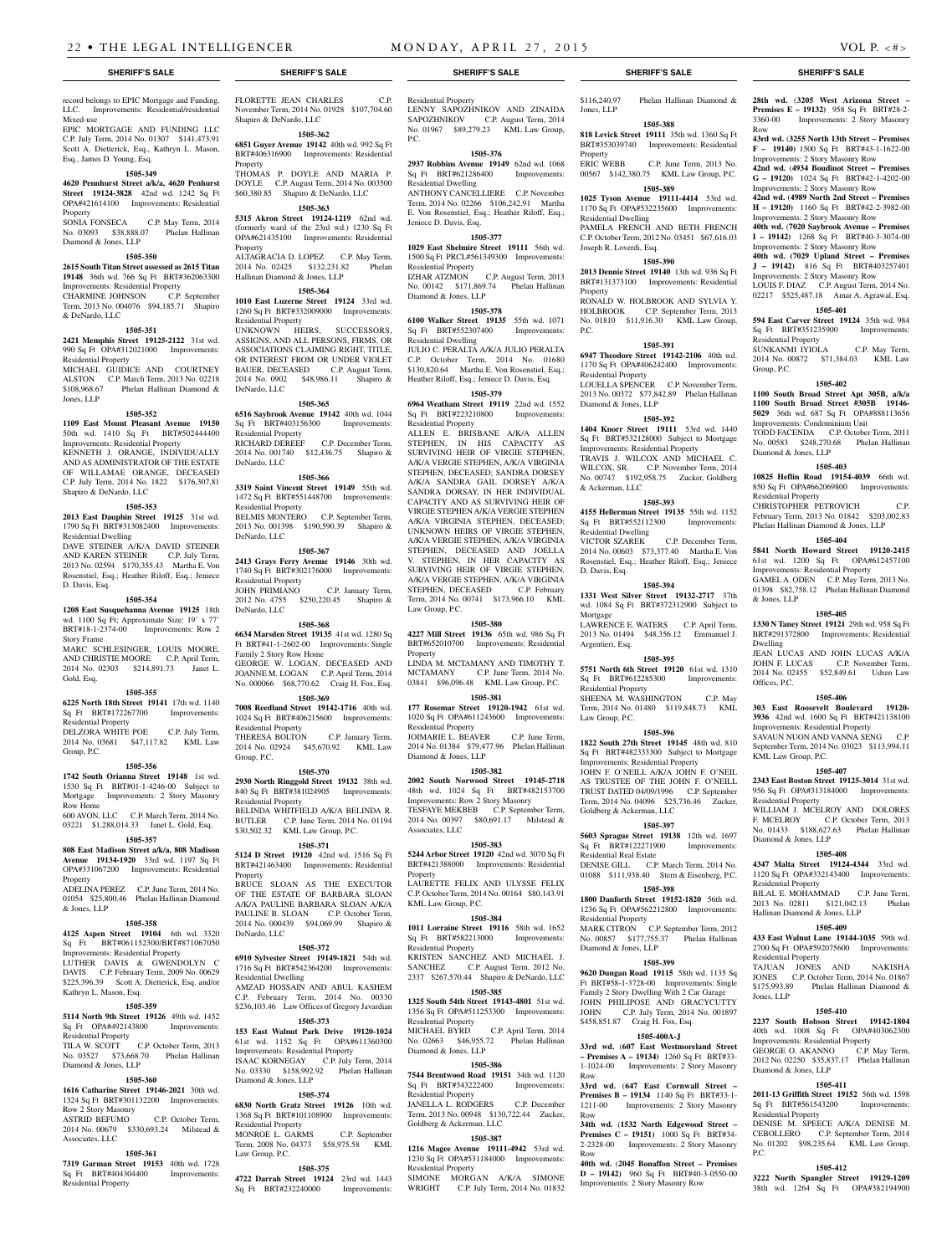**28th wd.** (**3205 West Arizona Street – Premises E – 19132)** 958 Sq Ft BRT#28-2- 3360-00 Improvements: 2 Story Masonry

**43rd wd.** (**3255 North 13th Street – Premises F – 19140)** 1500 Sq Ft BRT#43-1-1622-00 Improvements: 2 Story Masonry Row **42nd wd.** (**4934 Boudinot Street – Premises G – 19120)** 1024 Sq Ft BRT#42-1-4202-00 Improvements: 2 Story Masonry Row **42nd wd.** (**4989 North 2nd Street – Premises H – 19120)** 1160 Sq Ft BRT#42-2-3982-00 Improvements: 2 Story Masonry Row **40th wd.** (**7020 Saybrook Avenue – Premises I – 19142)** 1268 Sq Ft BRT#40-3-3074-00 Improvements: 2 Story Masonry Row **40th wd. (7029 Upland Street – Premises J – 19142)** 816 Sq Ft BRT#403257401 Improvements: 2 Story Masonry Row LOUIS F. DIAZ C.P. August Term, 2014 No. 02217 \$525,487.18 Amar A. Agrawal, Esq. **1505-401 594 East Carver Street 19124** 35th wd. 984 Sq Ft BRT#351235900 Improvements:

SUNKANMI IYIOLA C.P. May Term, 2014 No. 00872 \$71,384.03 KML Law

**1505-402 1100 South Broad Street Apt 305B, a/k/a 1100 South Broad Street #305B 19146- 5029** 36th wd. 687 Sq Ft OPA#888113656 Improvements: Condominium Unit TODD FACENDA C.P. October Term, 2011 No. 00583 \$248,270.68 Phelan Hallinan

**1505-403 10825 Heflin Road 19154-4039** 66th wd. 850 Sq Ft OPA#662069800 Improvements:

CHRISTOPHER PETROVICH C.P. February Term, 2013 No. 01842 \$203,002.83 Phelan Hallinan Diamond & Jones, LLP **1505-404 5841 North Howard Street 19120-2415**  61st wd. 1200 Sq Ft OPA#612457100 Improvements: Residential Property GAMEL A. ODEN C.P. May Term, 2013 No. 01398 \$82,758.12 Phelan Hallinan Diamond

**1505-405 1330 N Taney Street 19121** 29th wd. 958 Sq Ft BRT#291372800 Improvements: Residential

JEAN LUCAS AND JOHN LUCAS A/K/A JOHN F. LUCAS C.P. November Term, 2014 No. 02455 \$52,849.61 Udren Law

**1505-406 303 East Roosevelt Boulevard 19120- 3936** 42nd wd. 1600 Sq Ft BRT#421138100 Improvements: Residential Property SAVAUN NUON AND VANNA SENG C.P. September Term, 2014 No. 03023 \$113,994.11

**1505-407 2343 East Boston Street 19125-3014** 31st wd. 956 Sq Ft OPA#313184000 Improvements:

WILLIAM J. MCELROY AND DOLORES F. MCELROY C.P. October Term, 2013 No. 01433 \$188,627.63 Phelan Hallinan

**1505-408 4347 Malta Street 19124-4344** 33rd wd. 1120 Sq Ft OPA#332143400 Improvements:

BILAL E. MOHAMMAD C.P. June Term, 2013 No. 02811 \$121,042.13 Phelan

**1505-409 433 East Walnut Lane 19144-1035** 59th wd. 2700 Sq Ft OPA#592075600 Improvements:

TAJUAN JONES AND NAKISHA JONES C.P. October Term, 2014 No. 01867 \$175,993.89 Phelan Hallinan Diamond &

**1505-410 2237 South Hobson Street 19142-1804**  40th wd. 1008 Sq Ft OPA#403062300 Improvements: Residential Property GEORGE O. AKANNO C.P. May Term, 2012 No. 02250 \$35,837.17 Phelan Hallinan

**1505-411 2011-13 Griffith Street 19152** 56th wd. 1598 Sq Ft BRT#561543200 Improvements:

DENISE M. SPEECE A/K/A DENISE M. CEBOLLERO C.P. September Term, 2014 No. 01202 \$98,235.64 KML Law Group,

**1505-412 3222 North Spangler Street 19129-1209**  38th wd. 1264 Sq Ft OPA#382194900

Row

Residential Property

Diamond & Jones, LLP

Residential Property

& Jones, LLP

Dwelling

Offices, P.C.

KML Law Group, P.C.

Residential Property

Diamond & Jones, LLP

Residential Property

Residential Property

Diamond & Jones, LLP

Residential Property

P.C.

Jones, LLP

Hallinan Diamond & Jones, LLP

Group, P.C.

#### record belongs to EPIC Mortgage and Funding, LLC. Improvements: Residential/residential Mixed-use EPIC MORTGAGE AND FUNDING LLC

C.P. July Term, 2014 No. 01307 \$141,473.91 Scott A. Dietterick, Esq., Kathryn L. Mason, Esq., James D. Young, Esq.

# **1505-349**

**4620 Pennhurst Street a/k/a, 4620 Penhurst Street 19124-3828** 42nd wd. 1242 Sq Ft OPA#421614100 Improvements: Residential Property SONIA FONSECA C.P. May Term, 2014

No. 03093 \$38,888.07 Phelan Hallinan Diamond & Jones, LLP

#### **1505-350 2615 South Titan Street assessed as 2615 Titan**

**19148** 36th wd. 766 Sq Ft BRT#362063300 Improvements: Residential Property<br>CHARMINE JOHNSON C.P. September CHARMINE JOHNSON Term, 2013 No. 004076 \$94,185.71 Shapiro

# **1505-351**

& DeNardo, LLC

**2421 Memphis Street 19125-2122** 31st wd. 990 Sq Ft OPA#312021000 Improvements: Residential Property

MICHAEL GUIDICE AND COURTNEY ALSTON C.P. March Term, 2013 No. 02218 \$108,968.67 Phelan Hallinan Diamond & Jones, LLP

#### **1505-352**

**1109 East Mount Pleasant Avenue 19150**  50th wd. 1410 Sq Ft BRT#502444400 Improvements: Residential Property KENNETH J. ORANGE, INDIVIDUALLY AND AS ADMINISTRATOR OF THE ESTATE OF WILLAMAE ORANGE, DECEASED C.P. July Term, 2014 No. 1822 \$176,307.81

#### **1505-353**

Shapiro & DeNardo, LLC

**2013 East Dauphin Street 19125** 31st wd. 1790 Sq Ft BRT#313082400 Improvements: Residential Dwelling

DAVE STEINER A/K/A DAVID STEINER AND KAREN STEINER C.P. July Term, 2013 No. 02594 \$170,355.43 Martha E. Von Rosenstiel, Esq.; Heather Riloff, Esq.; Jeniece D. Davis, Esq.

#### **1505-354**

**1208 East Susquehanna Avenue 19125** 18th wd. 1100 Sq Ft; Approximate Size: 19' x 77' BRT#18-1-2374-00 Improvements: Row 2 Story Frame

MARC SCHLESINGER, LOUIS MOORE, AND CHRISTIE MOORE C.P. April Term, 2014 No. 02303 \$214,891.73 Janet L. Gold, Esq.

#### **1505-355**

**6225 North 18th Street 19141** 17th wd. 1140 Sq Ft BRT#172267700 Residential Property DELZORA WHITE POE C.P. July Term, 2014 No. 03681 \$47,117.82 KML Law

### **1505-356**

Group, P.C.

**1742 South Orianna Street 19148** 1st wd. 1530 Sq Ft BRT#01-1-4246-00 Subject to Mortgage Improvements: 2 Story Masonry Row Home 600 AVON, LLC C.P. March Term, 2014 No.

03221 \$1,288,014.33 Janet L. Gold, Esq.

# **1505-357**

**808 East Madison Street a/k/a, 808 Madison Avenue 19134-1920** 33rd wd. 1197 Sq Ft OPA#331067200 Improvements: Residential Property ADELINA PEREZ C.P. June Term, 2014 No.

### 01054 \$25,800.46 Phelan Hallinan Diamond & Jones, LLP

**1505-358 4125 Aspen Street 19104** 6th wd. 3320 Sq Ft BRT#061152300/BRT#871067050 Improvements: Residential Property LUTHER DAVIS & GWENDOLYN C DAVIS C.P. February Term, 2009 No. 00629 \$225,396.39 Scott A. Dietterick, Esq. and/or Kathryn L. Mason, Esq.

### **1505-359**

**5114 North 9th Street 19126** 49th wd. 1452 Sq Ft OPA#492143800 Improvements: Residential Property<br>TILA W. SCOTT C.P. October Term, 2013 No. 03527 \$73,668.70 Phelan Hallinan

# **1505-360**

Diamond & Jones, LLP

**1616 Catharine Street 19146-2021** 30th wd. 1324 Sq Ft BRT#301132200 Improvements: Row 2 Story Masonry

C.P. October Term, 2014 No. 00679 \$330,693.24 Milstead & Associates, LLC

### **1505-361**

**7319 Garman Street 19153** 40th wd. 1728 Sq Ft BRT#404304400 Improvements: Residential Property

FLORETTE JEAN CHARLES C.P. November Term, 2014 No. 01928 \$107,704.60 Shapiro & DeNardo, LLC

#### **1505-362**

**6851 Guyer Avenue 19142** 40th wd. 992 Sq Ft BRT#406316900 Improvements: Residential Property THOMAS P. DOYLE AND MARIA P.

DOYLE C.P. August Term, 2014 No. 003500 \$60,380.85 Shapiro & DeNardo, LLC **1505-363**

**5315 Akron Street 19124-1219** 62nd wd. (formerly ward of the 23rd wd.) 1230 Sq Ft OPA#621435100 Improvements: Residential Property ALTAGRACIA D. LOPEZ C.P. May Term,

2014 No. 02425 \$132,231.82 Phelan Hallinan Diamond & Jones, LLP **1505-364**

#### **1010 East Luzerne Street 19124** 33rd wd. 1260 Sq Ft BRT#332009000 Improvements: Residential Property

UNKNOWN HEIRS, SUCCESSORS, ASSIGNS, AND ALL PERSONS, FIRMS, OR ASSOCIATIONS CLAIMING RIGHT, TITLE, OR INTEREST FROM OR UNDER VIOLET BAUER, DECEASED C.P. August Term, 2014 No. 0902 \$48,986.11 Shapiro & DeNardo, LLC

#### **1505-365**

**6516 Saybrook Avenue 19142** 40th wd. 1044 Sq Ft BRT#403156300 Improvements: Residential Property<br>RICHARD DEREEF C.P. December Term, 2014 No. 001740 \$12,436.75 Shapiro & DeNardo, LLC

#### **1505-366**

**3319 Saint Vincent Street 19149** 55th wd. 1472 Sq Ft BRT#551448700 Improvements: Residential Property BELMIS MONTERO C.P. September Term, 2013 No. 001398 \$190,590.39 Shapiro & DeNardo, LLC

#### **1505-367**

**2413 Grays Ferry Avenue 19146** 30th wd. 1740 Sq Ft BRT#302176000 Improvements: Residential Property<br>JOHN PRIMIANO C.P. January Term,

2012 No. 4755 \$250,220.45 Shapiro & DeNardo, LLC **1505-368**

**6634 Marsden Street 19135** 41st wd. 1280 Sq Ft BRT#41-1-2602-00 Improvements: Single Family 2 Story Row Home GEORGE W. LOGAN, DECEASED AND JOANNE M. LOGAN C.P. April Term, 2014 No. 000066 \$68,770.62 Craig H. Fox, Esq.

# **1505-369**

**7008 Reedland Street 19142-1716** 40th wd. 1024 Sq Ft BRT#406215600 Improvements: Residential Property

THERESA BOLTON C.P. January Term, 2014 No. 02924 \$45,670.92 KML Law Group, P.C.

#### **1505-370**

**2930 North Ringgold Street 19132** 38th wd. 840 Sq Ft BRT#381024905 Improvements: Residential Property BELINDA WHITFIELD A/K/A BELINDA R.

BUTLER C.P. June Term, 2014 No. 01194 \$30,502.32 KML Law Group, P.C. **1505-371**

**5124 D Street 19120** 42nd wd. 1516 Sq Ft BRT#421463400 Improvements: Residential Property BRUCE SLOAN AS THE EXECUTOR OF THE ESTATE OF BARBARA SLOAN A/K/A PAULINE BARBARA SLOAN A/K/A<br>PAULINE B. SLOAN C.P. October Term, PAULINE B. SLOAN 2014 No. 000439 \$94,069.99 Shapiro & DeNardo, LLC

#### **1505-372**

**6910 Sylvester Street 19149-1821** 54th wd. 1716 Sq Ft BRT#542364200 Improvements: Residential Dwelling AMZAD HOSSAIN AND ABUL KASHEM C.P. February Term, 2014 No. 00330 \$236,103.46 Law Offices of Gregory Javardian

#### **1505-373**

**153 East Walnut Park Drive 19120-1024**  61st wd. 1152 Sq Ft OPA#611360300 Improvements: Residential Property ISAAC KORNEGAY C.P. July Term, 2014 No. 03330 \$158,992.92 Phelan Hallinan Diamond & Jones, LLP

#### **1505-374**

**6830 North Gratz Street 19126** 10th wd. 1368 Sq Ft BRT#101108900 Improvements: Residential Property MONROE L. GARMS C.P. September Term, 2008 No. 04373 \$58,975.58 KML

# Law Group, P.C.

**1505-375 4722 Darrah Street 19124** 23rd wd. 1443 Sq Ft BRT#232240000 Improvements:

Residential Property LENNY SAPOZHNIKOV AND ZINAIDA SAPOZHNIKOV C.P. August Term, 2014 No. 01967 \$89,279.23 KML Law Group, P.C.

#### **1505-376**

**2937 Robbins Avenue 19149** 62nd wd. 1068 Sq Ft BRT#621286400 Improvements: Residential Dwelling

#### ANTHONY CANCELLIERE C.P. November

Term, 2014 No. 02266 \$106,242.91 Martha E. Von Rosenstiel, Esq.; Heather Riloff, Esq.; Jeniece D. Davis, Esq.

# **1505-377**

**1029 East Shelmire Street 19111** 56th wd. 1500 Sq Ft PRCL#561349300 Improvements: Residential Property IZHAR ATZMON C.P. August Term, 2013 No. 00142 \$171,869.74 Phelan Hallinan Diamond & Jones, LLP

**1505-378 6100 Walker Street 19135** 55th wd. 1071 Sq Ft BRT#552307400 Improvements:

#### Residential Dwelling JULIO C. PERALTA A/K/A JULIO PERALTA C.P. October Term, 2014 No. 01680 \$130,820.64 Martha E. Von Rosenstiel, Esq.;

Heather Riloff, Esq.; Jeniece D. Davis, Esq. **1505-379 6964 Weatham Street 19119** 22nd wd. 1552 Sq Ft BRT#223210800 Improvements:

Residential Property ALLEN E. BRISBANE A/K/A ALLEN STEPHEN, IN HIS CAPACITY AS SURVIVING HEIR OF VIRGIE STEPHEN, A/K/A VERGIE STEPHEN, A/K/A VIRGINIA STEPHEN, DECEASED; SANDRA DORSEY A/K/A SANDRA GAIL DORSEY A/K/A SANDRA DORSAY, IN HER INDIVIDUAL CAPACITY AND AS SURVIVING HEIR OF VIRGIE STEPHEN A/K/A VERGIE STEPHEN A/K/A VIRGINIA STEPHEN, DECEASED; UNKNOWN HEIRS OF VIRGIE STEPHEN, A/K/A VERGIE STEPHEN, A/K/A VIRGINIA STEPHEN, DECEASED AND JOELLA V. STEPHEN, IN HER CAPACITY AS SURVIVING HEIR OF VIRGIE STEPHEN, A/K/A VERGIE STEPHEN, A/K/A VIRGINIA STEPHEN, DECEASED C.P. February Term, 2014 No. 00741 \$173,966.10 KML

# Law Group, P.C.

**1505-380 4227 Mill Street 19136** 65th wd. 986 Sq Ft BRT#652010700 Improvements: Residential Property LINDA M. MCTAMANY AND TIMOTHY T.

MCTAMANY C.P. June Term, 2014 No. 03841 \$96,096.48 KML Law Group, P.C. **1505-381**

#### **177 Rosemar Street 19120-1942** 61st wd.

1020 Sq Ft OPA#611243600 Improvements: Residential Property JOIMARIE L. BEAVER C.P. June Term, 2014 No. 01384 \$79,477.96 Phelan Hallinan Diamond & Jones, LLP

#### **1505-382**

**2002 South Norwood Street 19145-2718**  48th wd. 1024 Sq Ft BRT#482153700 Improvements: Row 2 Story Masonry TESFAYE MEKBEB C.P. September Term, 2014 No. 00397 \$80,691.17 Milstead & Associates, LLC

#### **1505-383**

**5244 Arbor Street 19120** 42nd wd. 3070 Sq Ft BRT#421388000 Improvements: Residential Property LAURETTE FELIX AND ULYSSE FELIX C.P. October Term, 2014 No. 00164 \$80,143.91

KML Law Group, P.C. **1505-384 1011 Lorraine Street 19116** 58th wd. 1652

Sq Ft BRT#582213000 Improvements: Residential Property KRISTEN SANCHEZ AND MICHAEL J.<br>SANCHEZ C.P. August Term. 2012 No.

C.P. August Term, 2012 No. 2337 \$267,570.44 Shapiro & DeNardo, LLC **1505-385**

**1325 South 54th Street 19143-4801** 51st wd. 1356 Sq Ft OPA#511253300 Improvements: Residential Property C.P. April Term, 2014

#### No. 02663 \$46,955.72 Phelan Hallinan Diamond & Jones, LLP **1505-386**

**7544 Brentwood Road 19151** 34th wd. 1120 Sq Ft BRT#343222400 Improvements: Residential Property

JANELLA L. RODGERS C.P. December Term, 2013 No. 00948 \$130,722.44 Zucker, Goldberg & Ackerman, LLC

# **1505-387**

**1216 Magee Avenue 19111-4942** 53rd wd. 1230 Sq Ft OPA#531184000 Improvements: Residential Property

SIMONE MORGAN A/K/A SIMONE WRIGHT C.P. July Term, 2014 No. 01832

#### **SHERIFF'S SALE SHERIFF'S SALE SHERIFF'S SALE SHERIFF'S SALE SHERIFF'S SALE**

\$116,240.97 Phelan Hallinan Diamond & Jones, LLP **1505-388 818 Levick Street 19111** 35th wd. 1360 Sq Ft

BRT#353039740 Improvements: Residential

00567 \$142,380.75 KML Law Group, P.C. **1505-389 1025 Tyson Avenue 19111-4414** 53rd wd. 1170 Sq Ft OPA#532235600 Improvements:

PAMELA FRENCH AND BETH FRENCH C.P. October Term, 2012 No. 03451 \$67,616.03

**1505-390 2013 Dennie Street 19140** 13th wd. 936 Sq Ft BRT#131373100 Improvements: Residential

RONALD W. HOLBROOK AND SYLVIA Y. HOLBROOK C.P. September Term, 2013 No. 01810 \$11,916.30 KML Law Group,

**1505-391 6947 Theodore Street 19142-2106** 40th wd. 1170 Sq Ft OPA#406242400 Improvements:

LOUELLA SPENCER C.P. November Term, 2013 No. 00372 \$77,842.89 Phelan Hallinan

**1505-392 1404 Knorr Street 19111** 53rd wd. 1440 Sq Ft BRT#532128000 Subject to Mortgage Improvements: Residential Property TRAVIS J. WILCOX AND MICHAEL C. WILCOX, SR. C.P. November Term, 2014 No. 00747 \$192,958.75 Zucker, Goldberg

**1505-393 4155 Hellerman Street 19135** 55th wd. 1152 Sq Ft BRT#552112300 Improvements:

2014 No. 00603 \$73,377.40 Martha E. Von Rosenstiel, Esq.; Heather Riloff, Esq.; Jeniece

**1505-394 1331 West Silver Street 19132-2717** 37th wd. 1084 Sq Ft BRT#372312900 Subject to

LAWRENCE E. WATERS C.P. April Term, 2013 No. 01494 \$48,356.12 Emmanuel J.

**1505-395 5751 North 6th Street 19120** 61st wd. 1310 Sq Ft BRT#612285300 Improvements:

SHEENA M. WASHINGTON C.P. May Term, 2014 No. 01480 \$119,848.73 KML

**1505-396 1822 South 27th Street 19145** 48th wd. 810 Sq Ft BRT#482333300 Subject to Mortgage Improvements: Residential Property JOHN F. O'NEILL A/K/A JOHN F. O'NEIL AS TRUSTEE OF THE JOHN F. O'NEILL TRUST DATED 04/09/1996 C.P. September Term, 2014 No. 04096 \$25,736.46 Zucker,

**1505-397 5603 Sprague Street 19138** 12th wd. 1697 Sq Ft BRT#122271900 Improvements:

DENISE GILL C.P. March Term, 2014 No. 01088 \$111,938.40 Stern & Eisenberg, P.C. **1505-398 1800 Danforth Street 19152-1820** 56th wd. 1236 Sq Ft OPA#562212800 Improvements:

MARK CITRON C.P. September Term, 2012 No. 00857 \$177,755.37 Phelan Hallinan

**1505-399 9620 Dungan Road 19115** 58th wd. 1135 Sq Ft BRT#58-1-3728-00 Improvements: Single Family 2 Story Dwelling With 2 Car Garage JOHN PHILIPOSE AND GRACYCUTTY<br>JOHN C.P. July Term. 2014 No. 001897 C.P. July Term, 2014 No. 001897

**1505-400A-J 33rd wd.** (**607 East Westmoreland Street – Premises A – 19134)** 1260 Sq Ft BRT#33- 1-1024-00 Improvements: 2 Story Masonry

**33rd wd.** (**647 East Cornwall Street – Premises B – 19134** 1140 Sq Ft BRT#33-1- 1211-00 Improvements: 2 Story Masonry

**34th wd.** (**1532 North Edgewood Street – Premises C – 19151)** 1000 Sq Ft BRT#34- 2-2328-00 Improvements: 2 Story Masonry

**40th wd.** (**2045 Bonaffon Street – Premises D – 19142)** 960 Sq Ft BRT#40-3-0550-00 Improvements: 2 Story Masonry Row

\$458,851.87 Craig H. Fox, Esq.

C.P. December Term,

C.P. June Term, 2013 No.

Property<br>ERIC WEBB

Residential Dwelling

Joseph R. Loverdi, Esq.

Residential Property

& Ackerman, LLC

Residential Dwelling<br>VICTOR SZAREK

D. Davis, Esq.

Mortgage

Argentieri, Esq.

Residential Property

Goldberg & Ackerman, LLC

Residential Real Estate

Residential Property

Row

Row

Row

Diamond & Jones, LLP

Law Group, P.C.

Diamond & Jones, LLP

Property

P.C.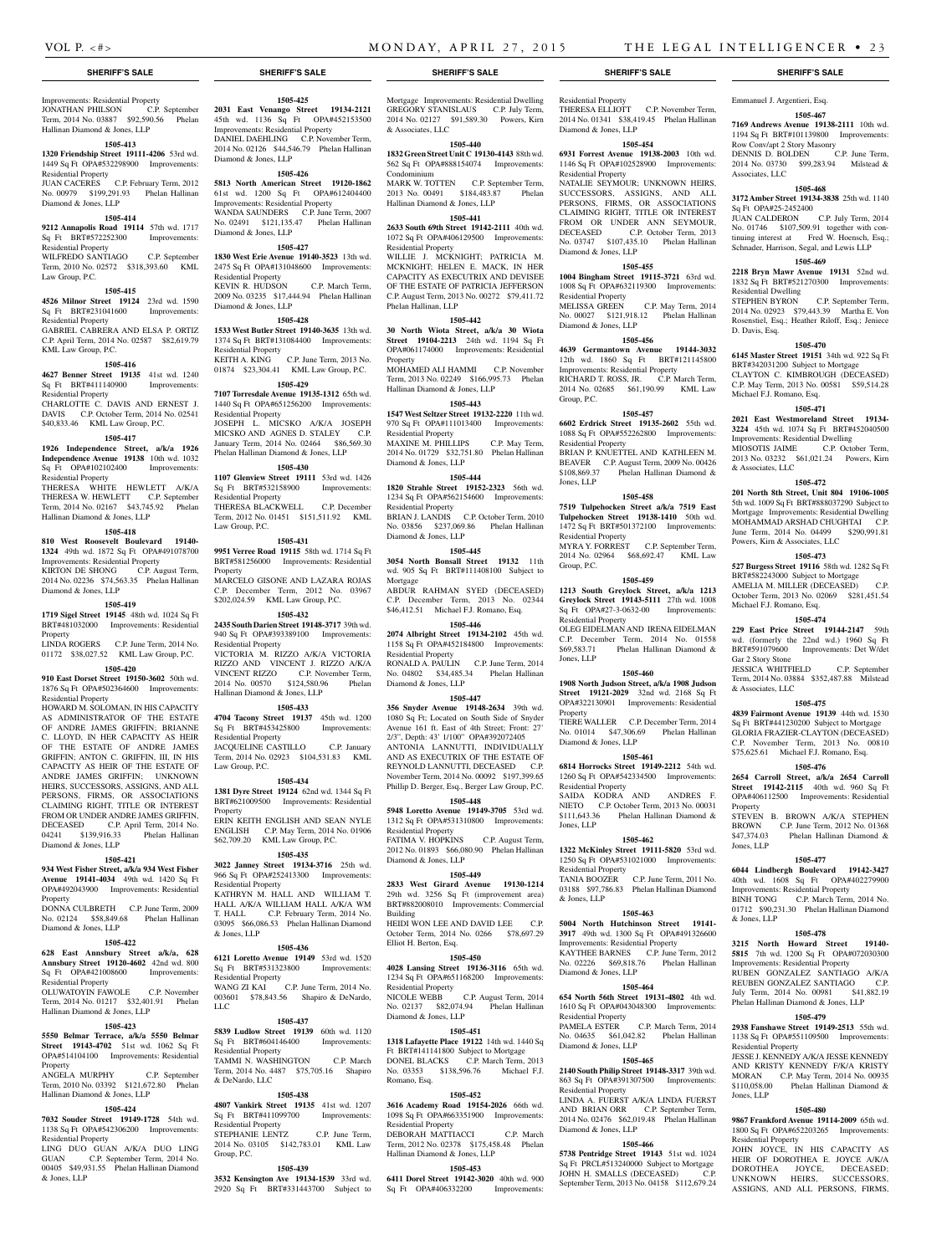Emmanuel J. Argentieri, Esq.

Row Conv/apt 2 Story Masonry

Associates, LLC

Sq Ft OPA#25-2452400

Residential Dwelling

Michael F.J. Romano, Esq.

& Associates, LLC

D. Davis, Esq.

**1505-467 7169 Andrews Avenue 19138-2111** 10th wd. 1194 Sq Ft BRT#101139800 Improvements:

DENNIS D. BOLDEN C.P. June Term, 2014 No. 03730 \$99,283.94 Milstead &

**1505-468 3172 Amber Street 19134-3838** 25th wd. 1140

JUAN CALDERON C.P. July Term, 2014 No. 01746 \$107,509.91 together with continuing interest at Fred W. Hoensch, Esq.; Schnader, Harrison, Segal, and Lewis LLP **1505-469 2218 Bryn Mawr Avenue 19131** 52nd wd. 1832 Sq Ft BRT#521270300 Improvements:

STEPHEN BYRON C.P. September Term, 2014 No. 02923 \$79,443.39 Martha E. Von Rosenstiel, Esq.; Heather Riloff, Esq.; Jeniece

**1505-470 6145 Master Street 19151** 34th wd. 922 Sq Ft BRT#342031200 Subject to Mortgage CLAYTON C. KIMBROUGH (DECEASED) C.P. May Term, 2013 No. 00581 \$59,514.28

**1505-471 2021 East Westmoreland Street 19134- 3224** 45th wd. 1074 Sq Ft BRT#452040500 Improvements: Residential Dwelling MIOSOTIS JAIME C.P. October Term, 2013 No. 03232 \$61,021.24 Powers, Kirn

**1505-472 201 North 8th Street, Unit 804 19106-1005**  5th wd. 1009 Sq Ft BRT#888037290 Subject to Mortgage Improvements: Residential Dwelling MOHAMMAD ARSHAD CHUGHTAI C.P. June Term, 2014 No. 04499 \$290,991.81

**1505-473 527 Burgess Street 19116** 58th wd. 1282 Sq Ft BRT#582243000 Subject to Mortgage AMELIA M. MILLER (DECEASED) C.P. October Term, 2013 No. 02069 \$281,451.54

**1505-474 229 East Price Street 19144-2147** 59th wd. (formerly the 22nd wd.) 1960 Sq Ft BRT#591079600 Improvements: Det W/det

JESSICA WHITFIELD C.P. September Term, 2014 No. 03884 \$352,487.88 Milstead

**1505-475 4839 Fairmont Avenue 19139** 44th wd. 1530 Sq Ft BRT#441230200 Subject to Mortgage GLORIA FRAZIER-CLAYTON (DECEASED) C.P. November Term, 2013 No. 00810 \$75,625.61 Michael F.J. Romano, Esq. **1505-476 2654 Carroll Street, a/k/a 2654 Carroll Street 19142-2115** 40th wd. 960 Sq Ft OPA#406112500 Improvements: Residential

STEVEN B. BROWN A/K/A STEPHEN BROWN C.P. June Term, 2012 No. 01368 \$47,374.03 Phelan Hallinan Diamond &

**1505-477 6044 Lindbergh Boulevard 19142-3427**  40th wd. 1608 Sq Ft OPA#402279900 Improvements: Residential Property BINH TONG C.P. March Term, 2014 No. 01712 \$90,231.30 Phelan Hallinan Diamond

**1505-478 3215 North Howard Street 19140- 5815** 7th wd. 1200 Sq Ft OPA#072030300 Improvements: Residential Property RUBEN GONZALEZ SANTIAGO A/K/A REUBEN GONZALEZ SANTIAGO C.P. July Term, 2014 No. 00981 \$41,882.19 Phelan Hallinan Diamond & Jones, LLP **1505-479 2938 Fanshawe Street 19149-2513** 55th wd. 1138 Sq Ft OPA#551109500 Improvements:

JESSE J. KENNEDY A/K/A JESSE KENNEDY AND KRISTY KENNEDY F/K/A KRISTY MORAN C.P. May Term, 2014 No. 00935 \$110,058.00 Phelan Hallinan Diamond &

**1505-480 9867 Frankford Avenue 19114-2009** 65th wd. 1800 Sq Ft OPA#652203265 Improvements:

JOHN JOYCE, IN HIS CAPACITY AS HEIR OF DOROTHEA E. JOYCE A/K/A DOROTHEA JOYCE, DECEASED; UNKNOWN HEIRS, SUCCESSORS, ASSIGNS, AND ALL PERSONS, FIRMS,

Powers, Kirn & Associates, LLC

Michael F.J. Romano, Esq.

Gar 2 Story Stone

& Associates, LLC

Property

Jones, LLP

& Jones, LLP

Residential Property

Residential Property

Jones, LLP

#### Improvements: Residential Property JONATHAN PHILSON C.P. September Term, 2014 No. 03887 \$92,590.56 Phelan Hallinan Diamond & Jones, LLP

#### **1505-413**

**1320 Friendship Street 19111-4206** 53rd wd. 1449 Sq Ft OPA#532298900 Improvements: Residential Property

JUAN CACERES C.P. February Term, 2012 No. 00979 \$199,291.93 Phelan Hallinan Diamond & Jones, LLP

#### **1505-414**

#### **9212 Annapolis Road 19114** 57th wd. 1717 Sq Ft BRT#572252300 Improvements:

Residential Property WILFREDO SANTIAGO C.P. September Term, 2010 No. 02572 \$318,393.60 KML

# Law Group, P.C.

**1505-415**

#### **4526 Milnor Street 19124** 23rd wd. 1590 Sq Ft BRT#231041600 Improvements:

Residential Property GABRIEL CABRERA AND ELSA P. ORTIZ C.P. April Term, 2014 No. 02587 \$82,619.79 KML Law Group, P.C.

**1505-416 4627 Benner Street 19135** 41st wd. 1240 Sq Ft BRT#411140900 Improvements:

#### Residential Property CHARLOTTE C. DAVIS AND ERNEST J.

DAVIS C.P. October Term, 2014 No. 02541 \$40,833.46 KML Law Group, P.C.

#### **1505-417**

**1926 Independence Street, a/k/a 1926 Independence Avenue 19138** 10th wd. 1032 Sq Ft OPA#102102400 Improvements:

#### Residential Property THERESA WHITE HEWLETT A/K/A THERESA W. HEWLETT C.P. September Term, 2014 No. 02167 \$43,745.92 Phelan

### Hallinan Diamond & Jones, LLP **1505-418**

# **810 West Roosevelt Boulevard 19140-**

**1324** 49th wd. 1872 Sq Ft OPA#491078700 Improvements: Residential Property KIRTON DE SHONG C.P. August Term, 2014 No. 02236 \$74,563.35 Phelan Hallinan Diamond & Jones, LLP

#### **1505-419**

#### **1719 Sigel Street 19145** 48th wd. 1024 Sq Ft

BRT#481032000 Improvements: Residential Property LINDA ROGERS C.P. June Term, 2014 No.

# 01172 \$38,027.52 KML Law Group, P.C.

# **1505-420**

**910 East Dorset Street 19150-3602** 50th wd. 1876 Sq Ft OPA#502364600 Improvements: Residential Property

HOWARD M. SOLOMAN, IN HIS CAPACITY AS ADMINISTRATOR OF THE ESTATE OF ANDRE JAMES GRIFFIN; BRIANNE C. LLOYD, IN HER CAPACITY AS HEIR OF THE ESTATE OF ANDRE JAMES GRIFFIN; ANTON C. GRIFFIN, III, IN HIS CAPACITY AS HEIR OF THE ESTATE OF ANDRE JAMES GRIFFIN; UNKNOWN HEIRS, SUCCESSORS, ASSIGNS, AND ALL PERSONS, FIRMS, OR ASSOCIATIONS CLAIMING RIGHT, TITLE OR INTEREST FROM OR UNDER ANDRE JAMES GRIFFIN, DECEASED C.P. April Term, 2014 No. 04241 \$139,916.33 Phelan Hallinan Diamond & Jones, LLP

# **1505-421**

**934 West Fisher Street, a/k/a 934 West Fisher Avenue 19141-4034** 49th wd. 1420 Sq Ft

#### OPA#492043900 Improvements: Residential Property

DONNA CULBRETH C.P. June Term, 2009 No. 02124 \$58,849.68 Phelan Hallinan Diamond & Jones, LLP

## **1505-422**

**628 East Annsbury Street a/k/a, 628 Annsbury Street 19120-4602** 42nd wd. 800 Sq Ft OPA#421008600 Improvements: Residential Property

#### OLUWATOYIN FAWOLE C.P. November Term, 2014 No. 01217 \$32,401.91 Phelan Hallinan Diamond & Jones, LLP

#### **1505-423**

**5550 Belmar Terrace, a/k/a 5550 Belmar Street 19143-4702** 51st wd. 1062 Sq Ft OPA#514104100 Improvements: Residential Property ANGELA MURPHY C.P. September

# Term, 2010 No. 03392 \$121,672.80 Phelan Hallinan Diamond & Jones, LLP

#### **1505-424**

**7032 Souder Street 19149-1728** 54th wd. 1138 Sq Ft OPA#542306200 Improvements: Residential Property

LING DUO GUAN A/K/A DUO LING GUAN C.P. September Term, 2014 No. 00405 \$49,931.55 Phelan Hallinan Diamond & Jones, LLP

# **1505-425**

**2031 East Venango Street 19134-2121**  45th wd. 1136 Sq Ft OPA#452153500 Improvements: Residential Property DANIEL DAEHLING C.P. November Term, 2014 No. 02126 \$44,546.79 Phelan Hallinan Diamond & Jones, LLP

#### **1505-426**

#### **5813 North American Street 19120-1862**  61st wd. 1200 Sq Ft OPA#612404400 Improvements: Residential Property WANDA SAUNDERS C.P. June Term, 2007 No. 02491 \$121,135.47 Phelan Hallinan Diamond & Jones, LLP

#### **1505-427**

**1830 West Erie Avenue 19140-3523** 13th wd. 2475 Sq Ft OPA#131048600 Improvements: Residential Property KEVIN R. HUDSON C.P. March Term, 2009 No. 03235 \$17,444.94 Phelan Hallinan Diamond & Jones, LLP

# **1505-428**

**1533 West Butler Street 19140-3635** 13th wd. 1374 Sq Ft BRT#131084400 Improvements: Residential Property KEITH A. KING C.P. June Term, 2013 No. 01874 \$23,304.41 KML Law Group, P.C.

**1505-429 7107 Torresdale Avenue 19135-1312** 65th wd. 1440 Sq Ft OPA#651256200 Improvements: Residential Property JOSEPH L. MICSKO A/K/A JOSEPH

MICSKO AND AGNES D. STALEY C.P. January Term, 2014 No. 02464 \$86,569.30 Phelan Hallinan Diamond & Jones, LLP **1505-430**

**1107 Glenview Street 19111** 53rd wd. 1426 Sq Ft BRT#532158900 Improvements: Residential Property THERESA BLACKWELL C.P. December Term, 2012 No. 01451 \$151,511.92 KML Law Group, P.C.

#### **1505-431**

**9951 Verree Road 19115** 58th wd. 1714 Sq Ft BRT#581256000 Improvements: Residential Property MARCELO GISONE AND LAZARA ROJAS C.P. December Term, 2012 No. 03967 \$202,024.59 KML Law Group, P.C.

#### **1505-432**

**2435 South Darien Street 19148-3717** 39th wd. 940 Sq Ft OPA#393389100 Improvements: Residential Property VICTORIA M. RIZZO A/K/A VICTORIA RIZZO AND VINCENT J. RIZZO A/K/A VINCENT RIZZO C.P. November Term, 2014 No. 00570 \$124,580.96 Phelan Hallinan Diamond & Jones, LLP

#### **1505-433**

**4704 Tacony Street 19137** 45th wd. 1200 Sq Ft BRT#453425800 Improvements: Residential Property JACQUELINE CASTILLO C.P. January Term, 2014 No. 02923 \$104,531.83 KML Law Group, P.C.

#### **1505-434**

**1381 Dyre Street 19124** 62nd wd. 1344 Sq Ft BRT#621009500 Improvements: Residential Property ERIN KEITH ENGLISH AND SEAN NYLE ENGLISH C.P. May Term, 2014 No. 01906 \$62,709.20 KML Law Group, P.C.

#### **1505-435**

**3022 Janney Street 19134-3716** 25th wd. 966 Sq Ft OPA#252413300 Improvements: Residential Property KATHRYN M. HALL AND WILLIAM T. HALL A/K/A WILLIAM HALL A/K/A WM T. HALL C.P. February Term, 2014 No. 03095 \$66,086.53 Phelan Hallinan Diamond & Jones, LLP

#### **1505-436**

**6121 Loretto Avenue 19149** 53rd wd. 1520 Sq Ft BRT#531323800 Improvements: Residential Property WANG ZI KAI C.P. June Term, 2014 No. 003601 \$78,843.56 Shapiro & DeNardo, LLC

#### **1505-437**

**5839 Ludlow Street 19139** 60th wd. 1120 Sq Ft BRT#604146400 Improvements: Residential Property TAMMI N. WASHINGTON C.P. March Term, 2014 No. 4487 \$75,705.16 Shapiro & DeNardo, LLC

#### **1505-438**

**4807 Vankirk Street 19135** 41st wd. 1207 Sq Ft BRT#411099700 Residential Property STEPHANIE LENTZ C.P. June Term,

2014 No. 03105 \$142,783.01 KML Law Group, P.C.

#### **1505-439**

**3532 Kensington Ave 19134-1539** 33rd wd. 2920 Sq Ft BRT#331443700 Subject to

#### **SHERIFF'S SALE SHERIFF'S SALE SHERIFF'S SALE SHERIFF'S SALE SHERIFF'S SALE**

Mortgage Improvements: Residential Dwelling GREGORY STANISLAUS C.P. July Term, 2014 No. 02127 \$91,589.30 Powers, Kirn & Associates, LLC

Residential Property

Diamond & Jones, LLP

Residential Property

Diamond & Jones, LLP

Residential Property

Diamond & Jones, LLP

Group, P.C.

Jones, LLP

Group, P.C.

Jones, LLP

Property

Diamond & Jones, LLP

Residential Property

Residential Property

Diamond & Jones, LLP

Residential Property

Residential Property

Diamond & Jones, LLP

Diamond & Jones, LLP

& Jones, LLP

Jones, LLP

Residential Property

Residential Property

Residential Property

THERESA ELLIOTT C.P. November Term, 2014 No. 01341 \$38,419.45 Phelan Hallinan

**1505-454 6931 Forrest Avenue 19138-2003** 10th wd. 1146 Sq Ft OPA#102528900 Improvements:

NATALIE SEYMOUR; UNKNOWN HEIRS, SUCCESSORS, ASSIGNS, AND ALL PERSONS, FIRMS, OR ASSOCIATIONS CLAIMING RIGHT, TITLE OR INTEREST FROM OR UNDER ANN SEYMOUR, DECEASED C.P. October Term, 2013 No. 03747 \$107,435.10 Phelan Hallinan

**1505-455 1004 Bingham Street 19115-3721** 63rd wd. 1008 Sq Ft OPA#632119300 Improvements:

MELISSA GREEN C.P. May Term, 2014 No. 00027 \$121,918.12 Phelan Hallinan

**1505-456 4639 Germantown Avenue 19144-3032**  12th wd. 1860 Sq Ft BRT#121145800 Improvements: Residential Property RICHARD T. ROSS, JR. C.P. March Term, 2014 No. 02685 \$61,190.99 KML Law

**1505-457 6602 Erdrick Street 19135-2602** 55th wd. 1088 Sq Ft OPA#552262800 Improvements:

BRIAN P. KNUETTEL AND KATHLEEN M. BEAVER C.P. August Term, 2009 No. 00426 \$108,869.37 Phelan Hallinan Diamond &

**1505-458 7519 Tulpehocken Street a/k/a 7519 East Tulpehocken Street 19138-1410** 50th wd. 1472 Sq Ft BRT#501372100 Improvements:

MYRA Y. FORREST C.P. September Term, 2014 No. 02964 \$68,692.47 KML Law

**1505-459 1213 South Greylock Street, a/k/a 1213 Greylock Street 19143-5111** 27th wd. 1008 Sq Ft OPA#27-3-0632-00 Improvements:

OLEG EIDELMAN AND IRENA EIDELMAN C.P. December Term, 2014 No. 01558 \$69,583.71 Phelan Hallinan Diamond &

**1505-460 1908 North Judson Street, a/k/a 1908 Judson Street 19121-2029** 32nd wd. 2168 Sq Ft OPA#322130901 Improvements: Residential

TIERE WALLER C.P. December Term, 2014 No. 01014 \$47,306.69 Phelan Hallinan

**1505-461 6814 Horrocks Street 19149-2212** 54th wd. 1260 Sq Ft OPA#542334500 Improvements:

SAIDA KODRA AND ANDRES F. NIETO C.P. October Term, 2013 No. 00031 \$111,643.36 Phelan Hallinan Diamond &

**1505-462 1322 McKinley Street 19111-5820** 53rd wd. 1250 Sq Ft OPA#531021000 Improvements:

TANIA BOOZER C.P. June Term, 2011 No. 03188 \$97,786.83 Phelan Hallinan Diamond

**1505-463 5004 North Hutchinson Street 19141- 3917** 49th wd. 1300 Sq Ft OPA#491326600 Improvements: Residential Property KAYTHEE BARNES C.P. June Term, 2012 No. 02226 \$69,818.76 Phelan Hallinan

**1505-464 654 North 56th Street 19131-4802** 4th wd. 1610 Sq Ft OPA#043048300 Improvements:

PAMELA ESTER C.P. March Term, 2014 No. 04635 \$61,042.82 Phelan Hallinan

**1505-465 2140 South Philip Street 19148-3317** 39th wd. 863 Sq Ft OPA#391307500 Improvements:

LINDA A. FUERST A/K/A LINDA FUERST AND BRIAN ORR C.P. September Term, 2014 No. 02476 \$62,019.48 Phelan Hallinan

**1505-466 5738 Pentridge Street 19143** 51st wd. 1024 Sq Ft PRCL#513240000 Subject to Mortgage JOHN H. SMALLS (DECEASED) C.P. September Term, 2013 No. 04158 \$112,679.24

#### **1505-440**

**1832 Green Street Unit C 19130-4143** 88th wd. 562 Sq Ft OPA#888154074 Improvements: Condominium MARK W. TOTTEN C.P. September Term,

2013 No. 00491 \$184,483.87 Phelan Hallinan Diamond & Jones, LLP

### **1505-441**

**2633 South 69th Street 19142-2111** 40th wd. 1072 Sq Ft OPA#406129500 Improvements: Residential Property

WILLIE J. MCKNIGHT; PATRICIA M. MCKNIGHT; HELEN E. MACK, IN HER CAPACITY AS EXECUTRIX AND DEVISEE OF THE ESTATE OF PATRICIA JEFFERSON C.P. August Term, 2013 No. 00272 \$79,411.72 Phelan Hallinan, LLP

#### **1505-442**

**30 North Wiota Street, a/k/a 30 Wiota Street 19104-2213** 24th wd. 1194 Sq Ft OPA#061174000 Improvements: Residential Property

MOHAMED ALI HAMMI C.P. November Term, 2013 No. 02249 \$166,995.73 Phelan Hallinan Diamond & Jones, LLP

# **1505-443**

**1547 West Seltzer Street 19132-2220** 11th wd. 970 Sq Ft OPA#111013400 Improvements: Residential Property MAXINE M. PHILLIPS C.P. May Term, 2014 No. 01729 \$32,751.80 Phelan Hallinan

# **1505-444**

Diamond & Jones, LLP

**1820 Strahle Street 19152-2323** 56th wd. 1234 Sq Ft OPA#562154600 Improvements: Residential Property BRIAN J. LANDIS C.P. October Term, 2010 No. 03856 \$237,069.86 Phelan Hallinan Diamond & Jones, LLP

#### **1505-445**

**3054 North Bonsall Street 19132** 11th wd. 905 Sq Ft BRT#111408100 Subject to Mortgage ABDUR RAHMAN SYED (DECEASED) C.P. December Term, 2013 No. 02344 \$46,412.51 Michael F.J. Romano, Esq.

#### **1505-446**

**2074 Albright Street 19134-2102** 45th wd. 1158 Sq Ft OPA#452184800 Improvements: Residential Property RONALD A. PAULIN C.P. June Term, 2014 No. 04802 \$34,485.34 Phelan Hallinan Diamond & Jones, LLP

#### **1505-447**

**356 Snyder Avenue 19148-2634** 39th wd. 1080 Sq Ft; Located on South Side of Snyder Avenue 161 ft. East of 4th Street; Front: 27' 2/3", Depth: 43' 1/100" OPA#392072405 ANTONIA LANNUTTI, INDIVIDUALLY AND AS EXECUTRIX OF THE ESTATE OF REYNOLD LANNUTTI, DECEASED C.P. November Term, 2014 No. 00092 \$197,399.65 Phillip D. Berger, Esq., Berger Law Group, P.C.

#### **1505-448**

**5948 Loretto Avenue 19149-3705** 53rd wd. 1312 Sq Ft OPA#531310800 Improvements: Residential Property FATIMA V. HOPKINS C.P. August Term, 2012 No. 01893 \$66,080.90 Phelan Hallinan Diamond & Jones, LLP

**1505-449 2833 West Girard Avenue 19130-1214**  29th wd. 3256 Sq Ft (improvement area) BRT#882008010 Improvements: Commercial

HEIDI WON LEE AND DAVID LEE C.P. October Term, 2014 No. 0266 \$78,697.29

**1505-450 4028 Lansing Street 19136-3116** 65th wd. 1234 Sq Ft OPA#651168200 Improvements:

NICOLE WEBB C.P. August Term, 2014 No. 02137 \$82,074.94 Phelan Hallinan

**1505-451 1318 Lafayette Place 19122** 14th wd. 1440 Sq Ft BRT#141141800 Subject to Mortgage DONEL BLACKS C.P. March Term, 2013 No. 03353 \$138,596.76 Michael F.J.

**1505-452 3616 Academy Road 19154-2026** 66th wd. 1098 Sq Ft OPA#663351900 Improvements:

DEBORAH MATTIACCI C.P. March Term, 2012 No. 02378 \$175,458.48 Phelan

**1505-453 6411 Dorel Street 19142-3020** 40th wd. 900<br>Sq Ft OPA#406332200 Improvements:

Hallinan Diamond & Jones, LLP

Sq Ft OPA#406332200

Building

Elliot H. Berton, Esq.

Residential Property

Romano, Esq.

Residential Property

Diamond & Jones, LLP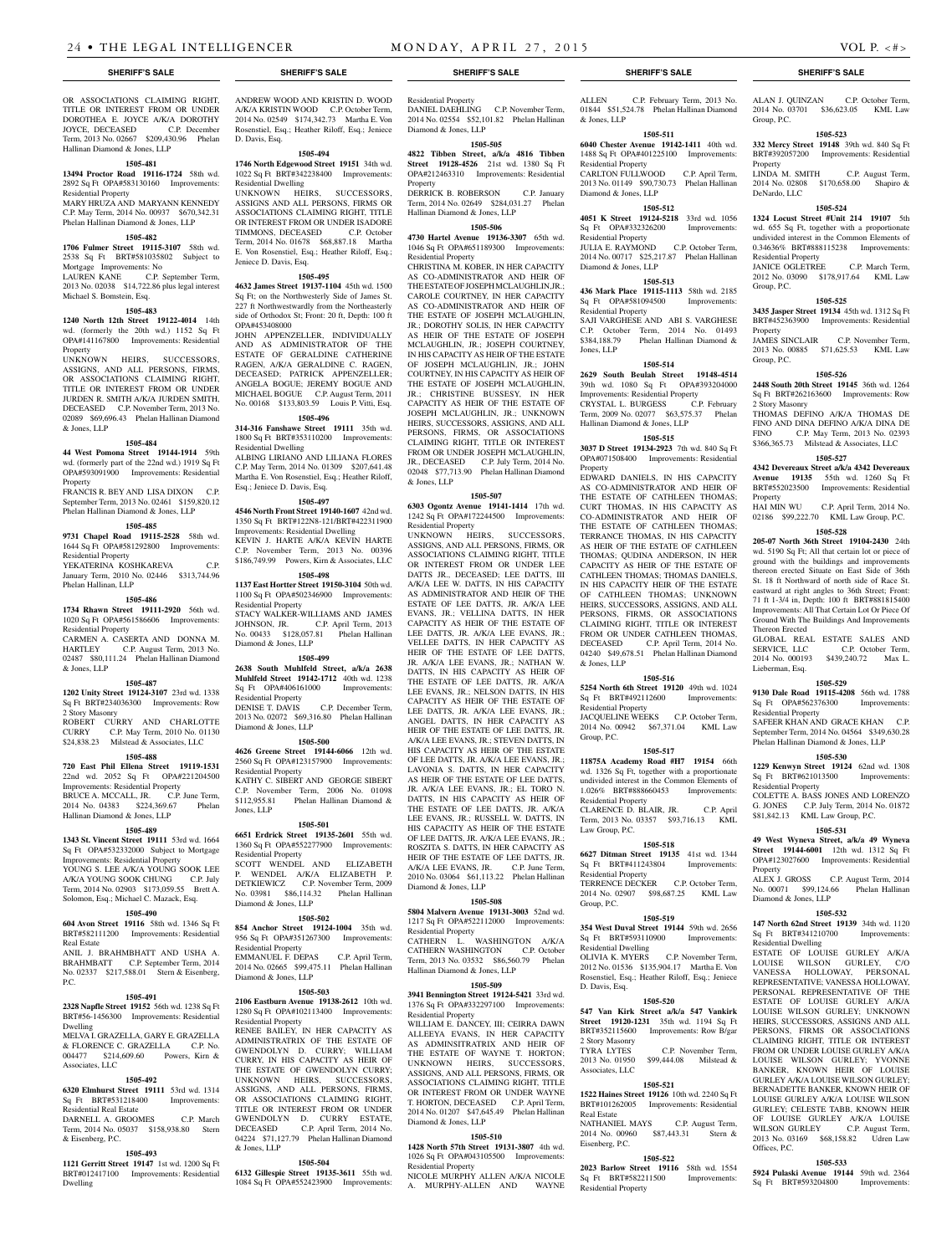#### OR ASSOCIATIONS CLAIMING RIGHT TITLE OR INTEREST FROM OR UNDER DOROTHEA E. JOYCE A/K/A DOROTHY JOYCE, DECEASED C.P. December Term, 2013 No. 02667 \$209,430.96 Phelan Hallinan Diamond & Jones, LLP

#### **1505-481**

**13494 Proctor Road 19116-1724** 58th wd. 2892 Sq Ft OPA#583130160 Improvements: Residential Property MARY HRUZA AND MARYANN KENNEDY C.P. May Term, 2014 No. 00937 \$670,342.31 Phelan Hallinan Diamond & Jones, LLP

#### **1505-482**

**1706 Fulmer Street 19115-3107** 58th wd. 2538 Sq Ft BRT#581035802 Subject to Mortgage Improvements: No

LAUREN KANE C.P. September Term, 2013 No. 02038 \$14,722.86 plus legal interest Michael S. Bomstein, Esq.

#### **1505-483**

**1240 North 12th Street 19122-4014** 14th wd. (formerly the 20th wd.) 1152 Sq Ft OPA#141167800 Improvements: Residential Property

UNKNOWN HEIRS, SUCCESSORS, ASSIGNS, AND ALL PERSONS, FIRMS, OR ASSOCIATIONS CLAIMING RIGHT, TITLE OR INTEREST FROM OR UNDER JURDEN R. SMITH A/K/A JURDEN SMITH, DECEASED C.P. November Term, 2013 No. 02089 \$69,696.43 Phelan Hallinan Diamond & Jones, LLP

### **1505-484**

**44 West Pomona Street 19144-1914** 59th wd. (formerly part of the 22nd wd.) 1919 Sq Ft OPA#593091900 Improvements: Residential Property

FRANCIS R. BEY AND LISA DIXON C.P. September Term, 2013 No. 02461 \$159,820.12 Phelan Hallinan Diamond & Jones, LLP

#### **1505-485**

**9731 Chapel Road 19115-2528** 58th wd. 1644 Sq Ft OPA#581292800 Improvements: Residential Property

YEKATERINA KOSHKAREVA C.P. January Term, 2010 No. 02446 \$313,744.96 Phelan Hallinan, LLP

#### **1505-486**

**1734 Rhawn Street 19111-2920** 56th wd. 1020 Sq Ft OPA#561586606 Improvements: Residential Property

CARMEN A. CASERTA AND DONNA M. C.P. August Term, 2013 No. 02487 \$80,111.24 Phelan Hallinan Diamond & Jones, LLP

# **1505-487**

**1202 Unity Street 19124-3107** 23rd wd. 1338 Sq Ft BRT#234036300 Improvements: Row 2 Story Masonry

ROBERT CURRY AND CHARLOTTE<br>CURRY C.P. May Term, 2010 No. 01130 C.P. May Term, 2010 No. 01130 \$24,838.23 Milstead & Associates, LLC **1505-488 720 East Phil Ellena Street 19119-1531**  22nd wd. 2052 Sq Ft OPA#221204500

Improvements: Residential Property BRUCE A. MCCALL, JR. C.P. June Term, 2014 No. 04383 \$224,369.67 Phelan Hallinan Diamond & Jones, LLP

#### **1505-489**

**1343 St. Vincent Street 19111** 53rd wd. 1664 Sq Ft OPA#532332000 Subject to Mortgage Improvements: Residential Property YOUNG S. LEE A/K/A YOUNG SOOK LEE A/K/A YOUNG SOOK CHUNG C.P. July Term, 2014 No. 02903 \$173,059.55 Brett A. Solomon, Esq.; Michael C. Mazack, Esq.

### **1505-490**

**604 Avon Street 19116** 58th wd. 1346 Sq Ft BRT#582111200 Improvements: Residential Real Estate

ANIL J. BRAHMBHATT AND USHA A. BRAHMBATT C.P. September Term, 2014 No. 02337 \$217,588.01 Stern & Eisenberg, P.C.

#### **1505-491**

**2328 Napfle Street 19152** 56th wd. 1238 Sq Ft BRT#56-1456300 Improvements: Residential Dwelling

#### MELVA I. GRAZELLA, GARY E. GRAZELLA & FLORENCE C. GRAZELLA C.P. No. 004477 \$214,609.60 Powers, Kirn & Associates, LLC

#### **1505-492**

**6320 Elmhurst Street 19111** 53rd wd. 1314 Sq Ft BRT#531218400 Improvements: Residential Real Estate DARNELL A. GROOMES C.P. March Term, 2014 No. 05037 \$158,938.80 Stern & Eisenberg, P.C.

#### **1505-493**

**1121 Gerritt Street 19147** 1st wd. 1200 Sq Ft BRT#012417100 Improvements: Residential Dwelling

ANDREW WOOD AND KRISTIN D. WOOD A/K/A KRISTIN WOOD C.P. October Term, 2014 No. 02549 \$174,342.73 Martha E. Von Rosenstiel, Esq.; Heather Riloff, Esq.; Jeniece D. Davis, Esq.

# **1505-494**

**1746 North Edgewood Street 19151** 34th wd. 1022 Sq Ft BRT#342238400 Improvements: Residential Dwelling

UNKNOWN HEIRS, SUCCESSORS, ASSIGNS AND ALL PERSONS, FIRMS OR ASSOCIATIONS CLAIMING RIGHT, TITLE OR INTEREST FROM OR UNDER ISADORE TIMMONS, DECEASED C.P. October Term, 2014 No. 01678 \$68,887.18 Martha E. Von Rosenstiel, Esq.; Heather Riloff, Esq.; Jeniece D. Davis, Esq.

#### **1505-495**

**4632 James Street 19137-1104** 45th wd. 1500 Sq Ft; on the Northwesterly Side of James St. 227 ft Northwestwardly from the Northeasterly side of Orthodox St; Front: 20 ft, Depth: 100 ft OPA#453408000

JOHN APPENZELLER, INDIVIDUALLY AND AS ADMINISTRATOR OF THE ESTATE OF GERALDINE CATHERINE RAGEN, A/K/A GERALDINE C. RAGEN, DECEASED; PATRICK APPENZELLER; ANGELA BOGUE; JEREMY BOGUE AND MICHAEL BOGUE C.P. August Term, 2011 No. 00168 \$133,803.59 Louis P. Vitti, Esq.

#### **1505-496**

**314-316 Fanshawe Street 19111** 35th wd. 1800 Sq Ft BRT#353110200 Improvements: Residential Dwelling ALBING LIRIANO AND LILIANA FLORES C.P. May Term, 2014 No. 01309 \$207,641.48 Martha E. Von Rosenstiel, Esq.; Heather Riloff, Esq.; Jeniece D. Davis, Esq.

# **1505-497**

**4546 North Front Street 19140-1607** 42nd wd. 1350 Sq Ft BRT#122N8-121/BRT#422311900 Improvements: Residential Dwelling KEVIN J. HARTE A/K/A KEVIN HARTE C.P. November Term, 2013 No. 00396 \$186,749.99 Powers, Kirn & Associates, LLC

#### **1505-498**

**1137 East Hortter Street 19150-3104** 50th wd. 1100 Sq Ft OPA#502346900 Improvements: Residential Property STACY WALKER-WILLIAMS AND JAMES<br>JOHNSON, JR. C.P. April Term. 2013 C.P. April Term, 2013 No. 00433 \$128,057.81 Phelan Hallinan Diamond & Jones, LLP

#### **1505-499**

**2638 South Muhlfeld Street, a/k/a 2638 Muhlfeld Street 19142-1712** 40th wd. 1238 Sq Ft OPA#406161000 Improvements: Residential Property<br>DENISE T. DAVIS C.P. December Term,

2013 No. 02072 \$69,316.80 Phelan Hallinan Diamond & Jones, LLP **1505-500**

### **4626 Greene Street 19144-6066** 12th wd. 2560 Sq Ft OPA#123157900 Improvements:

Residential Property KATHY C. SIBERT AND GEORGE SIBERT C.P. November Term, 2006 No. 01098 \$112,955.81 Phelan Hallinan Diamond & Jones, LLP

#### **1505-501**

**6651 Erdrick Street 19135-2601** 55th wd. 1360 Sq Ft OPA#552277900 Improvements: Residential Property SCOTT WENDEL AND ELIZABETH P. WENDEL A/K/A ELIZABETH P.

DETKIEWICZ C.P. November Term, 2009 No. 03981 \$86,114.32 Phelan Hallinan Diamond & Jones, LLP

#### **1505-502**

**854 Anchor Street 19124-1004** 35th wd. 956 Sq Ft OPA#351267300 Improvements: Residential Property

EMMANUEL F. DEPAS C.P. April Term, 2014 No. 02665 \$99,475.11 Phelan Hallinan Diamond & Jones, LLP

#### **1505-503**

**2106 Eastburn Avenue 19138-2612** 10th wd. 1280 Sq Ft OPA#102113400 Improvements: Residential Property RENEE BAILEY, IN HER CAPACITY AS

ADMINISTRATRIX OF THE ESTATE OF GWENDOLYN D. CURRY; WILLIAM CURRY, IN HIS CAPACITY AS HEIR OF THE ESTATE OF GWENDOLYN CURRY; UNKNOWN HEIRS, SUCCESSORS, ASSIGNS, AND ALL PERSONS, FIRMS, OR ASSOCIATIONS CLAIMING RIGHT, TITLE OR INTEREST FROM OR UNDER GWENDOLYN D. CURRY ESTATE, DECEASED C.P. April Term, 2014 No. 04224 \$71,127.79 Phelan Hallinan Diamond & Jones, LLP

#### **1505-504**

**6132 Gillespie Street 19135-3611** 55th wd. 1084 Sq Ft OPA#552423900 Improvements: Residential Property

DANIEL DAEHLING C.P. November Term, 2014 No. 02554 \$52,101.82 Phelan Hallinan Diamond & Jones, LLP

# **1505-505 4822 Tibben Street, a/k/a 4816 Tibben Street 19128-4526** 21st wd. 1380 Sq Ft

OPA#212463310 Improvements: Residential Property DERRICK B. ROBERSON C.P. January

Term, 2014 No. 02649 \$284,031.27 Phelan Hallinan Diamond & Jones, LLP

#### **1505-506**

**4730 Hartel Avenue 19136-3307** 65th wd. 1046 Sq Ft OPA#651189300 Improvements: Residential Property

CHRISTINA M. KOBER, IN HER CAPACITY AS CO-ADMINISTRATOR AND HEIR OF THE ESTATE OF JOSEPH MCLAUGHLIN, JR.; CAROLE COURTNEY, IN HER CAPACITY AS CO-ADMINISTRATOR AND HEIR OF THE ESTATE OF JOSEPH MCLAUGHLIN, JR.; DOROTHY SOLIS, IN HER CAPACITY AS HEIR OF THE ESTATE OF JOSEPH MCLAUGHLIN, JR.; JOSEPH COURTNEY, IN HIS CAPACITY AS HEIR OF THE ESTATE OF JOSEPH MCLAUGHLIN, JR.; JOHN COURTNEY, IN HIS CAPACITY AS HEIR OF THE ESTATE OF JOSEPH MCLAUGHLIN, JR.; CHRISTINE BUSSESY, IN HER CAPACITY AS HEIR OF THE ESTATE OF JOSEPH MCLAUGHLIN, JR.; UNKNOWN HEIRS, SUCCESSORS, ASSIGNS, AND ALL PERSONS, FIRMS, OR ASSOCIATIONS CLAIMING RIGHT, TITLE OR INTEREST FROM OR UNDER JOSEPH MCLAUGHLIN, JR., DECEASED C.P. July Term, 2014 No. 02048 \$77,713.90 Phelan Hallinan Diamond & Jones, LLP

#### **1505-507**

**6303 Ogontz Avenue 19141-1414** 17th wd. 1242 Sq Ft OPA#172244500 Improvements: Residential Property

UNKNOWN HEIRS, SUCCESSORS, ASSIGNS, AND ALL PERSONS, FIRMS, OR ASSOCIATIONS CLAIMING RIGHT, TITLE OR INTEREST FROM OR UNDER LEE DATTS JR., DECEASED; LEE DATTS, III A/K/A LEE W. DATTS, IN HIS CAPACITY AS ADMINISTRATOR AND HEIR OF THE ESTATE OF LEE DATTS, JR. A/K/A LEE EVANS, JR.; VELLINA DATTS, IN HER CAPACITY AS HEIR OF THE ESTATE OF LEE DATTS, JR. A/K/A LEE EVANS, JR.; VELLEE DATTS, IN HER CAPACITY AS HEIR OF THE ESTATE OF LEE DATTS, JR. A/K/A LEE EVANS, JR.; NATHAN W. DATTS, IN HIS CAPACITY AS HEIR OF THE ESTATE OF LEE DATTS, JR. A/K/A LEE EVANS, JR.; NELSON DATTS, IN HIS CAPACITY AS HEIR OF THE ESTATE OF LEE DATTS, JR. A/K/A LEE EVANS, JR.; ANGEL DATTS, IN HER CAPACITY AS HEIR OF THE ESTATE OF LEE DATTS, JR. A/K/A LEE EVANS, JR.; STEVEN DATTS, IN HIS CAPACITY AS HEIR OF THE ESTATE OF LEE DATTS, JR. A/K/A LEE EVANS, JR.; LAVONIA S. DATTS, IN HER CAPACITY AS HEIR OF THE ESTATE OF LEE DATTS, JR. A/K/A LEE EVANS, JR.; EL TORO N. DATTS, IN HIS CAPACITY AS HEIR OF THE ESTATE OF LEE DATTS, JR. A/K/A LEE EVANS, JR.; RUSSELL W. DATTS, IN HIS CAPACITY AS HEIR OF THE ESTATE OF LEE DATTS, JR. A/K/A LEE EVANS, JR.; ROSZITA S. DATTS, IN HER CAPACITY AS HEIR OF THE ESTATE OF LEE DATTS, JR. A/K/A LEE EVANS, JR. C.P. June Term, 2010 No. 03064 \$61,113.22 Phelan Hallinan Diamond & Jones, LLP

#### **1505-508**

**5804 Malvern Avenue 19131-3003** 52nd wd. 1217 Sq Ft OPA#522112000 Improvements:

Residential Property<br>CATHERN L. WASHINGTON A/K/A CATHERN WASHINGTON C.P. October Term, 2013 No. 03532 \$86,560.79 Phelan Hallinan Diamond & Jones, LLP

#### **1505-509**

**3941 Bennington Street 19124-5421** 33rd wd. 1376 Sq Ft OPA#332297100 Improvements: Residential Property WILLIAM E. DANCEY, III; CEIRRA DAWN ALLEEYA EVANS, IN HER CAPACITY AS ADMINSITRATRIX AND HEIR OF THE ESTATE OF WAYNE T. HORTON; UNKNOWN HEIRS, SUCCESSORS, ASSIGNS, AND ALL PERSONS, FIRMS, OR

# ASSOCIATIONS CLAIMING RIGHT, TITLE OR INTEREST FROM OR UNDER WAYNE T. HORTON, DECEASED C.P. April Term, 2014 No. 01207 \$47,645.49 Phelan Hallinan Diamond & Jones, LLP

#### **1505-510**

**1428 North 57th Street 19131-3807** 4th wd. 1026 Sq Ft OPA#043105500 Improvements: Residential Property

NICOLE MURPHY ALLEN A/K/A NICOLE A. MURPHY-ALLEN AND WAYNE

#### **SHERIFF'S SALE SHERIFF'S SALE SHERIFF'S SALE SHERIFF'S SALE SHERIFF'S SALE**

ALLEN C.P. February Term, 2013 No. 01844 \$51,524.78 Phelan Hallinan Diamond & Jones, LLP

ALAN J. QUINZAN C.P. October Term, 2014 No. 03701 \$36,623.05 KML Law

**1505-523 332 Mercy Street 19148** 39th wd. 840 Sq Ft BRT#392057200 Improvements: Residential

LINDA M. SMITH C.P. August Term, 2014 No. 02808 \$170,658.00 Shapiro &

**1505-524 1324 Locust Street #Unit 214 19107** 5th wd. 655 Sq Ft, together with a proportionate undivided interest in the Common Elements of 0.34636% BRT#888115238 Improvements:

JANICE OGLETREE C.P. March Term, 2012 No. 03090 \$178,917.64 KML Law

**1505-525 3435 Jasper Street 19134** 45th wd. 1312 Sq Ft BRT#452363900 Improvements: Residential

JAMES SINCLAIR C.P. November Term, 2013 No. 00885 \$71,625.53 KML Law

**1505-526 2448 South 20th Street 19145** 36th wd. 1264 Sq Ft BRT#262163600 Improvements: Row

THOMAS DEFINO A/K/A THOMAS DE FINO AND DINA DEFINO A/K/A DINA DE FINO C.P. May Term, 2013 No. 02393 \$366,365.73 Milstead & Associates, LLC **1505-527 4342 Devereaux Street a/k/a 4342 Devereaux Avenue 19135** 55th wd. 1260 Sq Ft BRT#552023500 Improvements: Residential

02186 \$99,222.70 KML Law Group, P.C. **1505-528 205-07 North 36th Street 19104-2430** 24th wd. 5190 Sq Ft; All that certain lot or piece of ground with the buildings and improvements thereon erected Situate on East Side of 36th St. 18 ft Northward of north side of Race St. eastward at right angles to 36th Street; Front: 71 ft 1-3/4 in, Depth: 100 ft BRT#881815400 Improvements: All That Certain Lot Or Piece Of Ground With The Buildings And Improvements

GLOBAL REAL ESTATE SALES AND<br>SERVICE, LLC C.P. October Term,

2014 No. 000193 \$439,240.72 Max L.

**1505-529 9130 Dale Road 19115-4208** 56th wd. 1788 Sq Ft OPA#562376300 Improvements:

SAFEER KHAN AND GRACE KHAN C.P. September Term, 2014 No. 04564 \$349,630.28 Phelan Hallinan Diamond & Jones, LLP **1505-530 1229 Kenwyn Street 19124** 62nd wd. 1308 Sq Ft BRT#621013500 Improvements:

COLETTE A. BASS JONES AND LORENZO G. JONES C.P. July Term, 2014 No. 01872 \$81,842.13 KML Law Group, P.C. **1505-531 49 West Wyneva Street, a/k/a 49 Wyneva Street 19144-6001** 12th wd. 1312 Sq Ft OPA#123027600 Improvements: Residential

No. 00071 \$99,124.66 Phelan Hallinan

**1505-532 147 North 62nd Street 19139** 34th wd. 1120

ESTATE OF LOUISE GURLEY A/K/A LOUISE WILSON GURLEY, C/O VANESSA HOLLOWAY, PERSONAL REPRESENTATIVE; VANESSA HOLLOWAY, PERSONAL REPRESENTATIVE OF THE ESTATE OF LOUISE GURLEY A/K/A LOUISE WILSON GURLEY; UNKNOWN HEIRS, SUCCESSORS, ASSIGNS AND ALL PERSONS, FIRMS OR ASSOCIATIONS CLAIMING RIGHT, TITLE OR INTEREST FROM OR UNDER LOUISE GURLEY A/K/A LOUISE WILSON GURLEY; YVONNE BANKER, KNOWN HEIR OF LOUISE GURLEY A/K/A LOUISE WILSON GURLEY: BERNADETTE BANKER, KNOWN HEIR OF LOUISE GURLEY A/K/A LOUISE WILSON GURLEY; CELESTE TABB, KNOWN HEIR OF LOUISE GURLEY A/K/A LOUISE WILSON GURLEY C.P. August Term, 2013 No. 03169 \$68,158.82 Udren Law

**1505-533 5924 Pulaski Avenue 19144** 59th wd. 2364 Sq Ft BRT#593204800 Improvements:

 $CP$  April Term, 2014 No.

C.P. October Term,

C.P. August Term, 2014

Group, P.C.

Property

DeNardo, LLC

Residential Property

Group, P.C.

Property

Group, P.C.

2 Story Masonry

Property<br>HAI MIN WU

Thereon Erected

Lieberman, Esq.

Residential Property

Residential Property

Property<br>ALEX J. GROSS

Diamond & Jones, LLP

Sq Ft BRT#341210700 Residential Dwelling

Offices, P.C.

#### **1505-511 6040 Chester Avenue 19142-1411** 40th wd.

1488 Sq Ft OPA#401225100 Improvements:

Residential Property CARLTON FULLWOOD C.P. April Term, 2013 No. 01149 \$90,730.73 Phelan Hallinan

# Diamond & Jones, LLP

**1505-512 4051 K Street 19124-5218** 33rd wd. 1056 Sq Ft OPA#332326200 Improvements: Residential Property JULIA E. RAYMOND C.P. October Term,

2014 No. 00717 \$25,217.87 Phelan Hallinan Diamond & Jones, LLP

# **1505-513**

**436 Mark Place 19115-1113** 58th wd. 2185 Sq Ft OPA#581094500 Improvements: Residential Property SAJI VARGHESE AND ABI S. VARGHESE C.P. October Term, 2014 No. 01493 \$384,188.79 Phelan Hallinan Diamond & Jones, LLP

# **1505-514**

**2629 South Beulah Street 19148-4514**  39th wd. 1080 Sq Ft OPA#393204000 Improvements: Residential Property<br>
CRYSTAL L. BURGESS C.P. February CRYSTAL L. BURGESS Term, 2009 No. 02077 \$63,575.37 Phelan Hallinan Diamond & Jones, LLP

# **1505-515**

**3037 D Street 19134-2923** 7th wd. 840 Sq Ft OPA#071508400 Improvements: Residential Property EDWARD DANIELS, IN HIS CAPACITY

AS CO-ADMINISTRATOR AND HEIR OF THE ESTATE OF CATHLEEN THOMAS; CURT THOMAS, IN HIS CAPACITY AS CO-ADMINISTRATOR AND HEIR OF THE ESTATE OF CATHLEEN THOMAS; TERRANCE THOMAS, IN HIS CAPACITY AS HEIR OF THE ESTATE OF CATHLEEN THOMAS: OUDINA ANDERSON, IN HER CAPACITY AS HEIR OF THE ESTATE OF CATHLEEN THOMAS; THOMAS DANIELS, IN HIS CAPACITY HEIR OF THE ESTATE OF CATHLEEN THOMAS; UNKNOWN HEIRS, SUCCESSORS, ASSIGNS, AND ALL PERSONS, FIRMS, OR ASSOCIATIONS CLAIMING RIGHT, TITLE OR INTEREST FROM OR UNDER CATHLEEN THOMAS, DECEASED C.P. April Term, 2014 No. 04240 \$49,678.51 Phelan Hallinan Diamond

**1505-516 5254 North 6th Street 19120** 49th wd. 1024

JACQUELINE WEEKS C.P. October Term, 2014 No. 00942 \$67,371.04 KML Law

**1505-517 11875A Academy Road #H7 19154** 66th wd. 1326 Sq Ft, together with a proportionate undivided interest in the Common Elements of 1.026% BRT#888660453 Improvements:

CLARENCE D. BLAIR, JR. C.P. April Term, 2013 No. 03357 \$93,716.13 KML

**1505-518 6627 Ditman Street 19135** 41st wd. 1344 Sq Ft BRT#411243804 Improvements:

TERRENCE DECKER C.P. October Term, 2014 No. 02907 \$98,687.25 KML Law

**1505-519 354 West Duval Street 19144 59th wd. 2656**<br>Sq Ft BRT#593110900 **Improvements:** 

OLIVIA K. MYERS C.P. November Term, 2012 No. 01536 \$135,904.17 Martha E. Von Rosenstiel, Esq.; Heather Riloff, Esq.; Jeniece

**1505-520 547 Van Kirk Street a/k/a 547 Vankirk Street 19120-1231** 35th wd. 1194 Sq Ft BRT#352115600 Improvements: Row B/gar

TYRA LYTES C.P. November Term,<br>2013 No. 01950 \$99,444.08 Milstead &

**1505-521 1522 Haines Street 19126** 10th wd. 2240 Sq Ft BRT#101262005 Improvements: Residential

NATHANIEL MAYS C.P. August Term, 2014 No. 00960 \$87,443.31 Stern &

**1505-522 2023 Barlow Street 19116** 58th wd. 1554

\$99,444.08 Milstead &

& Jones, LLP

Group, P.C.

Residential Property

Residential Property

Sq Ft BRT#593110900 Residential Dwelling

Group, P.C.

D. Davis, Esq.

2 Story Masonry

Associates, LLC

Real Estate

Eisenberg, P.C.

Sq Ft BRT#582211500 Residential Property

Law Group, P.C.

Sq Ft BRT#492112600 Residential Property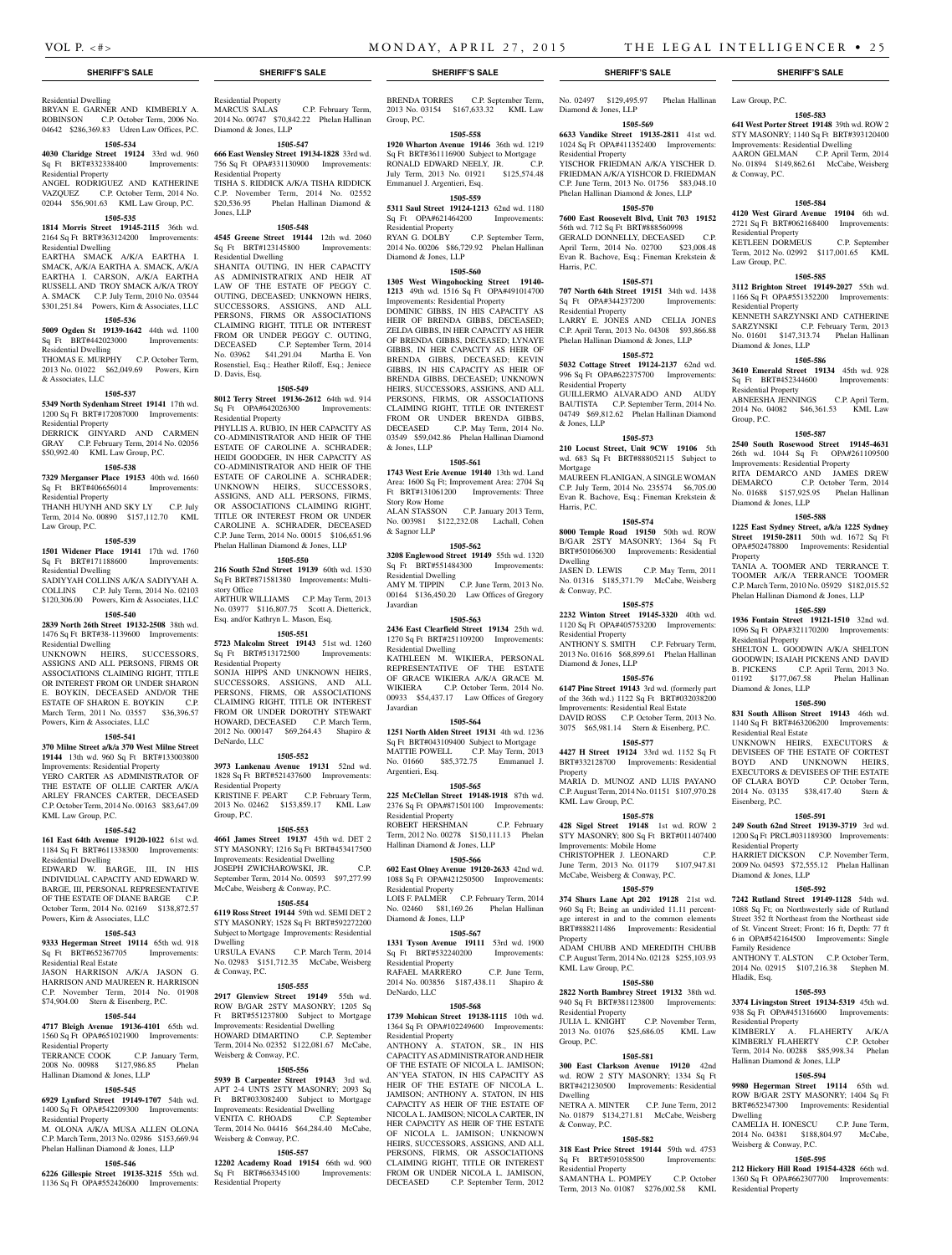& Conway, P.C.

Residential Property

Law Group, P.C.

Residential Property

Diamond & Jones, LLP

Sq Ft BRT#452344600 Residential Property

Diamond & Jones, LLP

Residential Property

Diamond & Jones, LLP

Residential Real Estate

Eisenberg, P.C.

Residential Property

Diamond & Jones, LLP

Family Residence

Residential Property

Hallinan Diamond & Jones, LLP

Weisberg & Conway, P.C.

Residential Property

Hladik, Esq.

Dwelling

Group, P.C.

Property

**1505-583 641 West Porter Street 19148** 39th wd. ROW 2 STY MASONRY; 1140 Sq Ft BRT#393120400 Improvements: Residential Dwelling AARON GELMAN C.P. April Term, 2014 No. 01894 \$149,862.61 McCabe, Weisberg

**1505-584 4120 West Girard Avenue 19104** 6th wd. 2721 Sq Ft BRT#062168400 Improvements:

KETLEEN DORMEUS C.P. September Term, 2012 No. 02992 \$117,001.65 KML

**1505-585 3112 Brighton Street 19149-2027** 55th wd. 1166 Sq Ft OPA#551352200 Improvements:

KENNETH SARZYNSKI AND CATHERINE SARZYNSKI C.P. February Term, 2013 No. 01601 \$147,313.74 Phelan Hallinan

**1505-586 3610 Emerald Street 19134** 45th wd. 928<br>
Sq Ft BRT#452344600 Improvements:

ABNEESHA JENNINGS C.P. April Term, 2014 No. 04082 \$46,361.53 KML Law

**1505-587 2540 South Rosewood Street 19145-4631**  26th wd. 1044 Sq Ft OPA#261109500 Improvements: Residential Property RITA DEMARCO AND JAMES DREW DEMARCO C.P. October Term, 2014 No. 01688 \$157,925.95 Phelan Hallinan

**1505-588 1225 East Sydney Street, a/k/a 1225 Sydney Street 19150-2811** 50th wd. 1672 Sq Ft OPA#502478800 Improvements: Residential

TANIA A. TOOMER AND TERRANCE T. TOOMER A/K/A TERRANCE TOOMER C.P. March Term, 2010 No. 05929 \$182,015.52 Phelan Hallinan Diamond & Jones, LLP **1505-589 1936 Fontain Street 19121-1510** 32nd wd. 1096 Sq Ft OPA#321170200 Improvements:

SHELTON L. GOODWIN A/K/A SHELTON GOODWIN; ISAIAH PICKENS AND DAVID B. PICKENS C.P. April Term, 2013 No. 01192 \$177,067.58 Phelan Hallinan

**1505-590 831 South Allison Street 19143** 46th wd. 1140 Sq Ft BRT#463206200 Improvements:

UNKNOWN HEIRS, EXECUTORS & DEVISEES OF THE ESTATE OF CORTEST BOYD AND UNKNOWN HEIRS, EXECUTORS & DEVISEES OF THE ESTATE OF CLARA BOYD C.P. October Term, 2014 No. 03135 \$38,417.40 Stern &

**1505-591 249 South 62nd Street 19139-3719** 3rd wd. 1200 Sq Ft PRCL#031189300 Improvements:

HARRIET DICKSON C.P. November Term, 2009 No. 04593 \$72,555.12 Phelan Hallinan

**1505-592 7242 Rutland Street 19149-1128** 54th wd. 1088 Sq Ft; on Northwesterly side of Rutland Street 352 ft Northeast from the Northeast side of St. Vincent Street; Front: 16 ft, Depth: 77 ft 6 in OPA#542164500 Improvements: Single

ANTHONY T. ALSTON C.P. October Term, 2014 No. 02915 \$107,216.38 Stephen M.

**1505-593 3374 Livingston Street 19134-5319** 45th wd. 938 Sq Ft OPA#451316600 Improvements:

KIMBERLY A. FLAHERTY A/K/A KIMBERLY FLAHERTY C.P. October Term, 2014 No. 00288 \$85,998.34 Phelan

**1505-594 9980 Hegerman Street 19114** 65th wd. ROW B/GAR 2STY MASONRY; 1404 Sq Ft BRT#652347300 Improvements: Residential

CAMELIA H. IONESCU C.P. June Term, 2014 No. 04381 \$188,804.97 McCabe,

**1505-595 212 Hickory Hill Road 19154-4328** 66th wd. 1360 Sq Ft OPA#662307700 Improvements:

No. 02497 \$129,495.97 Phelan Hallinan Law Group, P.C.

Diamond & Jones, LLP

Residential Property

Harris, P.C.

Residential Property

Residential Property

& Jones, LLP

Mortgage

Harris, P.C.

Dwelling

Property

Property

KML Law Group, P.C.

Residential Property

Group, P.C.

Dwelling

& Conway, P.C.

Residential Property

& Conway, P.C.

Residential Property

Diamond & Jones, LLP

KML Law Group, P.C.

Improvements: Mobile Home

**1505-569 6633 Vandike Street 19135-2811** 41st wd. 1024 Sq Ft OPA#411352400 Improvements:

YISCHOR FRIEDMAN A/K/A YISCHER D. FRIEDMAN A/K/A YISHCOR D. FRIEDMAN C.P. June Term, 2013 No. 01756 \$83,048.10 Phelan Hallinan Diamond & Jones, LLP **1505-570 7600 East Roosevelt Blvd, Unit 703 19152**  56th wd. 712 Sq Ft BRT#888560998 GERALD DONNELLY, DECEASED C.P. April Term, 2014 No. 02700 \$23,008.48 Evan R. Bachove, Esq.; Fineman Krekstein &

**1505-571 707 North 64th Street 19151** 34th wd. 1438 Sq Ft OPA#344237200 Improvements:

LARRY E. JONES AND CELIA JONES C.P. April Term, 2013 No. 04308 \$93,866.88 Phelan Hallinan Diamond & Jones, LLP **1505-572 5032 Cottage Street 19124-2137** 62nd wd. 996 Sq Ft OPA#622375700 Improvements:

GUILLERMO ALVARADO AND AUDY BAUTISTA C.P. September Term, 2014 No. 04749 \$69,812.62 Phelan Hallinan Diamond

**1505-573 210 Locust Street, Unit 9CW 19106** 5th wd. 683 Sq Ft BRT#888052115 Subject to

MAUREEN FLANIGAN, A SINGLE WOMAN C.P. July Term, 2014 No. 235574 \$6,705.00 Evan R. Bachove, Esq.; Fineman Krekstein &

**1505-574 8000 Temple Road 19150** 50th wd. ROW B/GAR 2STY MASONRY; 1364 Sq Ft BRT#501066300 Improvements: Residential

JASEN D. LEWIS C.P. May Term, 2011 No. 01316 \$185,371.79 McCabe, Weisberg

**1505-575 2232 Winton Street 19145-3320** 40th wd. 1120 Sq Ft OPA#405753200 Improvements:

ANTHONY S. SMITH C.P. February Term, 2013 No. 01616 \$68,899.61 Phelan Hallinan

**1505-576 6147 Pine Street 19143** 3rd wd. (formerly part of the 36th wd.) 1122 Sq Ft BRT#032038200 Improvements: Residential Real Estate DAVID ROSS C.P. October Term, 2013 No. 3075 \$65,981.14 Stern & Eisenberg, P.C. **1505-577 4427 H Street 19124** 33rd wd. 1152 Sq Ft BRT#332128700 Improvements: Residential

MARIA D. MUNOZ AND LUIS PAYANO C.P. August Term, 2014 No. 01151 \$107,970.28

**1505-578 428 Sigel Street 19148** 1st wd. ROW 2 STY MASONRY; 800 Sq Ft BRT#011407400

CHRISTOPHER J. LEONARD C.P. June Term, 2013 No. 01179 \$107,947.81 McCabe, Weisberg & Conway, P.C. **1505-579 374 Shurs Lane Apt 202 19128** 21st wd. 960 Sq Ft; Being an undivided 11.11 percentage interest in and to the common elements BRT#888211486 Improvements: Residential

ADAM CHUBB AND MEREDITH CHUBB C.P. August Term, 2014 No. 02128 \$255,103.93

**1505-580 2822 North Bambrey Street 19132** 38th wd. 940 Sq Ft BRT#381123800 Improvements:

JULIA L. KNIGHT C.P. November Term, 2013 No. 01076 \$25,686.05 KML Law

**1505-581 300 East Clarkson Avenue 19120** 42nd wd. ROW 2 STY MASONRY; 1334 Sq Ft BRT#421230500 Improvements: Residential

NETRA A. MINTER C.P. June Term, 2012 No. 01879 \$134,271.81 McCabe, Weisberg

**1505-582 318 East Price Street 19144** 59th wd. 4753 Sq Ft BRT#591058500 Improvements:

SAMANTHA L. POMPEY C.P. October Term, 2013 No. 01087 \$276,002.58 KML

# **SHERIFF'S SALE SHERIFF'S SALE SHERIFF'S SALE SHERIFF'S SALE SHERIFF'S SALE**

# Residential Dwelling

BRYAN E. GARNER AND KIMBERLY A. ROBINSON C.P. October Term, 2006 No. 04642 \$286,369.83 Udren Law Offices, P.C.

**1505-534 4030 Claridge Street 19124** 33rd wd. 960

#### Sq Ft BRT#332338400 Improvements: Residential Property ANGEL RODRIGUEZ AND KATHERINE

VAZQUEZ C.P. October Term, 2014 No. 02044 \$56,901.63 KML Law Group, P.C.

# **1505-535**

**1814 Morris Street 19145-2115** 36th wd. 2164 Sq Ft BRT#363124200 Improvements: Residential Dwelling

EARTHA SMACK A/K/A EARTHA I. SMACK, A/K/A EARTHA A. SMACK, A/K/A EARTHA I. CARSON, A/K/A EARTHA RUSSELL AND TROY SMACK A/K/A TROY A. SMACK C.P. July Term, 2010 No. 03544 \$301,251.84 Powers, Kirn & Associates, LLC

#### **1505-536**

**5009 Ogden St 19139-1642** 44th wd. 1100

Sq Ft BRT#442023000 Improvements: Residential Dwelling THOMAS E. MURPHY C.P. October Term,

2013 No. 01022 \$62,049.69 Powers, Kirn & Associates, LLC

#### **1505-537**

**5349 North Sydenham Street 19141** 17th wd. 1200 Sq Ft BRT#172087000 Improvements: Residential Property

DERRICK GINYARD AND CARMEN GRAY C.P. February Term, 2014 No. 02056

# \$50,992.40 KML Law Group, P.C.

**1505-538 7329 Merganser Place 19153** 40th wd. 1660

#### Sq Ft BRT#406656014 Improvements:

Residential Property THANH HUYNH AND SKY LY C.P. July Term, 2014 No. 00890 \$157,112.70 KML

Law Group, P.C.

#### **1505-539**

**1501 Widener Place 19141** 17th wd. 1760 Sq Ft BRT#171188600 Improvements: Residential Dwelling

SADIYYAH COLLINS A/K/A SADIYYAH A. COLLINS C.P. July Term, 2014 No. 02103 \$120,306.00 Powers, Kirn & Associates, LLC

# **1505-540**

**2839 North 26th Street 19132-2508** 38th wd. 1476 Sq Ft BRT#38-1139600 Improvements: Residential Dwelling

UNKNOWN HEIRS, SUCCESSORS ASSIGNS AND ALL PERSONS, FIRMS OR ASSOCIATIONS CLAIMING RIGHT, TITLE OR INTEREST FROM OR UNDER SHARON E. BOYKIN, DECEASED AND/OR THE ESTATE OF SHARON E. BOYKIN C.P. March Term, 2011 No. 03557 \$36,396.57 Powers, Kirn & Associates, LLC

#### **1505-541**

**370 Milne Street a/k/a 370 West Milne Street 19144** 13th wd. 960 Sq Ft BRT#133003800 Improvements: Residential Property YERO CARTER AS ADMINISTRATOR OF THE ESTATE OF OLLIE CARTER A/K/A ARLEY FRANCES CARTER, DECEASED

C.P. October Term, 2014 No. 00163 \$83,647.09 KML Law Group, P.C. **1505-542**

**161 East 64th Avenue 19120-1022** 61st wd. 1184 Sq Ft BRT#611338300 Improvements: Residential Dwelling EDWARD W. BARGE, III, IN HIS

INDIVIDUAL CAPACITY AND EDWARD W. BARGE, III, PERSONAL REPRESENTATIVE OF THE ESTATE OF DIANE BARGE C.P. October Term, 2014 No. 02169 \$138,872.57 Powers, Kirn & Associates, LLC

# **1505-543**

**9333 Hegerman Street 19114** 65th wd. 918 Sq Ft BRT#652367705 Improvements:

Residential Real Estate JASON HARRISON A/K/A JASON G. HARRISON AND MAUREEN R. HARRISON C.P. November Term, 2014 No. 01908

### \$74,904.00 Stern & Eisenberg, P.C. **1505-544**

**4717 Bleigh Avenue 19136-4101** 65th wd. 1560 Sq Ft OPA#651021900 Improvements: tial Property

TERRANCE COOK C.P. January Term, 2008 No. 00988 \$127,986.85 Phelan Hallinan Diamond & Jones, LLP

#### **1505-545**

**6929 Lynford Street 19149-1707** 54th wd. 1400 Sq Ft OPA#542209300 Improvements: Residential Property

M. OLONA A/K/A MUSA ALLEN OLONA C.P. March Term, 2013 No. 02986 \$153,669.94 Phelan Hallinan Diamond & Jones, LLP

### **1505-546**

**6226 Gillespie Street 19135-3215** 55th wd. 1136 Sq Ft OPA#552426000 Improvements:

Residential Property MARCUS SALAS C.P. February Term,

2014 No. 00747 \$70,842.22 Phelan Hallinan Diamond & Jones, LLP **1505-547**

#### **666 East Wensley Street 19134-1828** 33rd wd. 756 Sq Ft OPA#331130900 Improvements:

Residential Property TISHA S. RIDDICK A/K/A TISHA RIDDICK C.P. November Term, 2014 No. 02552<br>\$20.536.95 Phelan Hallinan Diamond & Phelan Hallinan Diamond & Jones, LLP

#### **1505-548**

**4545 Greene Street 19144** 12th wd. 2060 Sq Ft BRT#123145800 Improvements: Residential Dwelling

SHANITA OUTING, IN HER CAPACITY AS ADMINISTRATRIX AND HEIR AT LAW OF THE ESTATE OF PEGGY C. OUTING, DECEASED; UNKNOWN HEIRS, SUCCESSORS, ASSIGNS, AND ALL PERSONS, FIRMS OR ASSOCIATIONS CLAIMING RIGHT, TITLE OR INTEREST FROM OR UNDER PEGGY C. OUTING, DECEASED C.P. September Term, 2014 No. 03962 \$41,291.04 Martha E. Von Rosenstiel, Esq.; Heather Riloff, Esq.; Jeniece D. Davis, Esq.

#### **1505-549**

**8012 Terry Street 19136-2612** 64th wd. 914 Sq Ft OPA#642026300 Improvements: Residential Property PHYLLIS A. RUBIO, IN HER CAPACITY AS

CO-ADMINISTRATOR AND HEIR OF THE ESTATE OF CAROLINE A. SCHRADER; HEIDI GOODGER, IN HER CAPACITY AS CO-ADMINISTRATOR AND HEIR OF THE ESTATE OF CAROLINE A. SCHRADER; UNKNOWN HEIRS, SUCCESSORS, ASSIGNS, AND ALL PERSONS, FIRMS, OR ASSOCIATIONS CLAIMING RIGHT, TITLE OR INTEREST FROM OR UNDER CAROLINE A. SCHRADER, DECEASED C.P. June Term, 2014 No. 00015 \$106,651.96 Phelan Hallinan Diamond & Jones, LLP

#### **1505-550**

**216 South 52nd Street 19139** 60th wd. 1530 Sq Ft BRT#871581380 Improvements: Multistory Office ARTHUR WILLIAMS C.P. May Term, 2013 No. 03977 \$116,807.75 Scott A. Dietterick,

Esq. and/or Kathryn L. Mason, Esq. **1505-551**

**5723 Malcolm Street 19143** 51st wd. 1260 Sq Ft BRT#513172500 Improvements: Residential Property SONJA HIPPS AND UNKNOWN HEIRS, SUCCESSORS, ASSIGNS, AND ALL PERSONS, FIRMS, OR ASSOCIATIONS CLAIMING RIGHT, TITLE OR INTEREST FROM OR UNDER DOROTHY STEWART HOWARD, DECEASED C.P. March Term, 2012 No. 000147 \$69,264.43 Shapiro & DeNardo, LLC

#### **1505-552**

**3973 Lankenau Avenue 19131** 52nd wd. 1828 Sq Ft BRT#521437600 Improvements: Residential Property KRISTINE F. PEART C.P. February Term, 2013 No. 02462 \$153,859.17 KML Law Group, P.C.

#### **1505-553**

**4661 James Street 19137** 45th wd. DET 2 STY MASONRY; 1216 Sq Ft BRT#453417500 Improvements: Residential Dwelling JOSEPH ZWICHAROWSKI, JR. C.P. September Term, 2014 No. 00593 \$97,277.99 McCabe, Weisberg & Conway, P.C.

#### **1505-554**

**6119 Ross Street 19144** 59th wd. SEMI DET 2 STY MASONRY; 1528 Sq Ft BRT#592272200 Subject to Mortgage Improvements: Residential

Dwelling URSULA EVANS C.P. March Term, 2014 No. 02983 \$151,712.35 McCabe, Weisberg & Conway, P.C.

#### **1505-555**

**2917 Glenview Street 19149** 55th wd. ROW B/GAR 2STY MASONRY; 1205 Sq Ft BRT#551237800 Subject to Mortgage Improvements: Residential Dwelling HOWARD DIMARTINO C.P. September Term, 2014 No. 02352 \$122,081.67 McCabe, Weisberg & Conway, P.C.

#### **1505-556**

**5939 B Carpenter Street 19143** 3rd wd. APT 2-4 UNTS 2STY MASONRY: 2093 Sq. Ft BRT#033082400 Subject to Mortgage Improvements: Residential Dwelling VENITA C. RHOADS C.P. September Term, 2014 No. 04416 \$64,284.40 McCabe, Weisberg & Conway, P.C.

#### **1505-557**

**12202 Academy Road 19154** 66th wd. 900 Sq Ft BRT#663345100 Improvements: Residential Property

BRENDA TORRES C.P. September Term, 2013 No. 03154 \$167,633.32 KML Law Group, P.C.

#### **1505-558**

**1920 Wharton Avenue 19146** 36th wd. 1219 Sq Ft BRT#361116900 Subject to Mortgage<br>RONALD EDWARD NEELY IR RONALD EDWARD NEELY, JR. July Term, 2013 No. 01921 \$125,574.48 Emmanuel J. Argentieri, Esq.

#### **1505-559**

**5311 Saul Street 19124-1213** 62nd wd. 1180 Sq Ft OPA#621464200 Improvements: Residential Property<br>RYAN G. DOLBY C.P. September Term,

2014 No. 00206 \$86,729.92 Phelan Hallinan Diamond & Jones, LLP

#### **1505-560**

**1305 West Wingohocking Street 19140- 1213** 49th wd. 1516 Sq Ft OPA#491014700 Improvements: Residential Property

DOMINIC GIBBS, IN HIS CAPACITY AS HEIR OF BRENDA GIBBS, DECEASED; ZELDA GIBBS, IN HER CAPACITY AS HEIR OF BRENDA GIBBS, DECEASED; LYNAYE GIBBS, IN HER CAPACITY AS HEIR OF BRENDA GIBBS, DECEASED; KEVIN GIBBS, IN HIS CAPACITY AS HEIR OF BRENDA GIBBS, DECEASED; UNKNOWN HEIRS, SUCCESSORS, ASSIGNS, AND ALL PERSONS, FIRMS, OR ASSOCIATIONS CLAIMING RIGHT, TITLE OR INTEREST FROM OR UNDER BRENDA GIBBS,<br>DECEASED C.P. May Term, 2014 No. C.P. May Term, 2014 No. 03549 \$59,042.86 Phelan Hallinan Diamond & Jones, LLP

#### **1505-561**

**1743 West Erie Avenue 19140** 13th wd. Land Area: 1600 Sq Ft; Improvement Area: 2704 Sq Ft BRT#131061200 Improvements: Three

Story Row Home ALAN STASSON C.P. January 2013 Term, No. 003981 \$122,232.08 Lachall, Cohen & Sagnor LLP

#### **1505-562**

**3208 Englewood Street 19149** 55th wd. 1320 Sq Ft BRT#551484300 Improvements: Residential Dwelling AMY M. TIPPIN C.P. June Term, 2013 No. 00164 \$136,450.20 Law Offices of Gregory

Javardian **1505-563**

**2436 East Clearfield Street 19134** 25th wd. 1270 Sq Ft BRT#251109200 Improvements: Residential Dwelling KATHLEEN M. WIKIERA, PERSONAL REPRESENTATIVE OF THE ESTATE OF GRACE WIKIERA A/K/A GRACE M. WIKIERA C.P. October Term, 2014 No. 00933 \$54,437.17 Law Offices of Gregory Javardian

#### **1505-564**

**1251 North Alden Street 19131** 4th wd. 1236 Sq Ft BRT#043109400 Subject to Mortgage MATTIE POWELL C.P. May Term, 2013 No. 01660 \$85,372.75 Emmanuel J. Argentieri, Esq.

#### **1505-565**

**225 McClellan Street 19148-1918** 87th wd. 2376 Sq Ft OPA#871501100 Improvements: Residential Property ROBERT HERSHMAN C.P. February Term, 2012 No. 00278 \$150,111.13 Phelan Hallinan Diamond & Jones, LLP

#### **1505-566**

**602 East Olney Avenue 19120-2633** 42nd wd. 1088 Sq Ft OPA#421250500 Improvements: Residential Property LOIS F. PALMER C.P. February Term, 2014 No. 02460 \$81,169.26 Phelan Hallinan Diamond & Jones, LLP

**1505-567 1331 Tyson Avenue 19111** 53rd wd. 1900 Sq Ft BRT#532240200 Improvements: Residential Property

RAFAEL MARRERO C.P. June Term, 2014 No. 003856 \$187,438.11 Shapiro & DeNardo, LLC

**1505-568 1739 Mohican Street 19138-1115** 10th wd. 1364 Sq Ft OPA#102249600 Improvements:

Residential Property<br>ANTHONY A. STATON, ANTHONY A. STATON, SR., CAPACITY AS ADMINISTRATOR AND HEIR OF THE ESTATE OF NICOLA L. JAMISON; AN'YEA STATON, IN HIS CAPACITY AS HEIR OF THE ESTATE OF NICOLA L. JAMISON; ANTHONY A. STATON, IN HIS CAPACITY AS HEIR OF THE ESTATE OF NICOLA L. JAMISON: NICOLA CARTER, IN HER CAPACITY AS HEIR OF THE ESTATE OF NICOLA L. JAMISON; UNKNOWN HEIRS, SUCCESSORS, ASSIGNS, AND ALL PERSONS, FIRMS, OR ASSOCIATIONS CLAIMING RIGHT, TITLE OR INTEREST FROM OR UNDER NICOLA L. JAMISON DECEASED C.P. September Term, 2012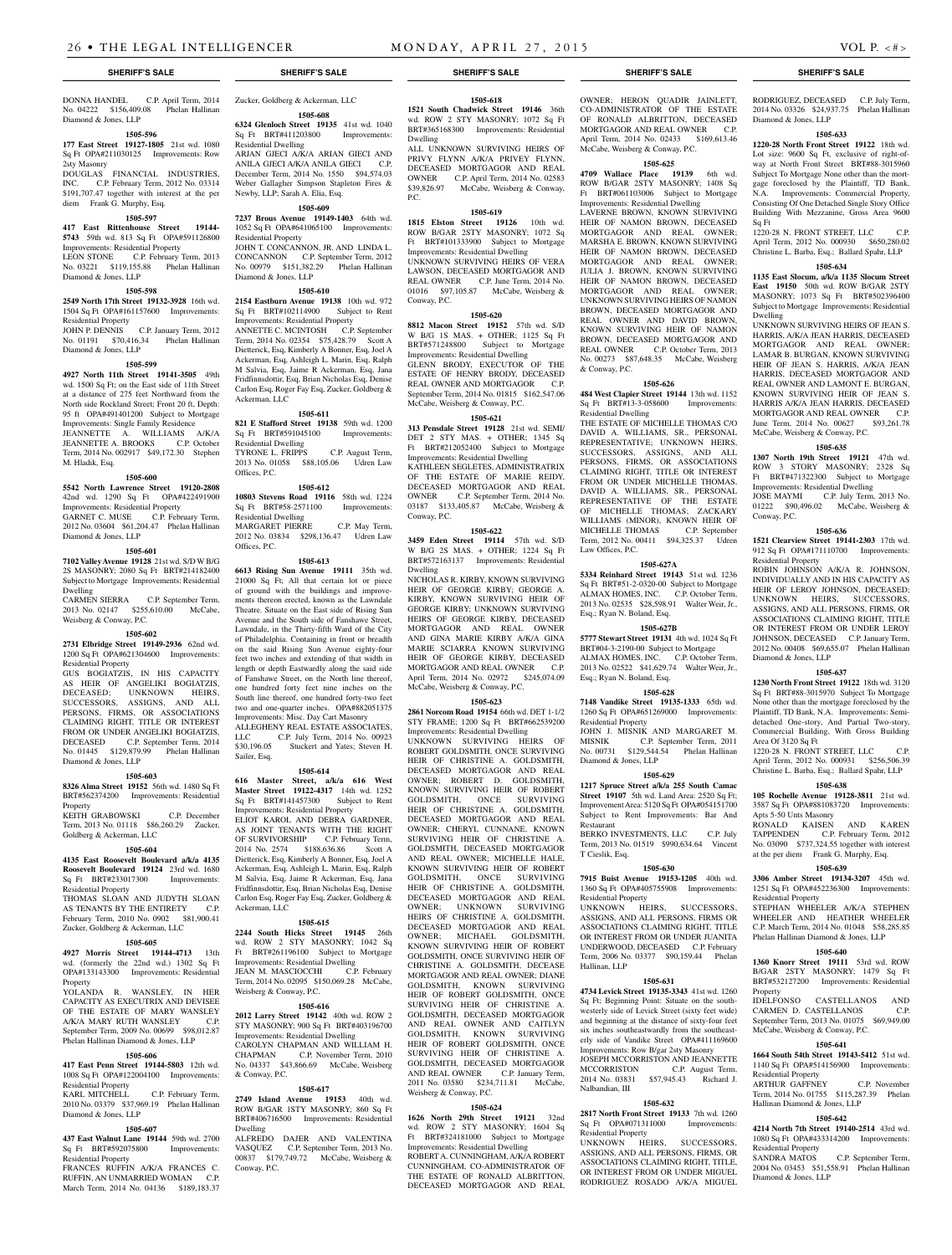DONNA HANDEL C.P. April Term, 2014 No. 04222 \$156,409.08 Phelan Hallinan Diamond & Jones, LLP

#### **1505-596**

**177 East Street 19127-1805** 21st wd. 1080 Sq Ft OPA#211030125 Improvements: Row 2sty Masonry

DOUGLAS FINANCIAL INDUSTRIES, INC. C.P. February Term, 2012 No. 03314 \$191,707.47 together with interest at the per diem Frank G. Murphy, Esq.

#### **1505-597**

**417 East Rittenhouse Street 19144- 5743** 59th wd. 813 Sq Ft OPA#591126800 Improvements: Residential Property

LEON STONE C.P. February Term, 2013 No. 03221 \$119,155.88 Phelan Hallinan Diamond & Jones, LLP No. 00979 \$151,382.29 Phelan Hallinan

# **1505-598**

**2549 North 17th Street 19132-3928** 16th wd. 1504 Sq Ft OPA#161157600 Improvements: Residential Property

JOHN P. DENNIS C.P. January Term, 2012 No. 01191 \$70,416.34 Phelan Hallinan Diamond & Jones, LLP

#### **1505-599**

**4927 North 11th Street 19141-3505** 49th wd. 1500 Sq Ft; on the East side of 11th Street at a distance of 275 feet Northward from the North side Rockland Street; Front 20 ft, Depth: 95 ft OPA#491401200 Subject to Mortgage Improvements: Single Family Residence JEANNETTE A. WILLIAMS A/K/A JEANNETTE A. BROOKS Term, 2014 No. 002917 \$49,172.30 Stephen

M. Hladik, Esq. **1505-600**

**5542 North Lawrence Street 19120-2808**  42nd wd. 1290 Sq Ft OPA#422491900 Improvements: Residential Property GARNET C. MUSE C.P. February Term,

2012 No. 03604 \$61,204.47 Phelan Hallinan Diamond & Jones, LLP

#### **1505-601**

**7102 Valley Avenue 19128** 21st wd. S/D W B/G 2S MASONRY; 2080 Sq Ft BRT#214182400 Subject to Mortgage Improvements: Residential Dwelling<br>CARMEN SIERRA

C.P. September Term, 2013 No. 02147 \$255,610.00 McCabe, Weisberg & Conway, P.C.

#### **1505-602**

**2731 Elbridge Street 19149-2936** 62nd wd. 1200 Sq Ft OPA#621304600 Improvements: Residential Property

GUS BOGIATZIS, IN HIS CAPACITY AS HEIR OF ANGELIKI BOGIATZIS, DECEASED; UNKNOWN HEIRS, SUCCESSORS, ASSIGNS, AND ALL PERSONS, FIRMS, OR ASSOCIATIONS CLAIMING RIGHT, TITLE OR INTEREST FROM OR UNDER ANGELIKI BOGIATZIS, DECEASED C.P. September Term, 2014 No. 01445 \$129,879.99 Phelan Hallinan Diamond & Jones, LLP

#### **1505-603**

**8326 Alma Street 19152** 56th wd. 1480 Sq Ft BRT#562374200 Improvements: Residential

Property KEITH GRABOWSKI C.P. December Term, 2013 No. 01118 \$86,260.29 Zucker,

# Goldberg & Ackerman, LLC **1505-604**

**4135 East Roosevelt Boulevard a/k/a 4135 Roosevelt Boulevard 19124** 23rd wd. 1680 Sq Ft BRT#233017300 Residential Property

THOMAS SLOAN AND JUDYTH SLOAN AS TENANTS BY THE ENTIRETY C.P. February Term, 2010 No. 0902 \$81,900.41 Zucker, Goldberg & Ackerman, LLC

#### **1505-605**

**4927 Morris Street 19144-4713** 13th wd. (formerly the 22nd wd.) 1302 Sq Ft OPA#133143300 Improvements: Residential

Property YOLANDA R. WANSLEY, IN HER CAPACITY AS EXECUTRIX AND DEVISEE OF THE ESTATE OF MARY WANSLEY A/K/A MARY RUTH WANSLEY C.P. September Term, 2009 No. 00699 \$98,012.87 Phelan Hallinan Diamond & Jones, LLP

# **1505-606**

**417 East Penn Street 19144-5803** 12th wd. 1008 Sq Ft OPA#122004100 Improvements: Residential Property<br>KARL MITCHELL C.P. February Term,

2010 No. 03379 \$37,969.19 Phelan Hallinan Diamond & Jones, LLP

### **1505-607**

**437 East Walnut Lane 19144** 59th wd. 2700<br>Sq. Ft. BRT#592075800 Improvements: Sq Ft BRT#592075800 Residential Property FRANCES RUFFIN A/K/A FRANCES C.

RUFFIN, AN UNMARRIED WOMAN C.P. March Term, 2014 No. 04136 \$189,183.37

# Zucker, Goldberg & Ackerman, LLC **1505-608**

**6324 Glenloch Street 19135** 41st wd. 1040 Sq Ft BRT#411203800 Residential Dwelling ARJAN GJECI A/K/A ARIAN GIECI AND ANILA GJECI A/K/A ANILA GIECI C.P. December Term, 2014 No. 1550 \$94,574.03

### Weber Gallagher Simpson Stapleton Fires & Newby, LLP; Sarah A. Elia, Esq. **1505-609**

**7237 Brous Avenue 19149-1403** 64th wd. 1052 Sq Ft OPA#641065100 Improvements: Residential Property JOHN T. CONCANNON, JR. AND LINDA L. CONCANNON C.P. September Term, 2012

### Diamond & Jones, LLP **1505-610**

**2154 Eastburn Avenue 19138** 10th wd. 972 Sq Ft BRT#102114900 Subject to Rent Improvements: Residential Property

ANNETTE C. MCINTOSH C.P. September Term, 2014 No. 02354 \$75,428.79 Scott A Dietterick, Esq, Kimberly A Bonner, Esq, Joel A Ackerman, Esq, Ashleigh L. Marin, Esq, Ralph M Salvia, Esq, Jaime R Ackerman, Esq, Jana Fridfinnsdottir, Esq, Brian Nicholas Esq, Denise Carlon Esq, Roger Fay Esq, Zucker, Goldberg & Ackerman, LLC

#### **1505-611**

**821 E Stafford Street 19138** 59th wd. 1200 Sq Ft BRT#591045100 Improvements: Residential Dwelling TYRONE L. FRIPPS C.P. August Term, 2013 No. 01058 \$88,105.06 Udren Law

#### **1505-612**

Offices, P.C.

**10803 Stevens Road 19116** 58th wd. 1224 Sq Ft BRT#58-2571100 Improvements: Residential Dwelling MARGARET PIERRE C.P. May Term,

2012 No. 03834 \$298,136.47 Udren Law Offices, P.C.

# **1505-613**

**6613 Rising Sun Avenue 19111** 35th wd. 21000 Sq Ft; All that certain lot or piece of ground with the buildings and improvements thereon erected, known as the Lawndale Theatre. Situate on the East side of Rising Sun Avenue and the South side of Fanshawe Street, Lawndale, in the Thirty-fifth Ward of the City of Philadelphia. Containing in front or breadth on the said Rising Sun Avenue eighty-four feet two inches and extending of that width in length or depth Eastwardly along the said side of Fanshawe Street, on the North line thereof, one hundred forty feet nine inches on the South line thereof, one hundred forty-two feet two and one-quarter inches. OPA#882051375 Improvements: Misc. Day Cart Masonry ALLEGHENY REAL ESTATE ASSOCIATES,

LLC C.P. July Term, 2014 No. 00923<br>\$30,196.05 Stuckert and Yates; Steven H. Stuckert and Yates; Steven H. Sailer, Esq.

#### **1505-614**

**616 Master Street, a/k/a 616 West Master Street 19122-4317** 14th wd. 1252 Sq Ft BRT#141457300 Subject to Rent Improvements: Residential Property ELIOT KAROL AND DEBRA GARDNER, AS JOINT TENANTS WITH THE RIGHT OF SURVIVORSHIP C.P. February Term, 2014 No. 2574 \$188,636.86 Scott A Dietterick, Esq, Kimberly A Bonner, Esq, Joel A Ackerman, Esq, Ashleigh L. Marin, Esq, Ralph M Salvia, Esq, Jaime R Ackerman, Esq, Jana Fridfinnsdottir, Esq, Brian Nicholas Esq, Denise Carlon Esq, Roger Fay Esq, Zucker, Goldberg & Ackerman, LLC

#### **1505-615**

**2244 South Hicks Street 19145** 26th wd. ROW 2 STY MASONRY; 1042 Sq Ft BRT#261196100 Subject to Mortgage Improvements: Residential Dwelling JEAN M. MASCIOCCHI C.P. February Term, 2014 No. 02095 \$150,069.28 McCabe, Weisberg & Conway, P.C.

# **1505-616**

**2012 Larry Street 19142** 40th wd. ROW 2 STY MASONRY; 900 Sq Ft BRT#403196700 Improvements: Residential Dwelling

CAROLYN CHAPMAN AND WILLIAM CHAPMAN C.P. November Term, 2010 No. 04337 \$43,866.69 McCabe, Weisberg & Conway, P.C.

#### **1505-617**

**2749 Island Avenue 19153** 40th wd. ROW B/GAR 1STY MASONRY; 860 Sq Ft BRT#406716500 Improvements: Residential Dwelling

ALFREDO DAJER AND VALENTINA VASQUEZ C.P. September Term, 2013 No. 00837 \$179,749.72 McCabe, Weisberg & Conway, P.C.

#### **1505-618 1521 South Chadwick Street 19146** 36th wd. ROW 2 STY MASONRY; 1072 Sq Ft BRT#365168300 Improvements: Residential Dwelling

ALL UNKNOWN SURVIVING HEIRS OF PRIVY FLYNN A/K/A PRIVEY FLYNN, DECEASED MORTGAGOR AND REAL OWNER C.P. April Term, 2014 No. 02583<br>\$39,826.97 McCabe, Weisberg & Conway, McCabe, Weisberg & Conway, P.C.

#### **1505-619**

**1815 Elston Street 19126** 10th wd. ROW B/GAR 2STY MASONRY; 1072 Sq Ft BRT#101333900 Subject to Mortgage Improvements: Residential Dwelling UNKNOWN SURVIVING HEIRS OF VERA LAWSON, DECEASED MORTGAGOR AND REAL OWNER C.P. June Term, 2014 No. 01016 \$97,105.87 McCabe, Weisberg & Conway, P.C.

#### **1505-620**

**8812 Macon Street 19152** 57th wd. S/D W B/G 1S MAS. + OTHER; 1125 Sq Ft BRT#571248800 Subject to Mortgage Improvements: Residential Dwelling GLENN BRODY, EXECUTOR OF THE ESTATE OF HENRY BRODY, DECEASED REAL OWNER AND MORTGAGOR C.P. September Term, 2014 No. 01815 \$162,547.06 McCabe, Weisberg & Conway, P.C.

#### **1505-621**

**313 Pensdale Street 19128** 21st wd. SEMI/ DET 2 STY MAS. + OTHER; 1345 Sq Ft BRT#212052400 Subject to Mortgage Improvements: Residential Dwelling KATHLEEN SEGLETES, ADMINISTRATRIX OF THE ESTATE OF MARIE REIDY, DECEASED MORTGAGOR AND REAL OWNER C.P. September Term, 2014 No. 03187 \$133,405.87 McCabe, Weisberg & Conway, P.C.

#### **1505-622**

**3459 Eden Street 19114** 57th wd. S/D W B/G 2S MAS. + OTHER; 1224 Sq Ft BRT#572163137 Improvements: Residential Dwelling NICHOLAS R. KIRBY, KNOWN SURVIVING

HEIR OF GEORGE KIRBY; GEORGE A. KIRBY, KNOWN SURVIVING HEIR OF GEORGE KIRBY; UNKNOWN SURVIVING HEIRS OF GEORGE KIRBY, DECEASED MORTGAGOR AND REAL OWNER AND GINA MARIE KIRBY A/K/A GINA MARIE SCIARRA KNOWN SURVIVING HEIR OF GEORGE KIRBY, DECEASED MORTGAGOR AND REAL OWNER C.P. April Term, 2014 No. 02972 \$245,074.09 McCabe, Weisberg & Conway, P.C.

#### **1505-623**

**2861 Norcom Road 19154** 66th wd. DET 1-1/2 STY FRAME; 1200 Sq Ft BRT#662539200 Improvements: Residential Dwelling

UNKNOWN SURVIVING HEIRS OF ROBERT GOLDSMITH, ONCE SURVIVING HEIR OF CHRISTINE A. GOLDSMITH, DECEASED MORTGAGOR AND REAL OWNER; ROBERT D. GOLDSMITH, KNOWN SURVIVING HEIR OF ROBERT GOLDSMITH, ONCE SURVIVING HEIR OF CHRISTINE A. GOLDSMITH, DECEASED MORTGAGOR AND REAL OWNER; CHERYL CUNNANE, KNOWN SURVIVING HEIR OF CHRISTINE A. GOLDSMITH, DECEASED MORTGAGOR AND REAL OWNER; MICHELLE HALE, KNOWN SURVIVING HEIR OF ROBERT GOLDSMITH, ONCE SURVIVING HEIR OF CHRISTINE A. GOLDSMITH, DECEASED MORTGAGOR AND REAL OWNER; UNKNOWN SURVIVING HEIRS OF CHRISTINE A. GOLDSMITH, DECEASED MORTGAGOR AND REAL OWNER; MICHAEL GOLDSMITH, KNOWN SURVIVING HEIR OF ROBERT GOLDSMITH, ONCE SURVIVING HEIR OF CHRISTINE A. GOLDSMITH, DECEASE MORTGAGOR AND REAL OWNER; DIANE GOLDSMITH, KNOWN SURVIVING HEIR OF ROBERT GOLDSMITH, ONCE SURVIVING HEIR OF CHRISTINE A. GOLDSMITH, DECEASED MORTGAGOR AND REAL OWNER AND CAITLYN GOLDSMITH, KNOWN SURVIVING HEIR OF ROBERT GOLDSMITH, ONCE SURVIVING HEIR OF CHRISTINE A. GOLDSMITH, DECEASED MORTGAGOR AND REAL OWNER C.P. January Term, 2011 No. 03580 \$234,711.81 McCabe, Weisberg & Conway, P.C.

#### **1505-624**

**1626 North 29th Street 19121** 32nd wd. ROW 2 STY MASONRY; 1604 Sq Ft BRT#324181000 Subject to Mortgage Improvements: Residential Dwelling ROBERT A. CUNNINGHAM, A/K/A ROBERT CUNNINGHAM, CO-ADMINISTRATOR OF THE ESTATE OF RONALD ALBRITTON, DECEASED MORTGAGOR AND REAL

#### **SHERIFF'S SALE SHERIFF'S SALE SHERIFF'S SALE SHERIFF'S SALE SHERIFF'S SALE**

RODRIGUEZ, DECEASED C.P. July Term, 2014 No. 03326 \$24,937.75 Phelan Hallinan

**1505-633 1220-28 North Front Street 19122** 18th wd. Lot size: 9600 Sq Ft, exclusive of right-ofway at North Front Street BRT#88-3015960 Subject To Mortgage None other than the mortgage foreclosed by the Plaintiff, TD Bank, N.A. Improvements: Commercial Property, Consisting Of One Detached Single Story Office Building With Mezzanine, Gross Area 9600

1220-28 N. FRONT STREET, LLC C.P. April Term, 2012 No. 000930 \$650,280.02 Christine L. Barba, Esq.; Ballard Spahr, LLP **1505-634 1135 East Slocum, a/k/a 1135 Slocum Street East 19150** 50th wd. ROW B/GAR 2STY MASONRY; 1073 Sq Ft BRT#502396400 Subject to Mortgage Improvements: Residential

UNKNOWN SURVIVING HEIRS OF JEAN S. HARRIS, A/K/A JEAN HARRIS, DECEASED MORTGAGOR AND REAL OWNER; LAMAR B. BURGAN, KNOWN SURVIVING HEIR OF JEAN S. HARRIS, A/K/A JEAN HARRIS, DECEASED MORTGAGOR AND REAL OWNER AND LAMONT E. BURGAN, KNOWN SURVIVING HEIR OF JEAN S. HARRIS A/K/A JEAN HARRIS, DECEASED MORTGAGOR AND REAL OWNER C.P. June Term, 2014 No. 00627 \$93,261.78

McCabe, Weisberg & Conway, P.C. **1505-635 1307 North 19th Street 19121** 47th wd. ROW 3 STORY MASONRY; 2328 Sq Ft BRT#471322300 Subject to Mortgage Improvements: Residential Dwelling JOSE MAYMI C.P. July Term, 2013 No. 01222 \$90,496.02 McCabe, Weisberg &

**1505-636 1521 Clearview Street 19141-2303** 17th wd. 912 Sq Ft OPA#171110700 Improvements:

ROBIN JOHNSON A/K/A R. JOHNSON, INDIVIDUALLY AND IN HIS CAPACITY AS HEIR OF LEROY JOHNSON, DECEASED; UNKNOWN HEIRS, SUCCESSORS, ASSIGNS, AND ALL PERSONS, FIRMS, OR ASSOCIATIONS CLAIMING RIGHT, TITLE OR INTEREST FROM OR UNDER LEROY JOHNSON, DECEASED C.P. January Term, 2012 No. 00408 \$69,655.07 Phelan Hallinan

**1505-637 1230 North Front Street 19122** 18th wd. 3120 Sq Ft BRT#88-3015970 Subject To Mortgage None other than the mortgage foreclosed by the Plaintiff, TD Bank, N.A. Improvements: Semidetached One-story, And Partial Two-story, Commercial Building, With Gross Building

1220-28 N. FRONT STREET, LLC C.P. April Term, 2012 No. 000931 \$256,506.39 Christine L. Barba, Esq.; Ballard Spahr, LLP **1505-638 105 Rochelle Avenue 19128-3811** 21st wd. 3587 Sq Ft OPA#881083720 Improvements:

RONALD KAISEN AND KAREN TAPPENDEN C.P. February Term, 2012 No. 03090 \$737,324.55 together with interest at the per diem Frank G. Murphy, Esq. **1505-639 3306 Amber Street 19134-3207** 45th wd. 1251 Sq Ft OPA#452236300 Improvements:

STEPHAN WHEELER A/K/A STEPHEN WHEELER AND HEATHER WHEELER C.P. March Term, 2014 No. 01048 \$58,285.85 Phelan Hallinan Diamond & Jones, LLP **1505-640 1360 Knorr Street 19111** 53rd wd. ROW B/GAR 2STY MASONRY; 1479 Sq Ft BRT#532127200 Improvements: Residential

IDELFONSO CASTELLANOS AND CARMEN D. CASTELLANOS C.P. September Term, 2013 No. 01075 \$69,949.00 McCabe, Weisberg & Conway, P.C.

**1505-641 1664 South 54th Street 19143-5412** 51st wd. 1140 Sq Ft OPA#514156900 Improvements:

ARTHUR GAFFNEY C.P. November Term, 2014 No. 01755 \$115,287.39 Phelan

**1505-642 4214 North 7th Street 19140-2514** 43rd wd. 1080 Sq Ft OPA#433314200 Improvements:

2004 No. 03453 \$51,558.91 Phelan Hallinan

C.P. September Term,

Diamond & Jones, LLP

Sq Ft

Dwelling

Conway, P.C.

Residential Property

Diamond & Jones, LLP

Area Of 3120 Sq Ft

Apts 5-50 Unts Masonry

Residential Property

Residential Property

Residential Property<br>SANDRA MATOS

Diamond & Jones, LLP

Hallinan Diamond & Jones, LLP

Property

OWNER; HERON QUADIR JAINLETT, CO-ADMINISTRATOR OF THE ESTATE OF RONALD ALBRITTON, DECEASED MORTGAGOR AND REAL OWNER C.P. April Term, 2014 No. 02433 \$169,613.46 McCabe, Weisberg & Conway, P.C.

#### **1505-625**

**4709 Wallace Place 19139** 6th wd. ROW B/GAR 2STY MASONRY; 1408 Sq Ft BRT#061103006 Subject to Mortgage Improvements: Residential Dwelling LAVERNE BROWN, KNOWN SURVIVING HEIR OF NAMON BROWN, DECEASED MORTGAGOR AND REAL OWNER; MARSHA E. BROWN, KNOWN SURVIVING HEIR OF NAMON BROWN, DECEASED MORTGAGOR AND REAL OWNER; JULIA J. BROWN, KNOWN SURVIVING HEIR OF NAMON BROWN, DECEASED MORTGAGOR AND REAL OWNER; UNKNOWN SURVIVING HEIRS OF NAMON BROWN, DECEASED MORTGAGOR AND REAL OWNER AND DAVID BROWN, KNOWN SURVIVING HEIR OF NAMON BROWN, DECEASED MORTGAGOR AND REAL OWNER C.P. October Term, 2013 No. 00273 \$87,648.35 McCabe, Weisberg & Conway, P.C.

#### **1505-626**

**484 West Clapier Street 19144** 13th wd. 1152 Sq Ft BRT#13-3-058600 Improvements: Residential Dwelling

THE ESTATE OF MICHELLE THOMAS C/O DAVID A. WILLIAMS, SR., PERSONAL REPRESENTATIVE; UNKNOWN HEIRS, SUCCESSORS, ASSIGNS, AND ALL PERSONS, FIRMS, OR ASSOCIATIONS CLAIMING RIGHT, TITLE OR INTEREST FROM OR UNDER MICHELLE THOMAS, DAVID A. WILLIAMS, SR., PERSONAL REPRESENTATIVE OF THE ESTATE OF MICHELLE THOMAS; ZACKARY WILLIAMS (MINOR), KNOWN HEIR OF MICHELLE THOMAS C.P. September MICHELLE THOMAS Term, 2012 No. 00411 \$94,325.37 Udren Law Offices, P.C.

#### **1505-627A**

**5334 Reinhard Street 19143** 51st wd. 1236 Sq Ft BRT#51-2-0320-00 Subject to Mortgage ALMAX HOMES, INC. C.P. October Term, 2013 No. 02535 \$28,598.91 Walter Weir, Jr., Esq.; Ryan N. Boland, Esq.

### **1505-627B**

**5777 Stewart Street 19131** 4th wd. 1024 Sq Ft BRT#04-3-2190-00 Subject to Mortgage ALMAX HOMES, INC. C.P. October Term, 2013 No. 02522 \$41,629.74 Walter Weir, Jr., Esq.; Ryan N. Boland, Esq.

#### **1505-628**

**7148 Vandike Street 19135-1333** 65th wd. 1260 Sq Ft OPA#651269000 Improvements: Residential Property

JOHN J. MISNIK AND MARGARET M. MISNIK C.P. September Term, 2011 No. 00731 \$129,544.54 Phelan Hallinan Diamond & Jones, LLP

### **1505-629**

**1217 Spruce Street a/k/a 255 South Camac Street 19107** 5th wd. Land Area: 2520 Sq Ft; Improvement Area: 5120 Sq Ft OPA#054151700 Subject to Rent Improvements: Bar And Restaurant

BERKO INVESTMENTS, LLC C.P. July Term, 2013 No. 01519 \$990,634.64 Vincent T Cieslik, Esq.

1360 Sq Ft OPA#405755908 Improvements:

UNKNOWN HEIRS, SUCCESSORS, ASSIGNS, AND ALL PERSONS, FIRMS OR ASSOCIATIONS CLAIMING RIGHT, TITLE OR INTEREST FROM OR UNDER JUANITA UNDERWOOD, DECEASED C.P. February Term, 2006 No. 03377 \$90,159.44 Phelan

**1505-631 4734 Levick Street 19135-3343** 41st wd. 1260 Sq Ft; Beginning Point: Situate on the southwesterly side of Levick Street (sixty feet wide) and beginning at the distance of sixty-four feet six inches southeastwardly from the southeasterly side of Vandike Street OPA#411169600 Improvements: Row B/gar 2sty Masonry JOSEPH MCCORRISTON AND JEANNETTE MCCORRISTON C.P. August Term, 2014 No. 03831 \$57,945.43 Richard J.

**1505-632 2817 North Front Street 19133** 7th wd. 1260 Sq Ft OPA#071311000 Improvements:

UNKNOWN HEIRS, SUCCESSORS, ASSIGNS, AND ALL PERSONS, FIRMS, OR ASSOCIATIONS CLAIMING RIGHT, TITLE, OR INTEREST FROM OR UNDER MIGUEL RODRIGUEZ ROSADO A/K/A MIGUEL

#### **1505-630 7915 Buist Avenue 19153-1205** 40th wd.

Residential Property

Hallinan, LLP

Nalbandian, III

Residential Property